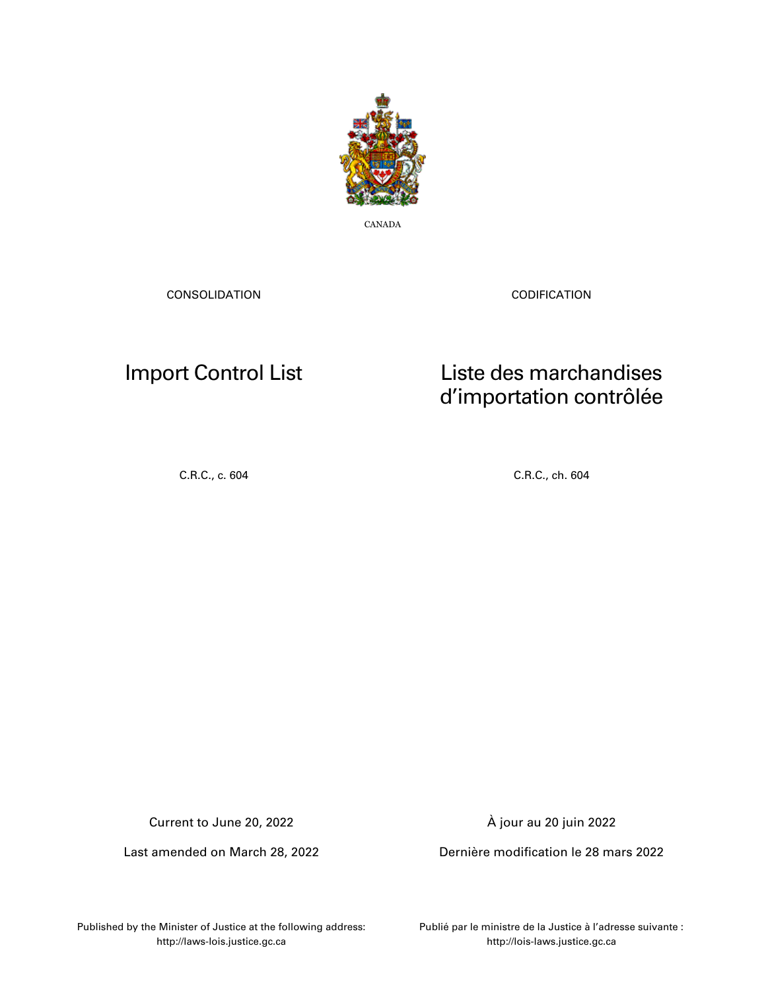

CANADA

CONSOLIDATION

CODIFICATION

# Import Control List

## Liste des marchandises d'importation contrôlée

C.R.C., c. 604 C.R.C., ch. 604

Current to June 20, 2022

Last amended on March 28, 2022

À jour au 20 juin 2022

Dernière modification le 28 mars 2022

Published by the Minister of Justice at the following address: http://laws-lois.justice.gc.ca

Publié par le ministre de la Justice à l'adresse suivante : http://lois-laws.justice.gc.ca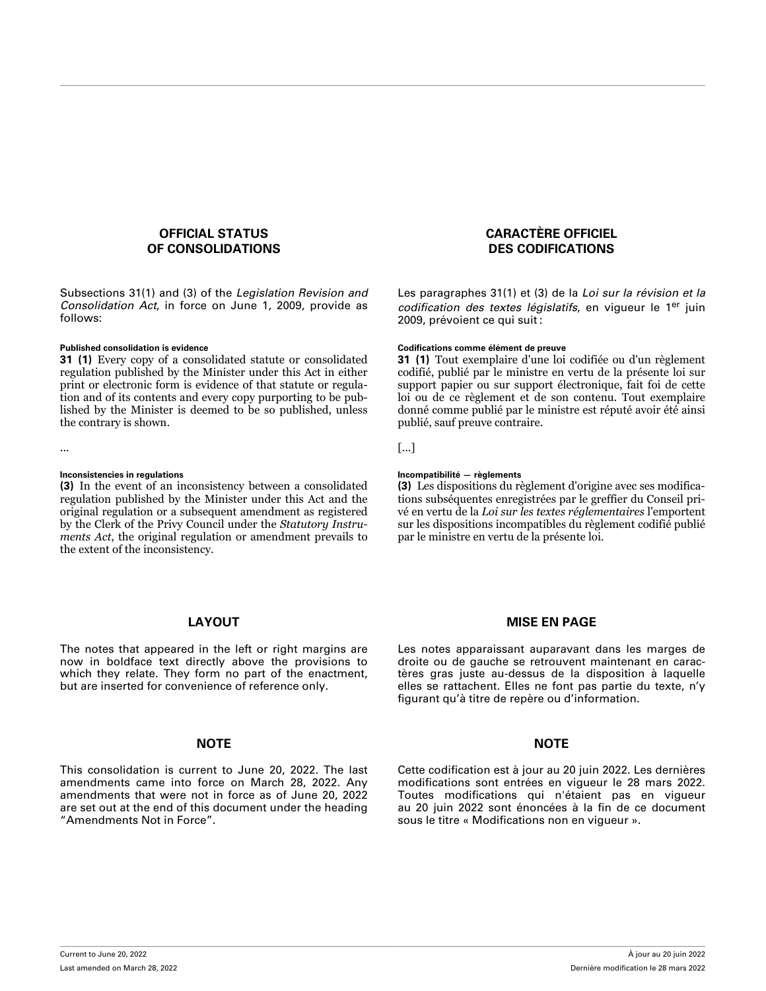### **OFFICIAL STATUS OF CONSOLIDATIONS**

Subsections 31(1) and (3) of the *Legislation Revision and Consolidation Act*, in force on June 1, 2009, provide as follows:

**31 (1)** Every copy of a consolidated statute or consolidated regulation published by the Minister under this Act in either print or electronic form is evidence of that statute or regulation and of its contents and every copy purporting to be published by the Minister is deemed to be so published, unless the contrary is shown.

**(3)** In the event of an inconsistency between a consolidated regulation published by the Minister under this Act and the original regulation or a subsequent amendment as registered by the Clerk of the Privy Council under the *Statutory Instruments Act*, the original regulation or amendment prevails to the extent of the inconsistency.

#### **LAYOUT**

The notes that appeared in the left or right margins are now in boldface text directly above the provisions to which they relate. They form no part of the enactment, but are inserted for convenience of reference only.

#### **NOTE NOTE**

This consolidation is current to June 20, 2022. The last amendments came into force on March 28, 2022. Any amendments that were not in force as of June 20, 2022 are set out at the end of this document under the heading "Amendments Not in Force".

### **CARACTÈRE OFFICIEL DES CODIFICATIONS**

Les paragraphes 31(1) et (3) de la *Loi sur la révision et la codification des textes législatifs*, en vigueur le 1er juin 2009, prévoient ce qui suit :

#### **Published consolidation is evidence Codifications comme élément de preuve**

**31 (1)** Tout exemplaire d'une loi codifiée ou d'un règlement codifié, publié par le ministre en vertu de la présente loi sur support papier ou sur support électronique, fait foi de cette loi ou de ce règlement et de son contenu. Tout exemplaire donné comme publié par le ministre est réputé avoir été ainsi publié, sauf preuve contraire.

... [...]

#### **Inconsistencies in regulations Incompatibilité — règlements**

**(3)** Les dispositions du règlement d'origine avec ses modifications subséquentes enregistrées par le greffier du Conseil privé en vertu de la *Loi sur les textes réglementaires* l'emportent sur les dispositions incompatibles du règlement codifié publié par le ministre en vertu de la présente loi.

#### **MISE EN PAGE**

Les notes apparaissant auparavant dans les marges de droite ou de gauche se retrouvent maintenant en caractères gras juste au-dessus de la disposition à laquelle elles se rattachent. Elles ne font pas partie du texte, n'y figurant qu'à titre de repère ou d'information.

Cette codification est à jour au 20 juin 2022. Les dernières modifications sont entrées en vigueur le 28 mars 2022. Toutes modifications qui n'étaient pas en vigueur au 20 juin 2022 sont énoncées à la fin de ce document sous le titre « Modifications non en vigueur ».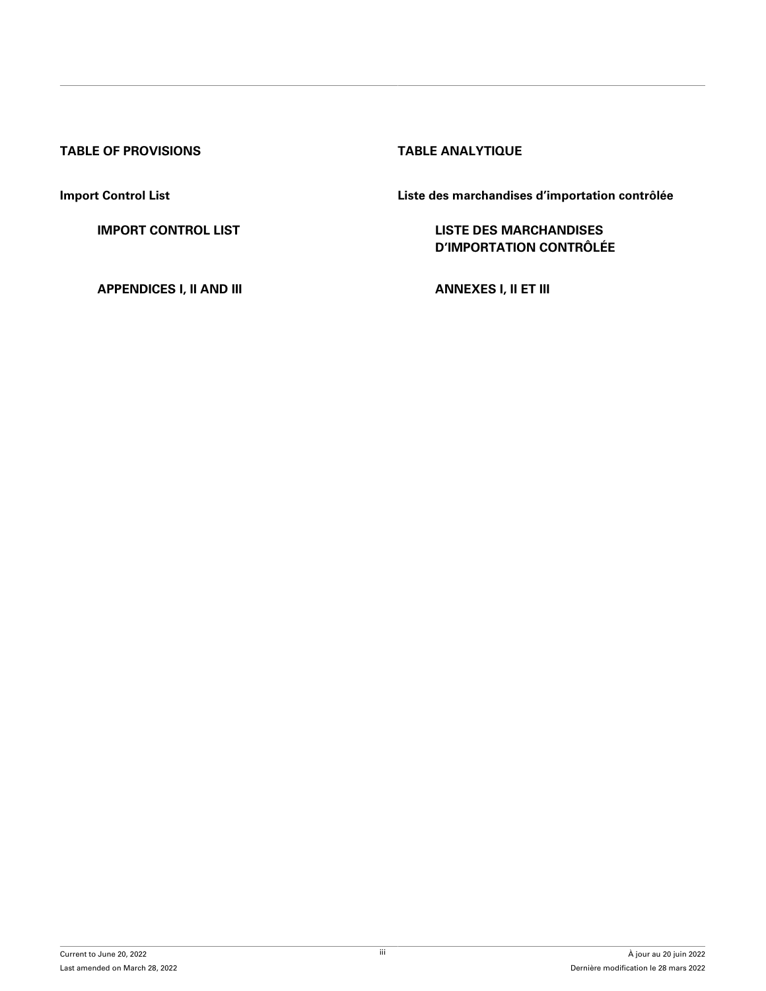### **TABLE OF PROVISIONS TABLE ANALYTIQUE**

**[APPENDICES I, II AND III](#page-32-0) [ANNEXES I, II ET III](#page-32-0)**

**Import Control List Liste des marchandises d'importation contrôlée**

**[IMPORT CONTROL LIST](#page-3-0) LISTE DES MARCHANDISES [D'IMPORTATION CONTRÔLÉE](#page-3-0)**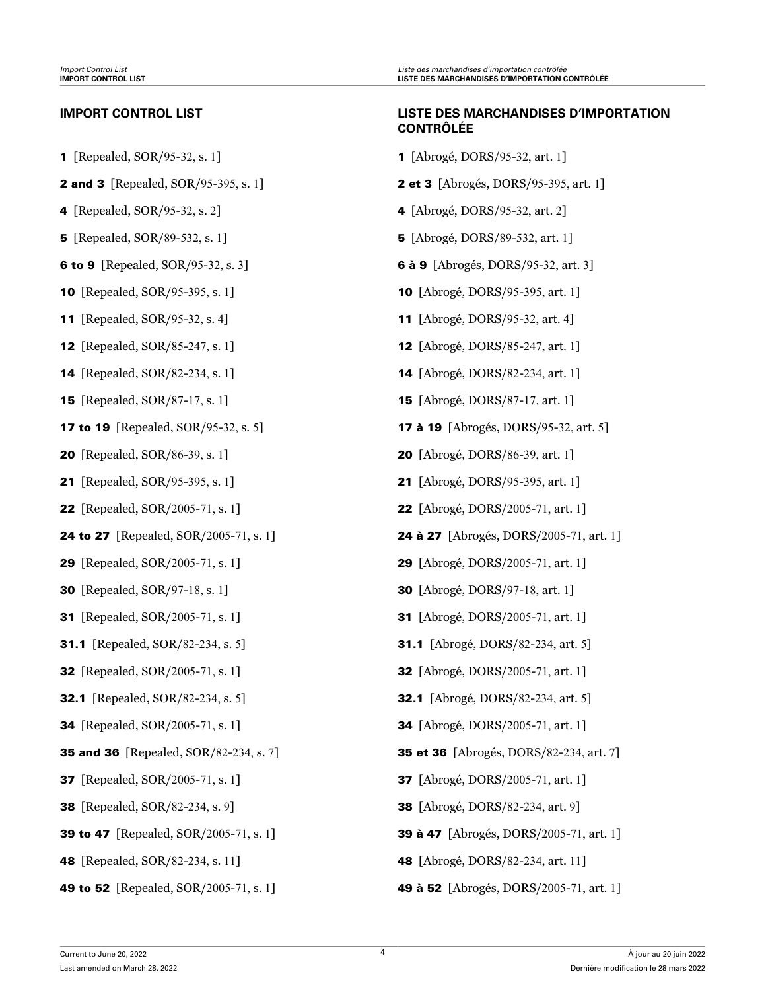- 
- 
- 
- 
- 
- 
- 
- **12** [Repealed, SOR/85-247, s. 1] **12** [Abrogé, DORS/85-247, art. 1]
- 
- 
- 
- 
- 
- 
- 
- 
- 
- 
- 
- 
- 
- 
- 
- 
- 
- 
- 
- 

### <span id="page-3-0"></span>**IMPORT CONTROL LIST LISTE DES MARCHANDISES D'IMPORTATION CONTRÔLÉE**

- **1** [Repealed, SOR/95-32, s. 1] **1** [Abrogé, DORS/95-32, art. 1]
- **2 and 3** [Repealed, SOR/95-395, s. 1] **2 et 3** [Abrogés, DORS/95-395, art. 1]
- **4** [Repealed, SOR/95-32, s. 2] **4** [Abrogé, DORS/95-32, art. 2]
- **5** [Repealed, SOR/89-532, s. 1] **5** [Abrogé, DORS/89-532, art. 1]
- **6 to 9** [Repealed, SOR/95-32, s. 3] **6 à 9** [Abrogés, DORS/95-32, art. 3]
- **10** [Repealed, SOR/95-395, s. 1] **10** [Abrogé, DORS/95-395, art. 1]
- **11** [Repealed, SOR/95-32, s. 4] **11** [Abrogé, DORS/95-32, art. 4]
	-
- **14** [Repealed, SOR/82-234, s. 1] **14** [Abrogé, DORS/82-234, art. 1]
- **15** [Repealed, SOR/87-17, s. 1] **15** [Abrogé, DORS/87-17, art. 1]
- **17 to 19** [Repealed, SOR/95-32, s. 5] **17 à 19** [Abrogés, DORS/95-32, art. 5]
- 20 [Repealed, SOR/86-39, s. 1] 20 [Abrogé, DORS/86-39, art. 1]
- 21 [Repealed, SOR/95-395, s. 1] 21 [Abrogé, DORS/95-395, art. 1]
- 22 [Repealed, SOR/2005-71, s. 1] 22 [Abrogé, DORS/2005-71, art. 1]
- 24 to 27 [Repealed, SOR/2005-71, s. 1] 24 à 27 [Abrogés, DORS/2005-71, art. 1]
- 29 [Repealed, SOR/2005-71, s. 1] 29 [Abrogé, DORS/2005-71, art. 1]
- 30 [Repealed, SOR/97-18, s. 1] 30 [Abrogé, DORS/97-18, art. 1]
- 31 [Repealed, SOR/2005-71, s. 1] 31 [Abrogé, DORS/2005-71, art. 1]
- 31.1 [Repealed, SOR/82-234, s. 5] 31.1 [Abrogé, DORS/82-234, art. 5]
- 32 [Repealed, SOR/2005-71, s. 1] 32 [Abrogé, DORS/2005-71, art. 1]
- 32.1 [Repealed, SOR/82-234, s. 5] 32.1 [Abrogé, DORS/82-234, art. 5]
- 34 [Repealed, SOR/2005-71, s. 1] 34 [Abrogé, DORS/2005-71, art. 1]
- 35 and 36 [Repealed, SOR/82-234, s. 7] 35 et 36 [Abrogés, DORS/82-234, art. 7]
- 37 [Repealed, SOR/2005-71, s. 1] 37 [Abrogé, DORS/2005-71, art. 1]
- 38 [Repealed, SOR/82-234, s. 9] 38 [Abrogé, DORS/82-234, art. 9]
- **39 to 47** [Repealed, SOR/2005-71, s. 1] **39 à 47** [Abrogés, DORS/2005-71, art. 1]
- 48 [Repealed, SOR/82-234, s. 11] 48 [Abrogé, DORS/82-234, art. 11]
- 49 to 52 [Repealed, SOR/2005-71, s. 1] 49 à 52 [Abrogés, DORS/2005-71, art. 1]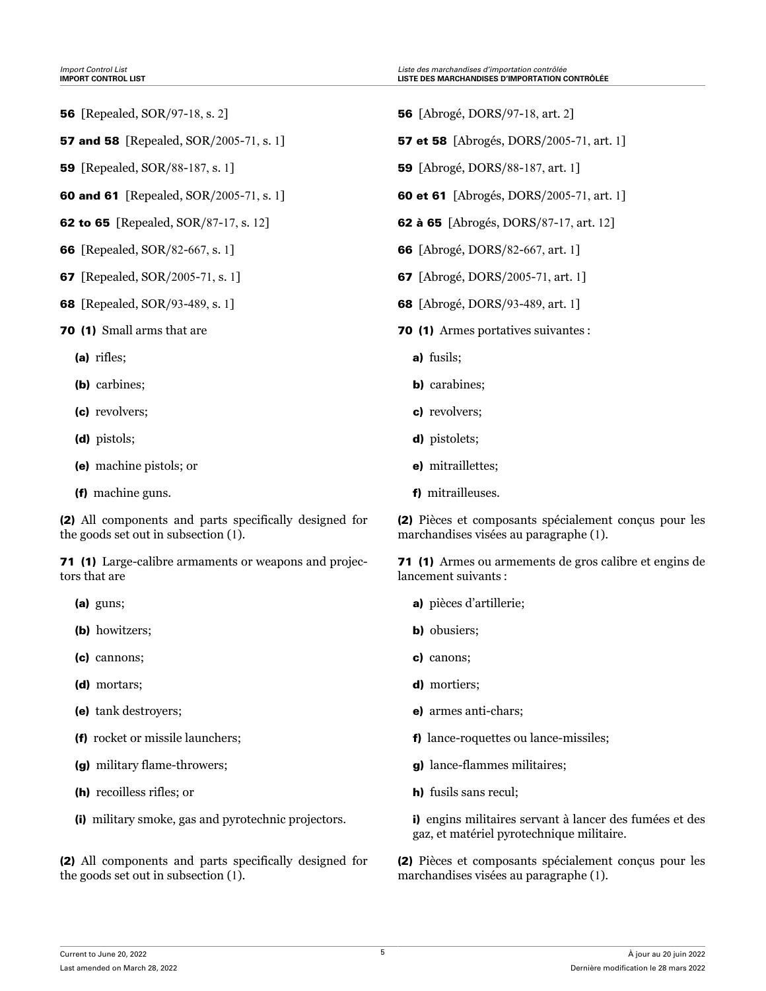- 
- 
- 
- 
- 
- 
- 
- 
- 70 (1) Small arms that are
	- (a) rifles;
	- (b) carbines;
	- (c) revolvers;
	- (d) pistols;
	- (e) machine pistols; or
	- (f) machine guns.

(2) All components and parts specifically designed for the goods set out in subsection (1).

71 (1) Large-calibre armaments or weapons and projectors that are

- (a) guns;
- (b) howitzers;
- (c) cannons;
- (d) mortars;
- (e) tank destroyers;
- (f) rocket or missile launchers;
- (g) military flame-throwers;
- (h) recoilless rifles; or
- (i) military smoke, gas and pyrotechnic projectors.

(2) All components and parts specifically designed for the goods set out in subsection (1).

- 56 [Repealed, SOR/97-18, s. 2] 56 [Abrogé, DORS/97-18, art. 2]
- **57 and 58** [Repealed, SOR/2005-71, s. 1] **57 et 58** [Abrogés, DORS/2005-71, art. 1]
- 59 [Repealed, SOR/88-187, s. 1] 59 [Abrogé, DORS/88-187, art. 1]
- **60 and 61** [Repealed, SOR/2005-71, s. 1] **60 et 61** [Abrogés, DORS/2005-71, art. 1]
- 62 to 65 [Repealed, SOR/87-17, s. 12] 62 à 65 [Abrogés, DORS/87-17, art. 12]
- 66 [Repealed, SOR/82-667, s. 1] 66 [Abrogé, DORS/82-667, art. 1]
- 67 [Repealed, SOR/2005-71, s. 1] 67 [Abrogé, DORS/2005-71, art. 1]
- 68 [Repealed, SOR/93-489, s. 1] 68 [Abrogé, DORS/93-489, art. 1]
	- 70 (1) Armes portatives suivantes :
		- a) fusils;
		- b) carabines;
		- c) revolvers;
		- d) pistolets;
		- e) mitraillettes;
		- f) mitrailleuses.

(2) Pièces et composants spécialement conçus pour les marchandises visées au paragraphe (1).

71 (1) Armes ou armements de gros calibre et engins de lancement suivants :

- a) pièces d'artillerie;
- b) obusiers;
- c) canons;
- d) mortiers;
- e) armes anti-chars;
- f) lance-roquettes ou lance-missiles;
- g) lance-flammes militaires;
- h) fusils sans recul;

i) engins militaires servant à lancer des fumées et des gaz, et matériel pyrotechnique militaire.

(2) Pièces et composants spécialement conçus pour les marchandises visées au paragraphe (1).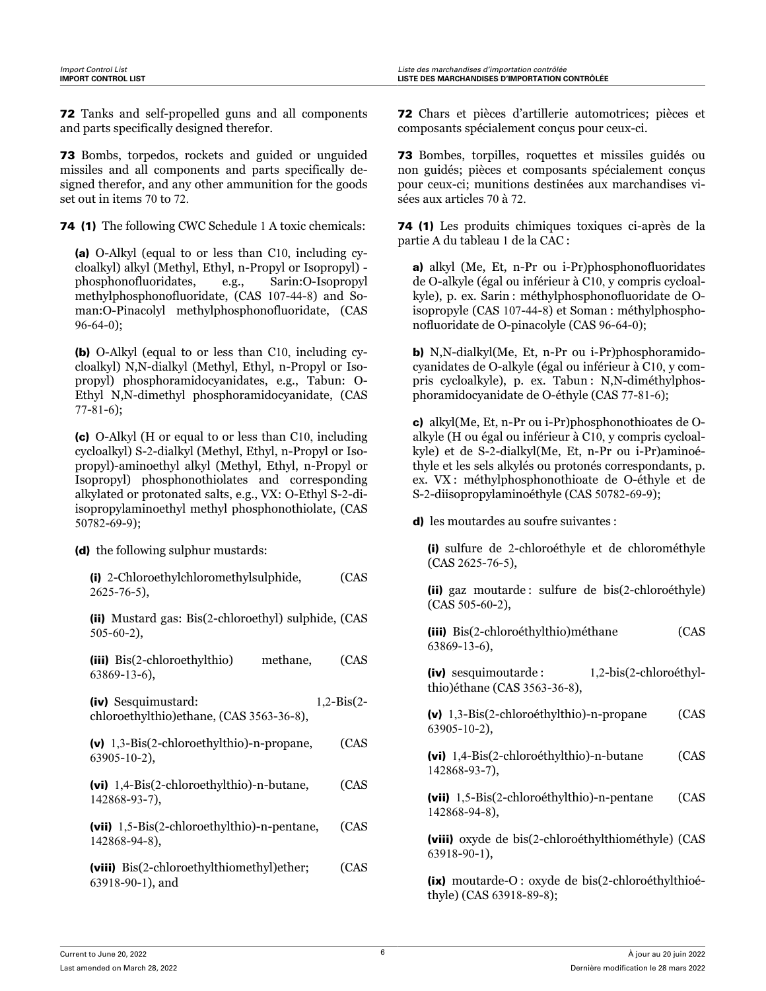72 Tanks and self-propelled guns and all components and parts specifically designed therefor.

73 Bombs, torpedos, rockets and guided or unguided missiles and all components and parts specifically designed therefor, and any other ammunition for the goods set out in items 70 to 72.

74 (1) The following CWC Schedule 1 A toxic chemicals:

(a) O-Alkyl (equal to or less than C10, including cycloalkyl) alkyl (Methyl, Ethyl, n-Propyl or Isopropyl) phosphonofluoridates, e.g., Sarin:O-Isopropyl methylphosphonofluoridate, (CAS 107-44-8) and Soman:O-Pinacolyl methylphosphonofluoridate, (CAS 96-64-0);

(b) O-Alkyl (equal to or less than C10, including cycloalkyl) N,N-dialkyl (Methyl, Ethyl, n-Propyl or Isopropyl) phosphoramidocyanidates, e.g., Tabun: O-Ethyl N,N-dimethyl phosphoramidocyanidate, (CAS 77-81-6);

(c) O-Alkyl (H or equal to or less than C10, including cycloalkyl) S-2-dialkyl (Methyl, Ethyl, n-Propyl or Isopropyl)-aminoethyl alkyl (Methyl, Ethyl, n-Propyl or Isopropyl) phosphonothiolates and corresponding alkylated or protonated salts, e.g., VX: O-Ethyl S-2-diisopropylaminoethyl methyl phosphonothiolate, (CAS 50782-69-9);

(d) the following sulphur mustards:

| (i) 2-Chloroethylchloromethylsulphide,<br>$2625 - 76 - 5$ ,             | (CAS         |
|-------------------------------------------------------------------------|--------------|
| (ii) Mustard gas: Bis(2-chloroethyl) sulphide, (CAS<br>$505 - 60 - 2$ , |              |
| (iii) Bis(2-chloroethylthio)<br>methane,<br>$63869 - 13 - 6$ ,          | (CAS         |
| (iv) Sesquimustard:<br>chloroethylthio)ethane, (CAS 3563-36-8),         | $1,2-Bis(2-$ |
| $(v)$ 1,3-Bis(2-chloroethylthio)-n-propane,<br>$63905 - 10 - 2$ ,       | (CAS         |
| (vi) 1,4-Bis(2-chloroethylthio)-n-butane,<br>142868-93-7),              | (CAS         |
| (vii) $1,5-Bis(2-chloroethylthio)-n-pentane$ ,<br>142868-94-8),         | (CAS         |
| (viii) Bis(2-chloroethylthiomethyl)ether;<br>$63918 - 90 - 1$ , and     | (CAS         |

72 Chars et pièces d'artillerie automotrices; pièces et composants spécialement conçus pour ceux-ci.

73 Bombes, torpilles, roquettes et missiles guidés ou non guidés; pièces et composants spécialement conçus pour ceux-ci; munitions destinées aux marchandises visées aux articles 70 à 72.

74 (1) Les produits chimiques toxiques ci-après de la partie A du tableau 1 de la CAC :

a) alkyl (Me, Et, n-Pr ou i-Pr)phosphonofluoridates de O-alkyle (égal ou inférieur à C10, y compris cycloalkyle), p. ex. Sarin : méthylphosphonofluoridate de Oisopropyle (CAS 107-44-8) et Soman : méthylphosphonofluoridate de O-pinacolyle (CAS 96-64-0);

b) N,N-dialkyl(Me, Et, n-Pr ou i-Pr)phosphoramidocyanidates de O-alkyle (égal ou inférieur à C10, y compris cycloalkyle), p. ex. Tabun : N,N-diméthylphosphoramidocyanidate de O-éthyle (CAS 77-81-6);

c) alkyl(Me, Et, n-Pr ou i-Pr)phosphonothioates de Oalkyle (H ou égal ou inférieur à C10, y compris cycloalkyle) et de S-2-dialkyl(Me, Et, n-Pr ou i-Pr)aminoéthyle et les sels alkylés ou protonés correspondants, p. ex. VX : méthylphosphonothioate de O-éthyle et de S-2-diisopropylaminoéthyle (CAS 50782-69-9);

d) les moutardes au soufre suivantes :

(i) sulfure de 2-chloroéthyle et de chlorométhyle (CAS 2625-76-5),

(ii) gaz moutarde : sulfure de bis(2-chloroéthyle) (CAS 505-60-2),

| (iii) Bis(2-chloroéthylthio)méthane<br>63869-13-6). | (CAS                   |
|-----------------------------------------------------|------------------------|
| (iv) sesquimoutarde:                                | 1,2-bis(2-chloroéthyl- |

thio)éthane (CAS 3563-36-8),

(v) 1,3-Bis(2-chloroéthylthio)-n-propane (CAS 63905-10-2),

(vi) 1,4-Bis(2-chloroéthylthio)-n-butane (CAS 142868-93-7),

(vii) 1,5-Bis(2-chloroéthylthio)-n-pentane (CAS 142868-94-8),

(viii) oxyde de bis(2-chloroéthylthiométhyle) (CAS 63918-90-1),

(ix) moutarde-O : oxyde de bis(2-chloroéthylthioéthyle) (CAS 63918-89-8);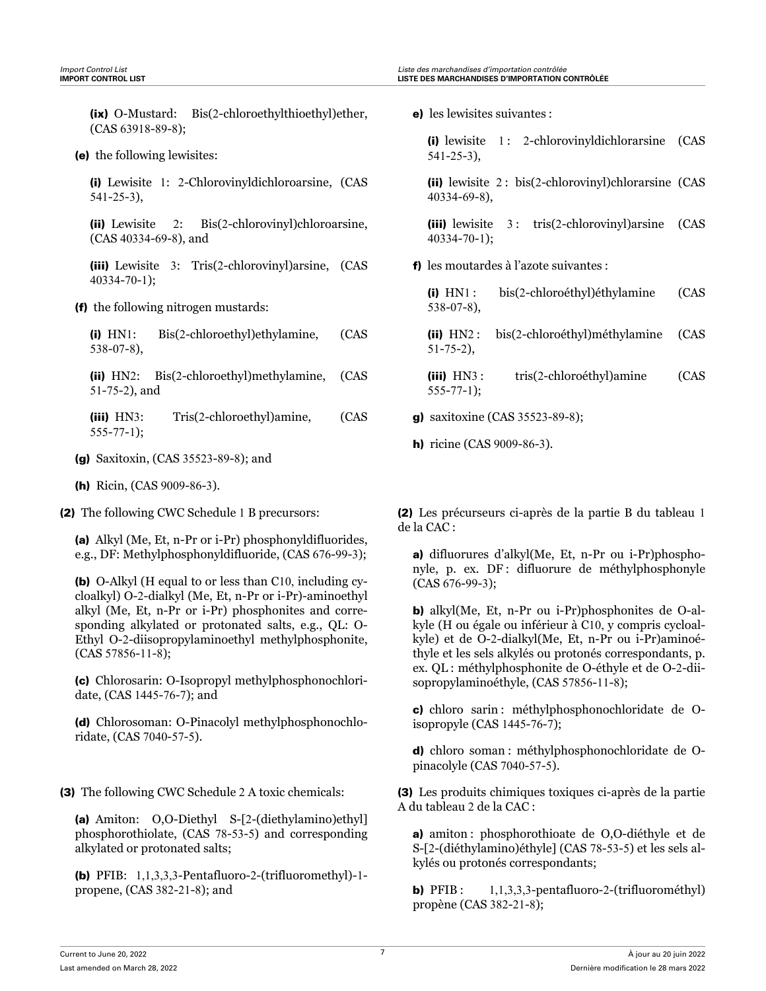(ix) O-Mustard: Bis(2-chloroethylthioethyl)ether, (CAS 63918-89-8);

(e) the following lewisites:

(i) Lewisite 1: 2-Chlorovinyldichloroarsine, (CAS 541-25-3),

(ii) Lewisite 2: Bis(2-chlorovinyl)chloroarsine, (CAS 40334-69-8), and

(iii) Lewisite 3: Tris(2-chlorovinyl)arsine, (CAS 40334-70-1);

(f) the following nitrogen mustards:

| $(i)$ $HN1$ :    | Bis(2-chloroethyl)ethylamine, | (CAS |
|------------------|-------------------------------|------|
| $538 - 07 - 8$ , |                               |      |

(ii) HN2: Bis(2-chloroethyl)methylamine, (CAS 51-75-2), and

(iii) HN3: Tris(2-chloroethyl)amine, (CAS 555-77-1);

- (g) Saxitoxin, (CAS 35523-89-8); and
- (h) Ricin, (CAS 9009-86-3).

(2) The following CWC Schedule 1 B precursors:

(a) Alkyl (Me, Et, n-Pr or i-Pr) phosphonyldifluorides, e.g., DF: Methylphosphonyldifluoride, (CAS 676-99-3);

(b) O-Alkyl (H equal to or less than C10, including cycloalkyl) O-2-dialkyl (Me, Et, n-Pr or i-Pr)-aminoethyl alkyl (Me, Et, n-Pr or i-Pr) phosphonites and corresponding alkylated or protonated salts, e.g., QL: O-Ethyl O-2-diisopropylaminoethyl methylphosphonite, (CAS 57856-11-8);

(c) Chlorosarin: O-Isopropyl methylphosphonochloridate, (CAS 1445-76-7); and

(d) Chlorosoman: O-Pinacolyl methylphosphonochloridate, (CAS 7040-57-5).

(3) The following CWC Schedule 2 A toxic chemicals:

(a) Amiton: O,O-Diethyl S-[2-(diethylamino)ethyl] phosphorothiolate, (CAS 78-53-5) and corresponding alkylated or protonated salts;

(b) PFIB: 1,1,3,3,3-Pentafluoro-2-(trifluoromethyl)-1 propene, (CAS 382-21-8); and

e) les lewisites suivantes :

(i) lewisite 1 : 2-chlorovinyldichlorarsine (CAS 541-25-3),

(ii) lewisite 2 : bis(2-chlorovinyl)chlorarsine (CAS 40334-69-8),

(iii) lewisite 3: tris(2-chlorovinyl)arsine (CAS 40334-70-1);

f) les moutardes à l'azote suivantes :

(i) HN1 : bis(2-chloroéthyl)éthylamine (CAS 538-07-8),

(ii) HN2 : bis(2-chloroéthyl)méthylamine (CAS 51-75-2),

(iii) HN3: tris(2-chloroéthyl)amine (CAS 555-77-1);

g) saxitoxine (CAS 35523-89-8);

h) ricine (CAS 9009-86-3).

(2) Les précurseurs ci-après de la partie B du tableau 1 de la CAC :

a) difluorures d'alkyl(Me, Et, n-Pr ou i-Pr)phosphonyle, p. ex. DF : difluorure de méthylphosphonyle (CAS 676-99-3);

b) alkyl(Me, Et, n-Pr ou i-Pr)phosphonites de O-alkyle (H ou égale ou inférieur à C10, y compris cycloalkyle) et de O-2-dialkyl(Me, Et, n-Pr ou i-Pr)aminoéthyle et les sels alkylés ou protonés correspondants, p. ex. QL : méthylphosphonite de O-éthyle et de O-2-diisopropylaminoéthyle, (CAS 57856-11-8);

c) chloro sarin : méthylphosphonochloridate de Oisopropyle (CAS 1445-76-7);

d) chloro soman : méthylphosphonochloridate de Opinacolyle (CAS 7040-57-5).

(3) Les produits chimiques toxiques ci-après de la partie A du tableau 2 de la CAC :

a) amiton : phosphorothioate de O,O-diéthyle et de S-[2-(diéthylamino)éthyle] (CAS 78-53-5) et les sels alkylés ou protonés correspondants;

**b)** PFIB:  $1,1,3,3,3$ -pentafluoro-2-(trifluorométhyl) propène (CAS 382-21-8);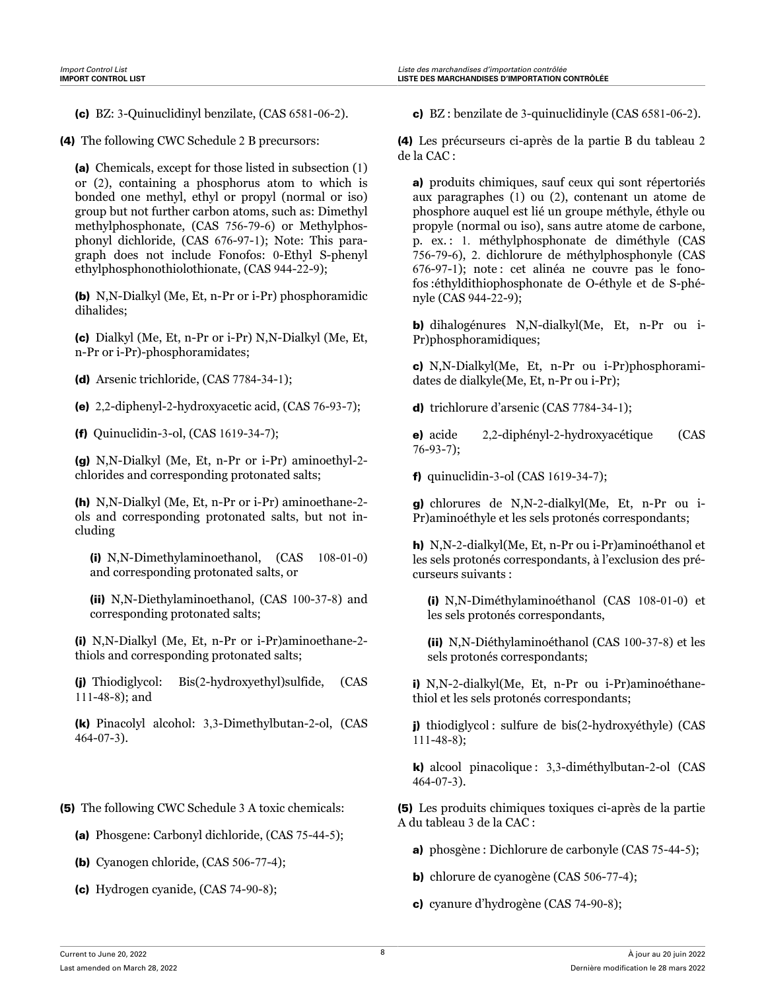- 
- (4) The following CWC Schedule 2 B precursors:

(a) Chemicals, except for those listed in subsection (1) or (2), containing a phosphorus atom to which is bonded one methyl, ethyl or propyl (normal or iso) group but not further carbon atoms, such as: Dimethyl methylphosphonate, (CAS 756-79-6) or Methylphosphonyl dichloride, (CAS 676-97-1); Note: This paragraph does not include Fonofos: 0-Ethyl S-phenyl ethylphosphonothiolothionate, (CAS 944-22-9);

(b) N,N-Dialkyl (Me, Et, n-Pr or i-Pr) phosphoramidic dihalides;

(c) Dialkyl (Me, Et, n-Pr or i-Pr) N,N-Dialkyl (Me, Et, n-Pr or i-Pr)-phosphoramidates;

- (d) Arsenic trichloride, (CAS 7784-34-1);
- (e) 2,2-diphenyl-2-hydroxyacetic acid, (CAS 76-93-7);
- (f) Quinuclidin-3-ol, (CAS 1619-34-7);

(g) N,N-Dialkyl (Me, Et, n-Pr or i-Pr) aminoethyl-2 chlorides and corresponding protonated salts;

(h) N,N-Dialkyl (Me, Et, n-Pr or i-Pr) aminoethane-2 ols and corresponding protonated salts, but not including

(i) N,N-Dimethylaminoethanol, (CAS 108-01-0) and corresponding protonated salts, or

(ii) N,N-Diethylaminoethanol, (CAS 100-37-8) and corresponding protonated salts;

(i) N,N-Dialkyl (Me, Et, n-Pr or i-Pr)aminoethane-2 thiols and corresponding protonated salts;

(j) Thiodiglycol: Bis(2-hydroxyethyl)sulfide, (CAS 111-48-8); and

(k) Pinacolyl alcohol: 3,3-Dimethylbutan-2-ol, (CAS 464-07-3).

- (5) The following CWC Schedule 3 A toxic chemicals:
	- (a) Phosgene: Carbonyl dichloride, (CAS 75-44-5);
	- (b) Cyanogen chloride, (CAS 506-77-4);
	- (c) Hydrogen cyanide, (CAS 74-90-8);

(c) BZ: 3-Quinuclidinyl benzilate, (CAS 6581-06-2). c) BZ : benzilate de 3-quinuclidinyle (CAS 6581-06-2).

(4) Les précurseurs ci-après de la partie B du tableau 2 de la CAC :

a) produits chimiques, sauf ceux qui sont répertoriés aux paragraphes (1) ou (2), contenant un atome de phosphore auquel est lié un groupe méthyle, éthyle ou propyle (normal ou iso), sans autre atome de carbone, p. ex. : 1. méthylphosphonate de diméthyle (CAS 756-79-6), 2. dichlorure de méthylphosphonyle (CAS 676-97-1); note : cet alinéa ne couvre pas le fonofos :éthyldithiophosphonate de O-éthyle et de S-phényle (CAS 944-22-9);

b) dihalogénures N,N-dialkyl(Me, Et, n-Pr ou i-Pr)phosphoramidiques;

c) N,N-Dialkyl(Me, Et, n-Pr ou i-Pr)phosphoramidates de dialkyle(Me, Et, n-Pr ou i-Pr);

d) trichlorure d'arsenic (CAS 7784-34-1);

e) acide 2,2-diphényl-2-hydroxyacétique (CAS 76-93-7);

f) quinuclidin-3-ol (CAS 1619-34-7);

g) chlorures de N,N-2-dialkyl(Me, Et, n-Pr ou i-Pr)aminoéthyle et les sels protonés correspondants;

h) N,N-2-dialkyl(Me, Et, n-Pr ou i-Pr)aminoéthanol et les sels protonés correspondants, à l'exclusion des précurseurs suivants :

(i) N,N-Diméthylaminoéthanol (CAS 108-01-0) et les sels protonés correspondants,

(ii) N,N-Diéthylaminoéthanol (CAS 100-37-8) et les sels protonés correspondants;

i) N,N-2-dialkyl(Me, Et, n-Pr ou i-Pr)aminoéthanethiol et les sels protonés correspondants;

j) thiodiglycol : sulfure de bis(2-hydroxyéthyle) (CAS 111-48-8);

k) alcool pinacolique : 3,3-diméthylbutan-2-ol (CAS 464-07-3).

(5) Les produits chimiques toxiques ci-après de la partie A du tableau 3 de la CAC :

- a) phosgène : Dichlorure de carbonyle (CAS 75-44-5);
- b) chlorure de cyanogène (CAS 506-77-4);
- c) cyanure d'hydrogène (CAS 74-90-8);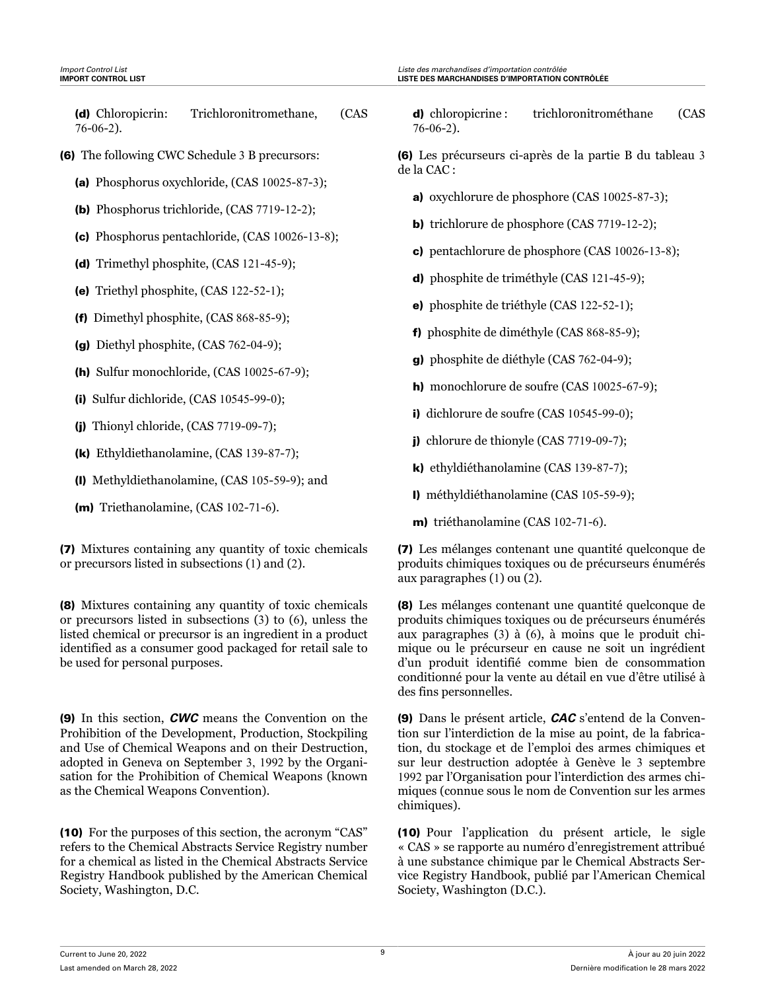- (6) The following CWC Schedule 3 B precursors:
	- (a) Phosphorus oxychloride, (CAS 10025-87-3);
	- (b) Phosphorus trichloride, (CAS 7719-12-2);
	- (c) Phosphorus pentachloride, (CAS 10026-13-8);
	- (d) Trimethyl phosphite, (CAS 121-45-9);
	- (e) Triethyl phosphite, (CAS 122-52-1);
	- (f) Dimethyl phosphite, (CAS 868-85-9);
	- (g) Diethyl phosphite, (CAS 762-04-9);
	- (h) Sulfur monochloride, (CAS 10025-67-9);
	- (i) Sulfur dichloride, (CAS 10545-99-0);
	- (j) Thionyl chloride, (CAS 7719-09-7);
	- (k) Ethyldiethanolamine, (CAS 139-87-7);
	- (l) Methyldiethanolamine, (CAS 105-59-9); and
	- (m) Triethanolamine, (CAS 102-71-6).

(7) Mixtures containing any quantity of toxic chemicals or precursors listed in subsections (1) and (2).

(8) Mixtures containing any quantity of toxic chemicals or precursors listed in subsections (3) to (6), unless the listed chemical or precursor is an ingredient in a product identified as a consumer good packaged for retail sale to be used for personal purposes.

(9) In this section, *CWC* means the Convention on the Prohibition of the Development, Production, Stockpiling and Use of Chemical Weapons and on their Destruction, adopted in Geneva on September 3, 1992 by the Organisation for the Prohibition of Chemical Weapons (known as the Chemical Weapons Convention).

(10) For the purposes of this section, the acronym "CAS" refers to the Chemical Abstracts Service Registry number for a chemical as listed in the Chemical Abstracts Service Registry Handbook published by the American Chemical Society, Washington, D.C.

d) chloropicrine : trichloronitrométhane (CAS 76-06-2).

(6) Les précurseurs ci-après de la partie B du tableau 3 de la CAC :

- a) oxychlorure de phosphore (CAS 10025-87-3);
- b) trichlorure de phosphore (CAS 7719-12-2);
- c) pentachlorure de phosphore (CAS 10026-13-8);
- d) phosphite de triméthyle (CAS 121-45-9);
- e) phosphite de triéthyle (CAS 122-52-1);
- f) phosphite de diméthyle (CAS 868-85-9);
- g) phosphite de diéthyle (CAS 762-04-9);
- h) monochlorure de soufre (CAS 10025-67-9);
- i) dichlorure de soufre (CAS 10545-99-0);
- j) chlorure de thionyle (CAS 7719-09-7);
- k) ethyldiéthanolamine (CAS 139-87-7);
- l) méthyldiéthanolamine (CAS 105-59-9);
- m) triéthanolamine (CAS 102-71-6).

(7) Les mélanges contenant une quantité quelconque de produits chimiques toxiques ou de précurseurs énumérés aux paragraphes (1) ou (2).

(8) Les mélanges contenant une quantité quelconque de produits chimiques toxiques ou de précurseurs énumérés aux paragraphes (3) à (6), à moins que le produit chimique ou le précurseur en cause ne soit un ingrédient d'un produit identifié comme bien de consommation conditionné pour la vente au détail en vue d'être utilisé à des fins personnelles.

(9) Dans le présent article, *CAC* s'entend de la Convention sur l'interdiction de la mise au point, de la fabrication, du stockage et de l'emploi des armes chimiques et sur leur destruction adoptée à Genève le 3 septembre 1992 par l'Organisation pour l'interdiction des armes chimiques (connue sous le nom de Convention sur les armes chimiques).

(10) Pour l'application du présent article, le sigle « CAS » se rapporte au numéro d'enregistrement attribué à une substance chimique par le Chemical Abstracts Service Registry Handbook, publié par l'American Chemical Society, Washington (D.C.).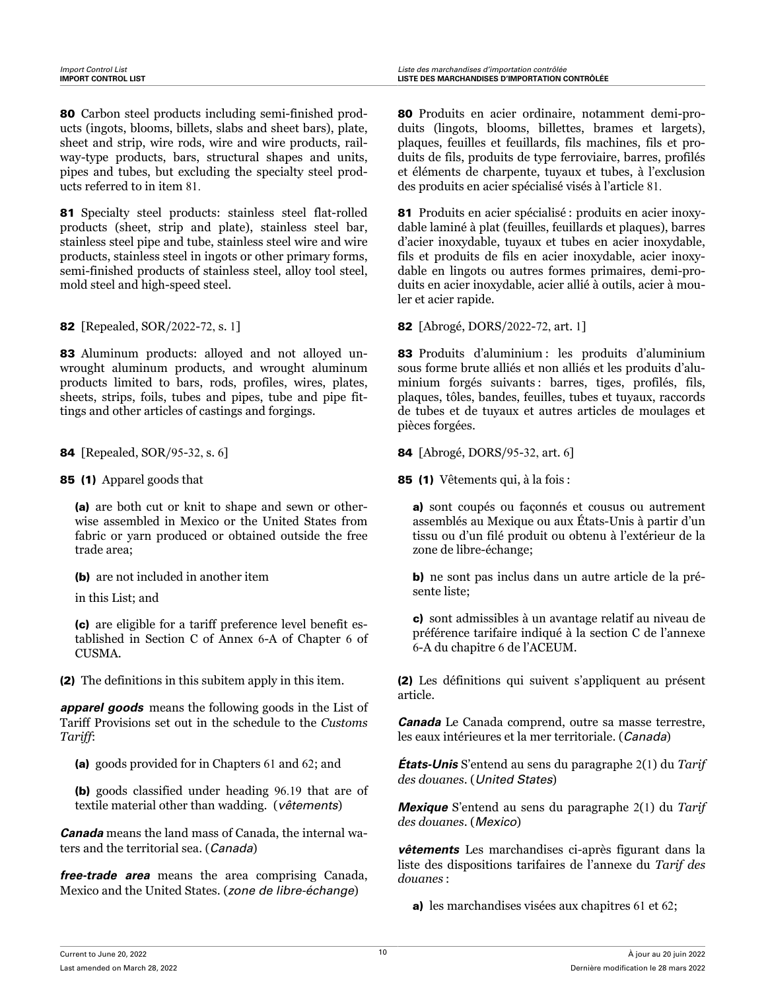80 Carbon steel products including semi-finished products (ingots, blooms, billets, slabs and sheet bars), plate, sheet and strip, wire rods, wire and wire products, railway-type products, bars, structural shapes and units, pipes and tubes, but excluding the specialty steel products referred to in item 81.

81 Specialty steel products: stainless steel flat-rolled products (sheet, strip and plate), stainless steel bar, stainless steel pipe and tube, stainless steel wire and wire products, stainless steel in ingots or other primary forms, semi-finished products of stainless steel, alloy tool steel, mold steel and high-speed steel.

83 Aluminum products: alloyed and not alloyed unwrought aluminum products, and wrought aluminum products limited to bars, rods, profiles, wires, plates, sheets, strips, foils, tubes and pipes, tube and pipe fittings and other articles of castings and forgings.

85 (1) Apparel goods that

(a) are both cut or knit to shape and sewn or otherwise assembled in Mexico or the United States from fabric or yarn produced or obtained outside the free trade area;

(b) are not included in another item

in this List; and

(c) are eligible for a tariff preference level benefit established in Section C of Annex 6-A of Chapter 6 of CUSMA.

(2) The definitions in this subitem apply in this item.

*apparel goods* means the following goods in the List of Tariff Provisions set out in the schedule to the *Customs Tariff*:

(a) goods provided for in Chapters 61 and 62; and

(b) goods classified under heading 96.19 that are of textile material other than wadding. (*vêtements*)

*Canada* means the land mass of Canada, the internal waters and the territorial sea. (*Canada*)

*free-trade area* means the area comprising Canada, Mexico and the United States. (*zone de libre-échange*)

80 Produits en acier ordinaire, notamment demi-produits (lingots, blooms, billettes, brames et largets), plaques, feuilles et feuillards, fils machines, fils et produits de fils, produits de type ferroviaire, barres, profilés et éléments de charpente, tuyaux et tubes, à l'exclusion des produits en acier spécialisé visés à l'article 81.

81 Produits en acier spécialisé : produits en acier inoxydable laminé à plat (feuilles, feuillards et plaques), barres d'acier inoxydable, tuyaux et tubes en acier inoxydable, fils et produits de fils en acier inoxydable, acier inoxydable en lingots ou autres formes primaires, demi-produits en acier inoxydable, acier allié à outils, acier à mouler et acier rapide.

**82** [Repealed, SOR/2022-72, s. 1] **82** [Abrogé, DORS/2022-72, art. 1]

83 Produits d'aluminium : les produits d'aluminium sous forme brute alliés et non alliés et les produits d'aluminium forgés suivants : barres, tiges, profilés, fils, plaques, tôles, bandes, feuilles, tubes et tuyaux, raccords de tubes et de tuyaux et autres articles de moulages et pièces forgées.

**84** [Repealed, SOR/95-32, s. 6] **84** [Abrogé, DORS/95-32, art. 6]

85 (1) Vêtements qui, à la fois :

a) sont coupés ou façonnés et cousus ou autrement assemblés au Mexique ou aux États-Unis à partir d'un tissu ou d'un filé produit ou obtenu à l'extérieur de la zone de libre-échange;

b) ne sont pas inclus dans un autre article de la présente liste;

c) sont admissibles à un avantage relatif au niveau de préférence tarifaire indiqué à la section C de l'annexe 6-A du chapitre 6 de l'ACEUM.

(2) Les définitions qui suivent s'appliquent au présent article.

*Canada* Le Canada comprend, outre sa masse terrestre, les eaux intérieures et la mer territoriale. (*Canada*)

*États-Unis* S'entend au sens du paragraphe 2(1) du *Tarif des douanes*. (*United States*)

*Mexique* S'entend au sens du paragraphe 2(1) du *Tarif des douanes*. (*Mexico*)

*vêtements* Les marchandises ci-après figurant dans la liste des dispositions tarifaires de l'annexe du *Tarif des douanes* :

a) les marchandises visées aux chapitres 61 et 62;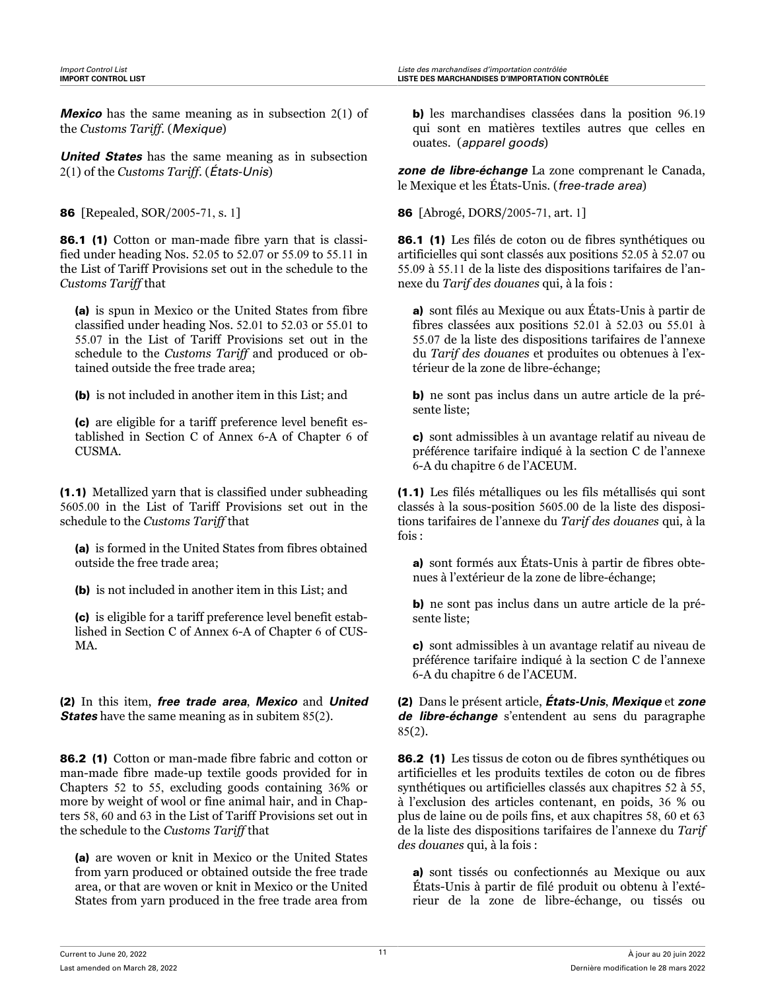*Mexico* has the same meaning as in subsection 2(1) of the *Customs Tariff*. (*Mexique*)

*United States* has the same meaning as in subsection 2(1) of the *Customs Tariff*. (*États-Unis*)

86.1 (1) Cotton or man-made fibre yarn that is classified under heading Nos. 52.05 to 52.07 or 55.09 to 55.11 in the List of Tariff Provisions set out in the schedule to the *Customs Tariff* that

(a) is spun in Mexico or the United States from fibre classified under heading Nos. 52.01 to 52.03 or 55.01 to 55.07 in the List of Tariff Provisions set out in the schedule to the *Customs Tariff* and produced or obtained outside the free trade area;

(b) is not included in another item in this List; and

(c) are eligible for a tariff preference level benefit established in Section C of Annex 6-A of Chapter 6 of CUSMA.

(1.1) Metallized yarn that is classified under subheading 5605.00 in the List of Tariff Provisions set out in the schedule to the *Customs Tariff* that

(a) is formed in the United States from fibres obtained outside the free trade area;

(b) is not included in another item in this List; and

(c) is eligible for a tariff preference level benefit established in Section C of Annex 6-A of Chapter 6 of CUS-MA.

(2) In this item, *free trade area*, *Mexico* and *United States* have the same meaning as in subitem 85(2).

86.2 (1) Cotton or man-made fibre fabric and cotton or man-made fibre made-up textile goods provided for in Chapters 52 to 55, excluding goods containing 36% or more by weight of wool or fine animal hair, and in Chapters 58, 60 and 63 in the List of Tariff Provisions set out in the schedule to the *Customs Tariff* that

(a) are woven or knit in Mexico or the United States from yarn produced or obtained outside the free trade area, or that are woven or knit in Mexico or the United States from yarn produced in the free trade area from

b) les marchandises classées dans la position 96.19 qui sont en matières textiles autres que celles en ouates. (*apparel goods*)

*zone de libre-échange* La zone comprenant le Canada, le Mexique et les États-Unis. (*free-trade area*)

86 [Repealed, SOR/2005-71, s. 1] 86 [Abrogé, DORS/2005-71, art. 1]

86.1 (1) Les filés de coton ou de fibres synthétiques ou artificielles qui sont classés aux positions 52.05 à 52.07 ou 55.09 à 55.11 de la liste des dispositions tarifaires de l'annexe du *Tarif des douanes* qui, à la fois :

a) sont filés au Mexique ou aux États-Unis à partir de fibres classées aux positions 52.01 à 52.03 ou 55.01 à 55.07 de la liste des dispositions tarifaires de l'annexe du *Tarif des douanes* et produites ou obtenues à l'extérieur de la zone de libre-échange;

b) ne sont pas inclus dans un autre article de la présente liste;

c) sont admissibles à un avantage relatif au niveau de préférence tarifaire indiqué à la section C de l'annexe 6-A du chapitre 6 de l'ACEUM.

(1.1) Les filés métalliques ou les fils métallisés qui sont classés à la sous-position 5605.00 de la liste des dispositions tarifaires de l'annexe du *Tarif des douanes* qui, à la fois :

a) sont formés aux États-Unis à partir de fibres obtenues à l'extérieur de la zone de libre-échange;

b) ne sont pas inclus dans un autre article de la présente liste;

c) sont admissibles à un avantage relatif au niveau de préférence tarifaire indiqué à la section C de l'annexe 6-A du chapitre 6 de l'ACEUM.

(2) Dans le présent article, *États-Unis*, *Mexique* et *zone de libre-échange* s'entendent au sens du paragraphe 85(2).

86.2 (1) Les tissus de coton ou de fibres synthétiques ou artificielles et les produits textiles de coton ou de fibres synthétiques ou artificielles classés aux chapitres 52 à 55, à l'exclusion des articles contenant, en poids, 36 % ou plus de laine ou de poils fins, et aux chapitres 58, 60 et 63 de la liste des dispositions tarifaires de l'annexe du *Tarif des douanes* qui, à la fois :

a) sont tissés ou confectionnés au Mexique ou aux États-Unis à partir de filé produit ou obtenu à l'extérieur de la zone de libre-échange, ou tissés ou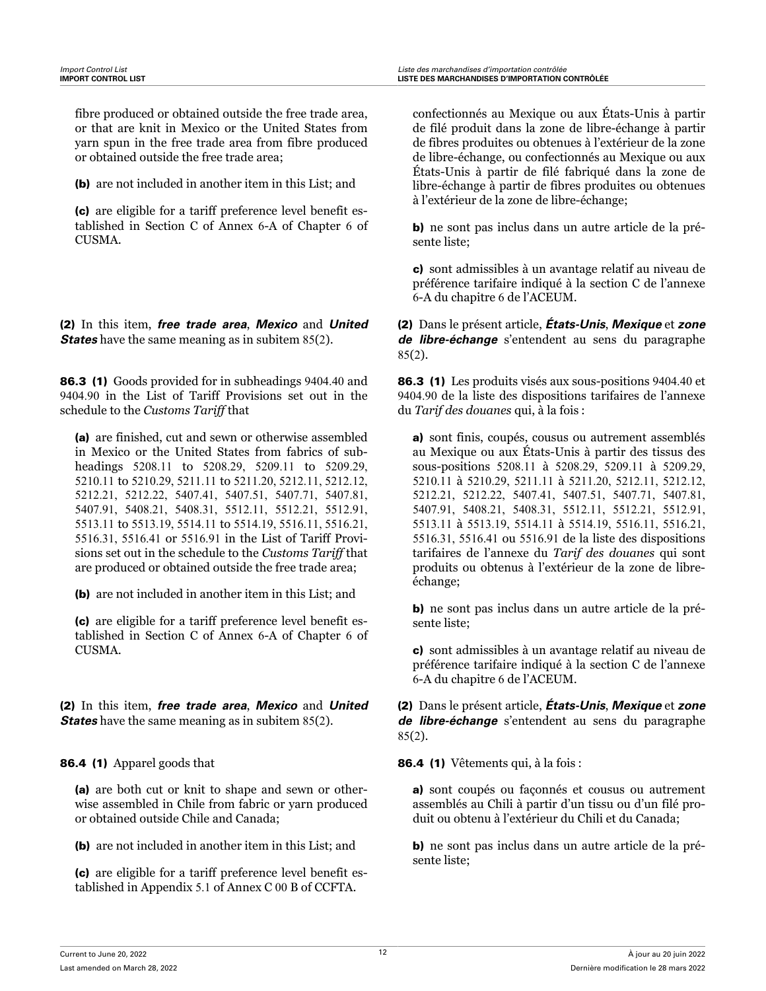fibre produced or obtained outside the free trade area, or that are knit in Mexico or the United States from yarn spun in the free trade area from fibre produced or obtained outside the free trade area;

(b) are not included in another item in this List; and

(c) are eligible for a tariff preference level benefit established in Section C of Annex 6-A of Chapter 6 of CUSMA.

(2) In this item, *free trade area*, *Mexico* and *United States* have the same meaning as in subitem 85(2).

86.3 (1) Goods provided for in subheadings 9404.40 and 9404.90 in the List of Tariff Provisions set out in the schedule to the *Customs Tariff* that

(a) are finished, cut and sewn or otherwise assembled in Mexico or the United States from fabrics of subheadings 5208.11 to 5208.29, 5209.11 to 5209.29, 5210.11 to 5210.29, 5211.11 to 5211.20, 5212.11, 5212.12, 5212.21, 5212.22, 5407.41, 5407.51, 5407.71, 5407.81, 5407.91, 5408.21, 5408.31, 5512.11, 5512.21, 5512.91, 5513.11 to 5513.19, 5514.11 to 5514.19, 5516.11, 5516.21, 5516.31, 5516.41 or 5516.91 in the List of Tariff Provisions set out in the schedule to the *Customs Tariff* that are produced or obtained outside the free trade area;

(b) are not included in another item in this List; and

(c) are eligible for a tariff preference level benefit established in Section C of Annex 6-A of Chapter 6 of CUSMA.

(2) In this item, *free trade area*, *Mexico* and *United States* have the same meaning as in subitem 85(2).

86.4 (1) Apparel goods that

(a) are both cut or knit to shape and sewn or otherwise assembled in Chile from fabric or yarn produced or obtained outside Chile and Canada;

(b) are not included in another item in this List; and

(c) are eligible for a tariff preference level benefit established in Appendix 5.1 of Annex C 00 B of CCFTA.

confectionnés au Mexique ou aux États-Unis à partir de filé produit dans la zone de libre-échange à partir de fibres produites ou obtenues à l'extérieur de la zone de libre-échange, ou confectionnés au Mexique ou aux États-Unis à partir de filé fabriqué dans la zone de libre-échange à partir de fibres produites ou obtenues à l'extérieur de la zone de libre-échange;

b) ne sont pas inclus dans un autre article de la présente liste;

c) sont admissibles à un avantage relatif au niveau de préférence tarifaire indiqué à la section C de l'annexe 6-A du chapitre 6 de l'ACEUM.

(2) Dans le présent article, *États-Unis*, *Mexique* et *zone de libre-échange* s'entendent au sens du paragraphe 85(2).

86.3 (1) Les produits visés aux sous-positions 9404.40 et 9404.90 de la liste des dispositions tarifaires de l'annexe du *Tarif des douanes* qui, à la fois :

a) sont finis, coupés, cousus ou autrement assemblés au Mexique ou aux États-Unis à partir des tissus des sous-positions 5208.11 à 5208.29, 5209.11 à 5209.29, 5210.11 à 5210.29, 5211.11 à 5211.20, 5212.11, 5212.12, 5212.21, 5212.22, 5407.41, 5407.51, 5407.71, 5407.81, 5407.91, 5408.21, 5408.31, 5512.11, 5512.21, 5512.91, 5513.11 à 5513.19, 5514.11 à 5514.19, 5516.11, 5516.21, 5516.31, 5516.41 ou 5516.91 de la liste des dispositions tarifaires de l'annexe du *Tarif des douanes* qui sont produits ou obtenus à l'extérieur de la zone de libreéchange;

b) ne sont pas inclus dans un autre article de la présente liste;

c) sont admissibles à un avantage relatif au niveau de préférence tarifaire indiqué à la section C de l'annexe 6-A du chapitre 6 de l'ACEUM.

(2) Dans le présent article, *États-Unis*, *Mexique* et *zone de libre-échange* s'entendent au sens du paragraphe 85(2).

86.4 (1) Vêtements qui, à la fois :

a) sont coupés ou façonnés et cousus ou autrement assemblés au Chili à partir d'un tissu ou d'un filé produit ou obtenu à l'extérieur du Chili et du Canada;

b) ne sont pas inclus dans un autre article de la présente liste;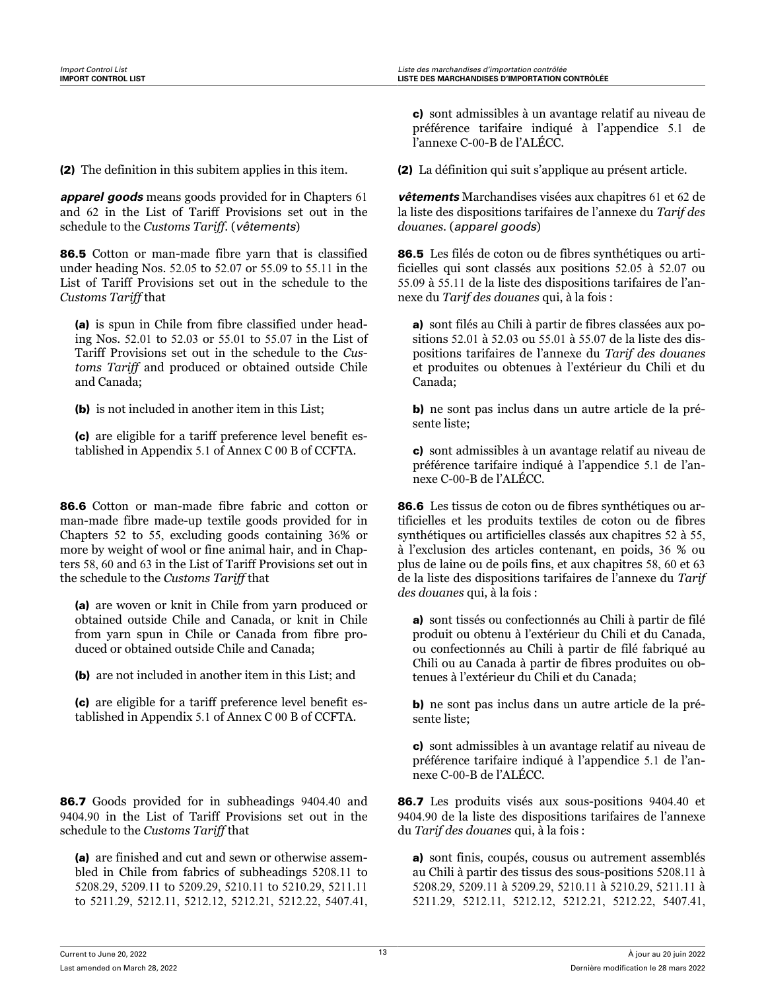(2) The definition in this subitem applies in this item.

*apparel goods* means goods provided for in Chapters 61 and 62 in the List of Tariff Provisions set out in the schedule to the *Customs Tariff*. (*vêtements*)

86.5 Cotton or man-made fibre yarn that is classified under heading Nos. 52.05 to 52.07 or 55.09 to 55.11 in the List of Tariff Provisions set out in the schedule to the *Customs Tariff* that

(a) is spun in Chile from fibre classified under heading Nos. 52.01 to 52.03 or 55.01 to 55.07 in the List of Tariff Provisions set out in the schedule to the *Customs Tariff* and produced or obtained outside Chile and Canada;

(b) is not included in another item in this List;

(c) are eligible for a tariff preference level benefit established in Appendix 5.1 of Annex C 00 B of CCFTA.

86.6 Cotton or man-made fibre fabric and cotton or man-made fibre made-up textile goods provided for in Chapters 52 to 55, excluding goods containing 36% or more by weight of wool or fine animal hair, and in Chapters 58, 60 and 63 in the List of Tariff Provisions set out in the schedule to the *Customs Tariff* that

(a) are woven or knit in Chile from yarn produced or obtained outside Chile and Canada, or knit in Chile from yarn spun in Chile or Canada from fibre produced or obtained outside Chile and Canada;

(b) are not included in another item in this List; and

(c) are eligible for a tariff preference level benefit established in Appendix 5.1 of Annex C 00 B of CCFTA.

86.7 Goods provided for in subheadings 9404.40 and 9404.90 in the List of Tariff Provisions set out in the schedule to the *Customs Tariff* that

(a) are finished and cut and sewn or otherwise assembled in Chile from fabrics of subheadings 5208.11 to 5208.29, 5209.11 to 5209.29, 5210.11 to 5210.29, 5211.11 to 5211.29, 5212.11, 5212.12, 5212.21, 5212.22, 5407.41,

c) sont admissibles à un avantage relatif au niveau de préférence tarifaire indiqué à l'appendice 5.1 de l'annexe C-00-B de l'ALÉCC.

(2) La définition qui suit s'applique au présent article.

*vêtements* Marchandises visées aux chapitres 61 et 62 de la liste des dispositions tarifaires de l'annexe du *Tarif des douanes*. (*apparel goods*)

86.5 Les filés de coton ou de fibres synthétiques ou artificielles qui sont classés aux positions 52.05 à 52.07 ou 55.09 à 55.11 de la liste des dispositions tarifaires de l'annexe du *Tarif des douanes* qui, à la fois :

a) sont filés au Chili à partir de fibres classées aux positions 52.01 à 52.03 ou 55.01 à 55.07 de la liste des dispositions tarifaires de l'annexe du *Tarif des douanes* et produites ou obtenues à l'extérieur du Chili et du Canada;

b) ne sont pas inclus dans un autre article de la présente liste;

c) sont admissibles à un avantage relatif au niveau de préférence tarifaire indiqué à l'appendice 5.1 de l'annexe C-00-B de l'ALÉCC.

86.6 Les tissus de coton ou de fibres synthétiques ou artificielles et les produits textiles de coton ou de fibres synthétiques ou artificielles classés aux chapitres 52 à 55, à l'exclusion des articles contenant, en poids, 36 % ou plus de laine ou de poils fins, et aux chapitres 58, 60 et 63 de la liste des dispositions tarifaires de l'annexe du *Tarif des douanes* qui, à la fois :

a) sont tissés ou confectionnés au Chili à partir de filé produit ou obtenu à l'extérieur du Chili et du Canada, ou confectionnés au Chili à partir de filé fabriqué au Chili ou au Canada à partir de fibres produites ou obtenues à l'extérieur du Chili et du Canada;

b) ne sont pas inclus dans un autre article de la présente liste;

c) sont admissibles à un avantage relatif au niveau de préférence tarifaire indiqué à l'appendice 5.1 de l'annexe C-00-B de l'ALÉCC.

86.7 Les produits visés aux sous-positions 9404.40 et 9404.90 de la liste des dispositions tarifaires de l'annexe du *Tarif des douanes* qui, à la fois :

a) sont finis, coupés, cousus ou autrement assemblés au Chili à partir des tissus des sous-positions 5208.11 à 5208.29, 5209.11 à 5209.29, 5210.11 à 5210.29, 5211.11 à 5211.29, 5212.11, 5212.12, 5212.21, 5212.22, 5407.41,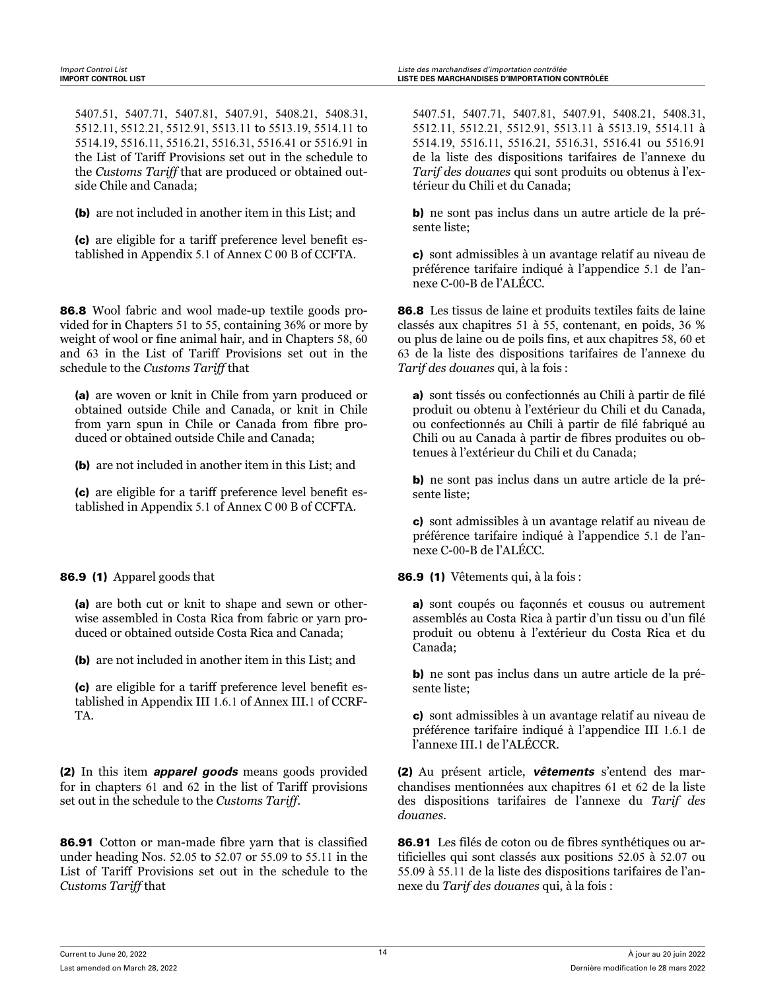5407.51, 5407.71, 5407.81, 5407.91, 5408.21, 5408.31, 5512.11, 5512.21, 5512.91, 5513.11 to 5513.19, 5514.11 to 5514.19, 5516.11, 5516.21, 5516.31, 5516.41 or 5516.91 in the List of Tariff Provisions set out in the schedule to the *Customs Tariff* that are produced or obtained outside Chile and Canada;

(b) are not included in another item in this List; and

(c) are eligible for a tariff preference level benefit established in Appendix 5.1 of Annex C 00 B of CCFTA.

86.8 Wool fabric and wool made-up textile goods provided for in Chapters 51 to 55, containing 36% or more by weight of wool or fine animal hair, and in Chapters 58, 60 and 63 in the List of Tariff Provisions set out in the schedule to the *Customs Tariff* that

(a) are woven or knit in Chile from yarn produced or obtained outside Chile and Canada, or knit in Chile from yarn spun in Chile or Canada from fibre produced or obtained outside Chile and Canada;

(b) are not included in another item in this List; and

(c) are eligible for a tariff preference level benefit established in Appendix 5.1 of Annex C 00 B of CCFTA.

### 86.9 (1) Apparel goods that

(a) are both cut or knit to shape and sewn or otherwise assembled in Costa Rica from fabric or yarn produced or obtained outside Costa Rica and Canada;

(b) are not included in another item in this List; and

(c) are eligible for a tariff preference level benefit established in Appendix III 1.6.1 of Annex III.1 of CCRF-TA.

(2) In this item *apparel goods* means goods provided for in chapters 61 and 62 in the list of Tariff provisions set out in the schedule to the *Customs Tariff*.

86.91 Cotton or man-made fibre yarn that is classified under heading Nos. 52.05 to 52.07 or 55.09 to 55.11 in the List of Tariff Provisions set out in the schedule to the *Customs Tariff* that

5407.51, 5407.71, 5407.81, 5407.91, 5408.21, 5408.31, 5512.11, 5512.21, 5512.91, 5513.11 à 5513.19, 5514.11 à 5514.19, 5516.11, 5516.21, 5516.31, 5516.41 ou 5516.91 de la liste des dispositions tarifaires de l'annexe du *Tarif des douanes* qui sont produits ou obtenus à l'extérieur du Chili et du Canada;

b) ne sont pas inclus dans un autre article de la présente liste;

c) sont admissibles à un avantage relatif au niveau de préférence tarifaire indiqué à l'appendice 5.1 de l'annexe C-00-B de l'ALÉCC.

86.8 Les tissus de laine et produits textiles faits de laine classés aux chapitres 51 à 55, contenant, en poids, 36 % ou plus de laine ou de poils fins, et aux chapitres 58, 60 et 63 de la liste des dispositions tarifaires de l'annexe du *Tarif des douanes* qui, à la fois :

a) sont tissés ou confectionnés au Chili à partir de filé produit ou obtenu à l'extérieur du Chili et du Canada, ou confectionnés au Chili à partir de filé fabriqué au Chili ou au Canada à partir de fibres produites ou obtenues à l'extérieur du Chili et du Canada;

b) ne sont pas inclus dans un autre article de la présente liste;

c) sont admissibles à un avantage relatif au niveau de préférence tarifaire indiqué à l'appendice 5.1 de l'annexe C-00-B de l'ALÉCC.

86.9 (1) Vêtements qui, à la fois :

a) sont coupés ou façonnés et cousus ou autrement assemblés au Costa Rica à partir d'un tissu ou d'un filé produit ou obtenu à l'extérieur du Costa Rica et du Canada;

b) ne sont pas inclus dans un autre article de la présente liste;

c) sont admissibles à un avantage relatif au niveau de préférence tarifaire indiqué à l'appendice III 1.6.1 de l'annexe III.1 de l'ALÉCCR.

(2) Au présent article, *vêtements* s'entend des marchandises mentionnées aux chapitres 61 et 62 de la liste des dispositions tarifaires de l'annexe du *Tarif des douanes*.

86.91 Les filés de coton ou de fibres synthétiques ou artificielles qui sont classés aux positions 52.05 à 52.07 ou 55.09 à 55.11 de la liste des dispositions tarifaires de l'annexe du *Tarif des douanes* qui, à la fois :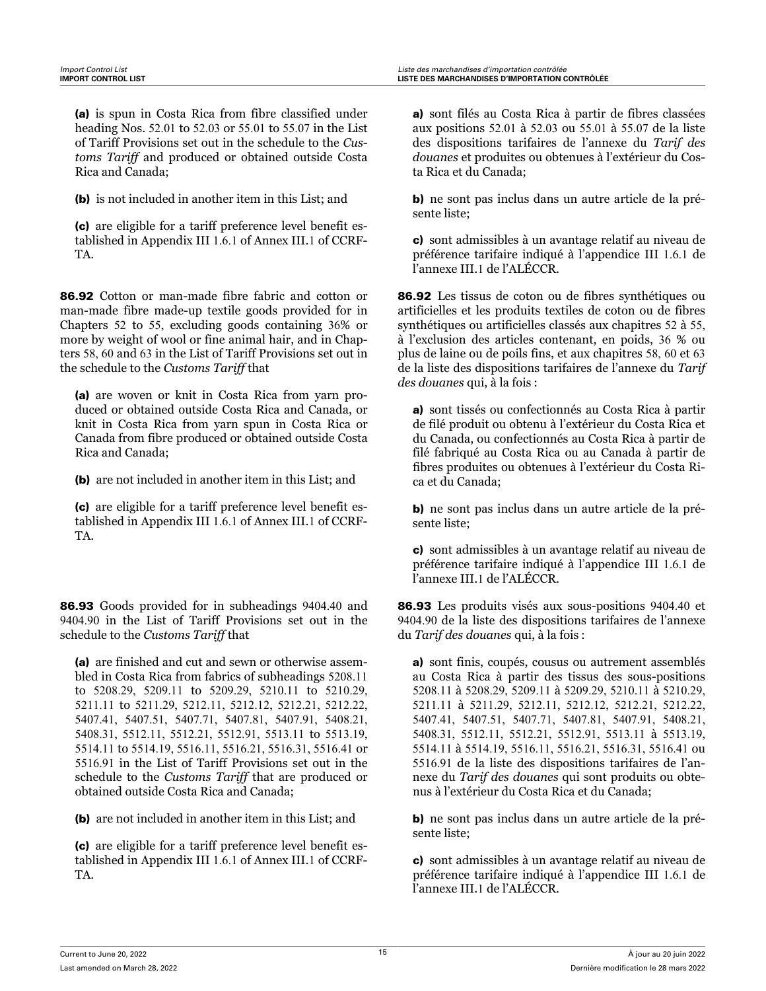(a) is spun in Costa Rica from fibre classified under heading Nos. 52.01 to 52.03 or 55.01 to 55.07 in the List of Tariff Provisions set out in the schedule to the *Customs Tariff* and produced or obtained outside Costa Rica and Canada;

(b) is not included in another item in this List; and

(c) are eligible for a tariff preference level benefit established in Appendix III 1.6.1 of Annex III.1 of CCRF-TA.

86.92 Cotton or man-made fibre fabric and cotton or man-made fibre made-up textile goods provided for in Chapters 52 to 55, excluding goods containing 36% or more by weight of wool or fine animal hair, and in Chapters 58, 60 and 63 in the List of Tariff Provisions set out in the schedule to the *Customs Tariff* that

(a) are woven or knit in Costa Rica from yarn produced or obtained outside Costa Rica and Canada, or knit in Costa Rica from yarn spun in Costa Rica or Canada from fibre produced or obtained outside Costa Rica and Canada;

(b) are not included in another item in this List; and

(c) are eligible for a tariff preference level benefit established in Appendix III 1.6.1 of Annex III.1 of CCRF-TA.

86.93 Goods provided for in subheadings 9404.40 and 9404.90 in the List of Tariff Provisions set out in the schedule to the *Customs Tariff* that

(a) are finished and cut and sewn or otherwise assembled in Costa Rica from fabrics of subheadings 5208.11 to 5208.29, 5209.11 to 5209.29, 5210.11 to 5210.29, 5211.11 to 5211.29, 5212.11, 5212.12, 5212.21, 5212.22, 5407.41, 5407.51, 5407.71, 5407.81, 5407.91, 5408.21, 5408.31, 5512.11, 5512.21, 5512.91, 5513.11 to 5513.19, 5514.11 to 5514.19, 5516.11, 5516.21, 5516.31, 5516.41 or 5516.91 in the List of Tariff Provisions set out in the schedule to the *Customs Tariff* that are produced or obtained outside Costa Rica and Canada;

(b) are not included in another item in this List; and

(c) are eligible for a tariff preference level benefit established in Appendix III 1.6.1 of Annex III.1 of CCRF-TA.

a) sont filés au Costa Rica à partir de fibres classées aux positions 52.01 à 52.03 ou 55.01 à 55.07 de la liste des dispositions tarifaires de l'annexe du *Tarif des douanes* et produites ou obtenues à l'extérieur du Costa Rica et du Canada;

b) ne sont pas inclus dans un autre article de la présente liste;

c) sont admissibles à un avantage relatif au niveau de préférence tarifaire indiqué à l'appendice III 1.6.1 de l'annexe III.1 de l'ALÉCCR.

86.92 Les tissus de coton ou de fibres synthétiques ou artificielles et les produits textiles de coton ou de fibres synthétiques ou artificielles classés aux chapitres 52 à 55, à l'exclusion des articles contenant, en poids, 36 % ou plus de laine ou de poils fins, et aux chapitres 58, 60 et 63 de la liste des dispositions tarifaires de l'annexe du *Tarif des douanes* qui, à la fois :

a) sont tissés ou confectionnés au Costa Rica à partir de filé produit ou obtenu à l'extérieur du Costa Rica et du Canada, ou confectionnés au Costa Rica à partir de filé fabriqué au Costa Rica ou au Canada à partir de fibres produites ou obtenues à l'extérieur du Costa Rica et du Canada;

b) ne sont pas inclus dans un autre article de la présente liste;

c) sont admissibles à un avantage relatif au niveau de préférence tarifaire indiqué à l'appendice III 1.6.1 de l'annexe III.1 de l'ALÉCCR.

86.93 Les produits visés aux sous-positions 9404.40 et 9404.90 de la liste des dispositions tarifaires de l'annexe du *Tarif des douanes* qui, à la fois :

a) sont finis, coupés, cousus ou autrement assemblés au Costa Rica à partir des tissus des sous-positions 5208.11 à 5208.29, 5209.11 à 5209.29, 5210.11 à 5210.29, 5211.11 à 5211.29, 5212.11, 5212.12, 5212.21, 5212.22, 5407.41, 5407.51, 5407.71, 5407.81, 5407.91, 5408.21, 5408.31, 5512.11, 5512.21, 5512.91, 5513.11 à 5513.19, 5514.11 à 5514.19, 5516.11, 5516.21, 5516.31, 5516.41 ou 5516.91 de la liste des dispositions tarifaires de l'annexe du *Tarif des douanes* qui sont produits ou obtenus à l'extérieur du Costa Rica et du Canada;

b) ne sont pas inclus dans un autre article de la présente liste;

c) sont admissibles à un avantage relatif au niveau de préférence tarifaire indiqué à l'appendice III 1.6.1 de l'annexe III.1 de l'ALÉCCR.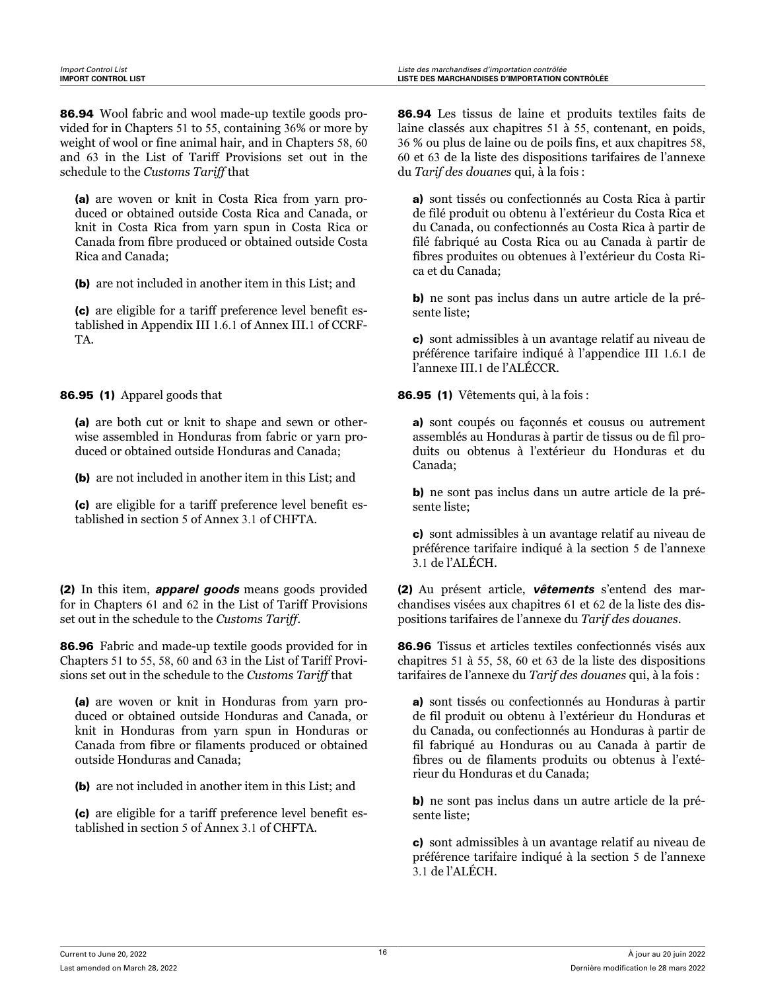86.94 Wool fabric and wool made-up textile goods provided for in Chapters 51 to 55, containing 36% or more by weight of wool or fine animal hair, and in Chapters 58, 60 and 63 in the List of Tariff Provisions set out in the schedule to the *Customs Tariff* that

(a) are woven or knit in Costa Rica from yarn produced or obtained outside Costa Rica and Canada, or knit in Costa Rica from yarn spun in Costa Rica or Canada from fibre produced or obtained outside Costa Rica and Canada;

(b) are not included in another item in this List; and

(c) are eligible for a tariff preference level benefit established in Appendix III 1.6.1 of Annex III.1 of CCRF-TA.

86.95 (1) Apparel goods that

(a) are both cut or knit to shape and sewn or otherwise assembled in Honduras from fabric or yarn produced or obtained outside Honduras and Canada;

(b) are not included in another item in this List; and

(c) are eligible for a tariff preference level benefit established in section 5 of Annex 3.1 of CHFTA.

(2) In this item, *apparel goods* means goods provided for in Chapters 61 and 62 in the List of Tariff Provisions set out in the schedule to the *Customs Tariff*.

86.96 Fabric and made-up textile goods provided for in Chapters 51 to 55, 58, 60 and 63 in the List of Tariff Provisions set out in the schedule to the *Customs Tariff* that

(a) are woven or knit in Honduras from yarn produced or obtained outside Honduras and Canada, or knit in Honduras from yarn spun in Honduras or Canada from fibre or filaments produced or obtained outside Honduras and Canada;

(b) are not included in another item in this List; and

(c) are eligible for a tariff preference level benefit established in section 5 of Annex 3.1 of CHFTA.

86.94 Les tissus de laine et produits textiles faits de laine classés aux chapitres 51 à 55, contenant, en poids, 36 % ou plus de laine ou de poils fins, et aux chapitres 58, 60 et 63 de la liste des dispositions tarifaires de l'annexe du *Tarif des douanes* qui, à la fois :

a) sont tissés ou confectionnés au Costa Rica à partir de filé produit ou obtenu à l'extérieur du Costa Rica et du Canada, ou confectionnés au Costa Rica à partir de filé fabriqué au Costa Rica ou au Canada à partir de fibres produites ou obtenues à l'extérieur du Costa Rica et du Canada;

b) ne sont pas inclus dans un autre article de la présente liste;

c) sont admissibles à un avantage relatif au niveau de préférence tarifaire indiqué à l'appendice III 1.6.1 de l'annexe III.1 de l'ALÉCCR.

86.95 (1) Vêtements qui, à la fois :

a) sont coupés ou façonnés et cousus ou autrement assemblés au Honduras à partir de tissus ou de fil produits ou obtenus à l'extérieur du Honduras et du Canada;

b) ne sont pas inclus dans un autre article de la présente liste;

c) sont admissibles à un avantage relatif au niveau de préférence tarifaire indiqué à la section 5 de l'annexe 3.1 de l'ALÉCH.

(2) Au présent article, *vêtements* s'entend des marchandises visées aux chapitres 61 et 62 de la liste des dispositions tarifaires de l'annexe du *Tarif des douanes*.

86.96 Tissus et articles textiles confectionnés visés aux chapitres 51 à 55, 58, 60 et 63 de la liste des dispositions tarifaires de l'annexe du *Tarif des douanes* qui, à la fois :

a) sont tissés ou confectionnés au Honduras à partir de fil produit ou obtenu à l'extérieur du Honduras et du Canada, ou confectionnés au Honduras à partir de fil fabriqué au Honduras ou au Canada à partir de fibres ou de filaments produits ou obtenus à l'extérieur du Honduras et du Canada;

b) ne sont pas inclus dans un autre article de la présente liste;

c) sont admissibles à un avantage relatif au niveau de préférence tarifaire indiqué à la section 5 de l'annexe 3.1 de l'ALÉCH.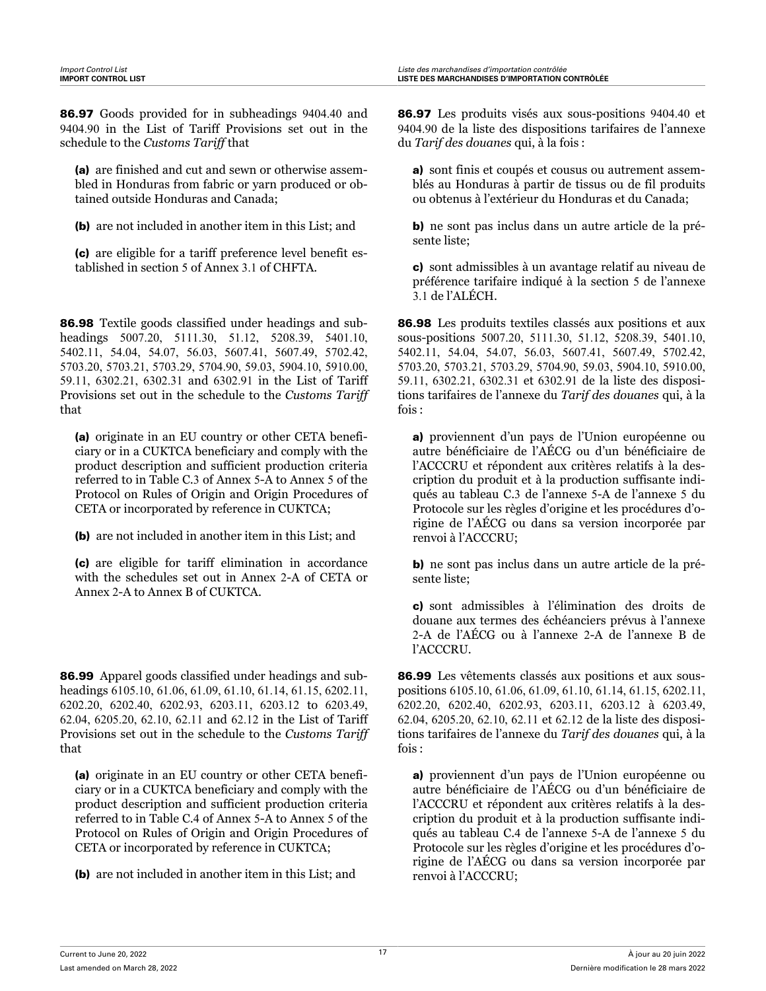86.97 Goods provided for in subheadings 9404.40 and 9404.90 in the List of Tariff Provisions set out in the schedule to the *Customs Tariff* that

(a) are finished and cut and sewn or otherwise assembled in Honduras from fabric or yarn produced or obtained outside Honduras and Canada;

(b) are not included in another item in this List; and

(c) are eligible for a tariff preference level benefit established in section 5 of Annex 3.1 of CHFTA.

86.98 Textile goods classified under headings and subheadings 5007.20, 5111.30, 51.12, 5208.39, 5401.10, 5402.11, 54.04, 54.07, 56.03, 5607.41, 5607.49, 5702.42, 5703.20, 5703.21, 5703.29, 5704.90, 59.03, 5904.10, 5910.00, 59.11, 6302.21, 6302.31 and 6302.91 in the List of Tariff Provisions set out in the schedule to the *Customs Tariff* that

(a) originate in an EU country or other CETA beneficiary or in a CUKTCA beneficiary and comply with the product description and sufficient production criteria referred to in Table C.3 of Annex 5-A to Annex 5 of the Protocol on Rules of Origin and Origin Procedures of CETA or incorporated by reference in CUKTCA;

(b) are not included in another item in this List; and

(c) are eligible for tariff elimination in accordance with the schedules set out in Annex 2-A of CETA or Annex 2-A to Annex B of CUKTCA.

86.99 Apparel goods classified under headings and subheadings 6105.10, 61.06, 61.09, 61.10, 61.14, 61.15, 6202.11, 6202.20, 6202.40, 6202.93, 6203.11, 6203.12 to 6203.49, 62.04, 6205.20, 62.10, 62.11 and 62.12 in the List of Tariff Provisions set out in the schedule to the *Customs Tariff* that

(a) originate in an EU country or other CETA beneficiary or in a CUKTCA beneficiary and comply with the product description and sufficient production criteria referred to in Table C.4 of Annex 5-A to Annex 5 of the Protocol on Rules of Origin and Origin Procedures of CETA or incorporated by reference in CUKTCA;

(b) are not included in another item in this List; and

86.97 Les produits visés aux sous-positions 9404.40 et 9404.90 de la liste des dispositions tarifaires de l'annexe du *Tarif des douanes* qui, à la fois :

a) sont finis et coupés et cousus ou autrement assemblés au Honduras à partir de tissus ou de fil produits ou obtenus à l'extérieur du Honduras et du Canada;

b) ne sont pas inclus dans un autre article de la présente liste;

c) sont admissibles à un avantage relatif au niveau de préférence tarifaire indiqué à la section 5 de l'annexe 3.1 de l'ALÉCH.

86.98 Les produits textiles classés aux positions et aux sous-positions 5007.20, 5111.30, 51.12, 5208.39, 5401.10, 5402.11, 54.04, 54.07, 56.03, 5607.41, 5607.49, 5702.42, 5703.20, 5703.21, 5703.29, 5704.90, 59.03, 5904.10, 5910.00, 59.11, 6302.21, 6302.31 et 6302.91 de la liste des dispositions tarifaires de l'annexe du *Tarif des douanes* qui, à la fois :

a) proviennent d'un pays de l'Union européenne ou autre bénéficiaire de l'AÉCG ou d'un bénéficiaire de l'ACCCRU et répondent aux critères relatifs à la description du produit et à la production suffisante indiqués au tableau C.3 de l'annexe 5-A de l'annexe 5 du Protocole sur les règles d'origine et les procédures d'origine de l'AÉCG ou dans sa version incorporée par renvoi à l'ACCCRU;

b) ne sont pas inclus dans un autre article de la présente liste;

c) sont admissibles à l'élimination des droits de douane aux termes des échéanciers prévus à l'annexe 2-A de l'AÉCG ou à l'annexe 2-A de l'annexe B de l'ACCCRU.

86.99 Les vêtements classés aux positions et aux souspositions 6105.10, 61.06, 61.09, 61.10, 61.14, 61.15, 6202.11, 6202.20, 6202.40, 6202.93, 6203.11, 6203.12 à 6203.49, 62.04, 6205.20, 62.10, 62.11 et 62.12 de la liste des dispositions tarifaires de l'annexe du *Tarif des douanes* qui, à la fois :

a) proviennent d'un pays de l'Union européenne ou autre bénéficiaire de l'AÉCG ou d'un bénéficiaire de l'ACCCRU et répondent aux critères relatifs à la description du produit et à la production suffisante indiqués au tableau C.4 de l'annexe 5-A de l'annexe 5 du Protocole sur les règles d'origine et les procédures d'origine de l'AÉCG ou dans sa version incorporée par renvoi à l'ACCCRU;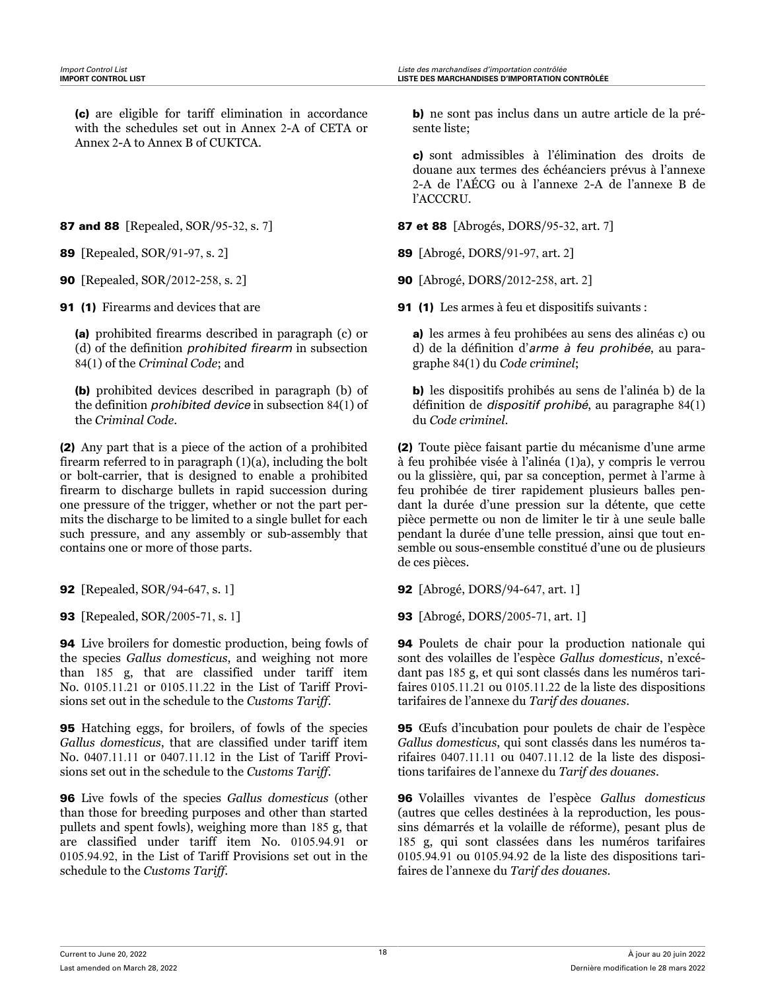(c) are eligible for tariff elimination in accordance with the schedules set out in Annex 2-A of CETA or Annex 2-A to Annex B of CUKTCA.

**91 (1)** Firearms and devices that are

(a) prohibited firearms described in paragraph (c) or (d) of the definition *prohibited firearm* in subsection 84(1) of the *Criminal Code*; and

(b) prohibited devices described in paragraph (b) of the definition *prohibited device* in subsection 84(1) of the *Criminal Code*.

(2) Any part that is a piece of the action of a prohibited firearm referred to in paragraph (1)(a), including the bolt or bolt-carrier, that is designed to enable a prohibited firearm to discharge bullets in rapid succession during one pressure of the trigger, whether or not the part permits the discharge to be limited to a single bullet for each such pressure, and any assembly or sub-assembly that contains one or more of those parts.

94 Live broilers for domestic production, being fowls of the species *Gallus domesticus*, and weighing not more than 185 g, that are classified under tariff item No. 0105.11.21 or 0105.11.22 in the List of Tariff Provisions set out in the schedule to the *Customs Tariff*.

95 Hatching eggs, for broilers, of fowls of the species *Gallus domesticus*, that are classified under tariff item No. 0407.11.11 or 0407.11.12 in the List of Tariff Provisions set out in the schedule to the *Customs Tariff*.

96 Live fowls of the species *Gallus domesticus* (other than those for breeding purposes and other than started pullets and spent fowls), weighing more than 185 g, that are classified under tariff item No. 0105.94.91 or 0105.94.92, in the List of Tariff Provisions set out in the schedule to the *Customs Tariff*.

b) ne sont pas inclus dans un autre article de la présente liste;

c) sont admissibles à l'élimination des droits de douane aux termes des échéanciers prévus à l'annexe 2-A de l'AÉCG ou à l'annexe 2-A de l'annexe B de l'ACCCRU.

87 and 88 [Repealed, SOR/95-32, s. 7] 87 et 88 [Abrogés, DORS/95-32, art. 7]

89 [Repealed, SOR/91-97, s. 2] 89 [Abrogé, DORS/91-97, art. 2]

90 [Repealed, SOR/2012-258, s. 2] 90 [Abrogé, DORS/2012-258, art. 2]

91 (1) Les armes à feu et dispositifs suivants :

a) les armes à feu prohibées au sens des alinéas c) ou d) de la définition d'*arme à feu prohibée*, au paragraphe 84(1) du *Code criminel*;

b) les dispositifs prohibés au sens de l'alinéa b) de la définition de *dispositif prohibé*, au paragraphe 84(1) du *Code criminel*.

(2) Toute pièce faisant partie du mécanisme d'une arme à feu prohibée visée à l'alinéa (1)a), y compris le verrou ou la glissière, qui, par sa conception, permet à l'arme à feu prohibée de tirer rapidement plusieurs balles pendant la durée d'une pression sur la détente, que cette pièce permette ou non de limiter le tir à une seule balle pendant la durée d'une telle pression, ainsi que tout ensemble ou sous-ensemble constitué d'une ou de plusieurs de ces pièces.

92 [Repealed, SOR/94-647, s. 1] 92 [Abrogé, DORS/94-647, art. 1]

93 [Repealed, SOR/2005-71, s. 1] 93 [Abrogé, DORS/2005-71, art. 1]

94 Poulets de chair pour la production nationale qui sont des volailles de l'espèce *Gallus domesticus*, n'excédant pas 185 g, et qui sont classés dans les numéros tarifaires 0105.11.21 ou 0105.11.22 de la liste des dispositions tarifaires de l'annexe du *Tarif des douanes*.

95 Œufs d'incubation pour poulets de chair de l'espèce *Gallus domesticus*, qui sont classés dans les numéros tarifaires 0407.11.11 ou 0407.11.12 de la liste des dispositions tarifaires de l'annexe du *Tarif des douanes*.

96 Volailles vivantes de l'espèce *Gallus domesticus* (autres que celles destinées à la reproduction, les poussins démarrés et la volaille de réforme), pesant plus de 185 g, qui sont classées dans les numéros tarifaires 0105.94.91 ou 0105.94.92 de la liste des dispositions tarifaires de l'annexe du *Tarif des douanes*.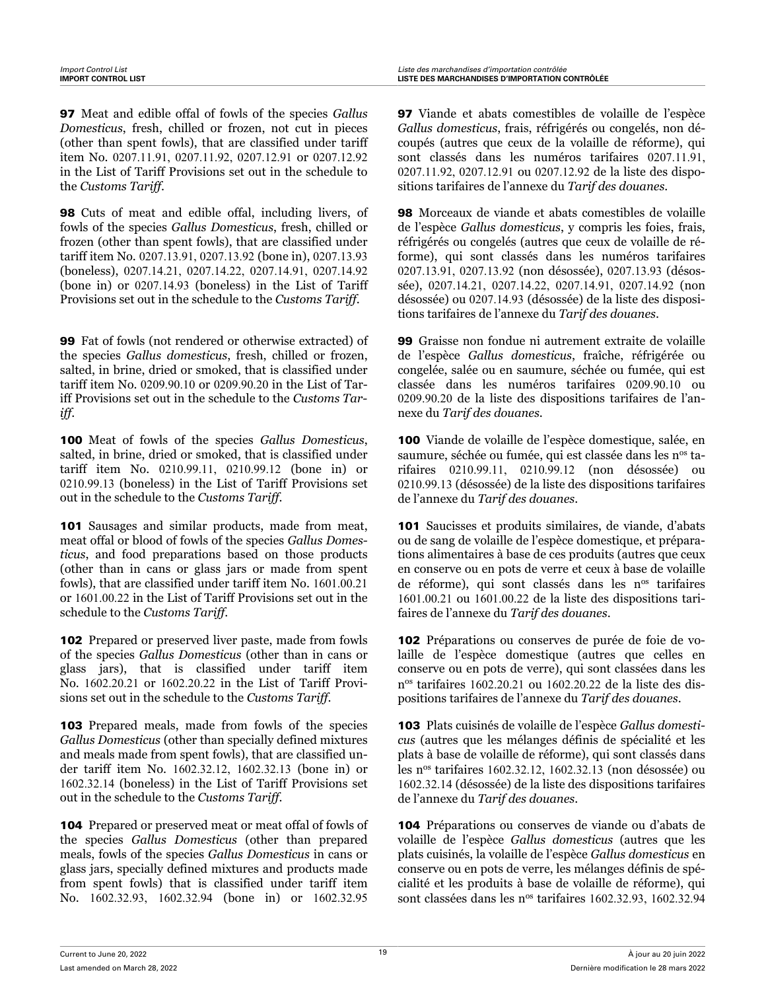97 Meat and edible offal of fowls of the species *Gallus Domesticus*, fresh, chilled or frozen, not cut in pieces (other than spent fowls), that are classified under tariff item No. 0207.11.91, 0207.11.92, 0207.12.91 or 0207.12.92 in the List of Tariff Provisions set out in the schedule to the *Customs Tariff*.

98 Cuts of meat and edible offal, including livers, of fowls of the species *Gallus Domesticus*, fresh, chilled or frozen (other than spent fowls), that are classified under tariff item No. 0207.13.91, 0207.13.92 (bone in), 0207.13.93 (boneless), 0207.14.21, 0207.14.22, 0207.14.91, 0207.14.92 (bone in) or 0207.14.93 (boneless) in the List of Tariff Provisions set out in the schedule to the *Customs Tariff*.

99 Fat of fowls (not rendered or otherwise extracted) of the species *Gallus domesticus*, fresh, chilled or frozen, salted, in brine, dried or smoked, that is classified under tariff item No. 0209.90.10 or 0209.90.20 in the List of Tariff Provisions set out in the schedule to the *Customs Tariff*.

100 Meat of fowls of the species *Gallus Domesticus*, salted, in brine, dried or smoked, that is classified under tariff item No. 0210.99.11, 0210.99.12 (bone in) or 0210.99.13 (boneless) in the List of Tariff Provisions set out in the schedule to the *Customs Tariff*.

101 Sausages and similar products, made from meat, meat offal or blood of fowls of the species *Gallus Domesticus*, and food preparations based on those products (other than in cans or glass jars or made from spent fowls), that are classified under tariff item No. 1601.00.21 or 1601.00.22 in the List of Tariff Provisions set out in the schedule to the *Customs Tariff*.

102 Prepared or preserved liver paste, made from fowls of the species *Gallus Domesticus* (other than in cans or glass jars), that is classified under tariff item No. 1602.20.21 or 1602.20.22 in the List of Tariff Provisions set out in the schedule to the *Customs Tariff*.

**103** Prepared meals, made from fowls of the species *Gallus Domesticus* (other than specially defined mixtures and meals made from spent fowls), that are classified under tariff item No. 1602.32.12, 1602.32.13 (bone in) or 1602.32.14 (boneless) in the List of Tariff Provisions set out in the schedule to the *Customs Tariff*.

104 Prepared or preserved meat or meat offal of fowls of the species *Gallus Domesticus* (other than prepared meals, fowls of the species *Gallus Domesticus* in cans or glass jars, specially defined mixtures and products made from spent fowls) that is classified under tariff item No. 1602.32.93, 1602.32.94 (bone in) or 1602.32.95

97 Viande et abats comestibles de volaille de l'espèce *Gallus domesticus*, frais, réfrigérés ou congelés, non découpés (autres que ceux de la volaille de réforme), qui sont classés dans les numéros tarifaires 0207.11.91, 0207.11.92, 0207.12.91 ou 0207.12.92 de la liste des dispositions tarifaires de l'annexe du *Tarif des douanes*.

98 Morceaux de viande et abats comestibles de volaille de l'espèce *Gallus domesticus*, y compris les foies, frais, réfrigérés ou congelés (autres que ceux de volaille de réforme), qui sont classés dans les numéros tarifaires 0207.13.91, 0207.13.92 (non désossée), 0207.13.93 (désossée), 0207.14.21, 0207.14.22, 0207.14.91, 0207.14.92 (non désossée) ou 0207.14.93 (désossée) de la liste des dispositions tarifaires de l'annexe du *Tarif des douanes*.

99 Graisse non fondue ni autrement extraite de volaille de l'espèce *Gallus domesticus*, fraîche, réfrigérée ou congelée, salée ou en saumure, séchée ou fumée, qui est classée dans les numéros tarifaires 0209.90.10 ou 0209.90.20 de la liste des dispositions tarifaires de l'annexe du *Tarif des douanes*.

100 Viande de volaille de l'espèce domestique, salée, en saumure, séchée ou fumée, qui est classée dans les n<sup>os</sup> tarifaires 0210.99.11, 0210.99.12 (non désossée) ou 0210.99.13 (désossée) de la liste des dispositions tarifaires de l'annexe du *Tarif des douanes*.

101 Saucisses et produits similaires, de viande, d'abats ou de sang de volaille de l'espèce domestique, et préparations alimentaires à base de ces produits (autres que ceux en conserve ou en pots de verre et ceux à base de volaille de réforme), qui sont classés dans les nos tarifaires 1601.00.21 ou 1601.00.22 de la liste des dispositions tarifaires de l'annexe du *Tarif des douanes*.

102 Préparations ou conserves de purée de foie de volaille de l'espèce domestique (autres que celles en conserve ou en pots de verre), qui sont classées dans les n os tarifaires 1602.20.21 ou 1602.20.22 de la liste des dispositions tarifaires de l'annexe du *Tarif des douanes*.

103 Plats cuisinés de volaille de l'espèce *Gallus domesticus* (autres que les mélanges définis de spécialité et les plats à base de volaille de réforme), qui sont classés dans les nos tarifaires 1602.32.12, 1602.32.13 (non désossée) ou 1602.32.14 (désossée) de la liste des dispositions tarifaires de l'annexe du *Tarif des douanes*.

104 Préparations ou conserves de viande ou d'abats de volaille de l'espèce *Gallus domesticus* (autres que les plats cuisinés, la volaille de l'espèce *Gallus domesticus* en conserve ou en pots de verre, les mélanges définis de spécialité et les produits à base de volaille de réforme), qui sont classées dans les n<sup>os</sup> tarifaires 1602.32.93, 1602.32.94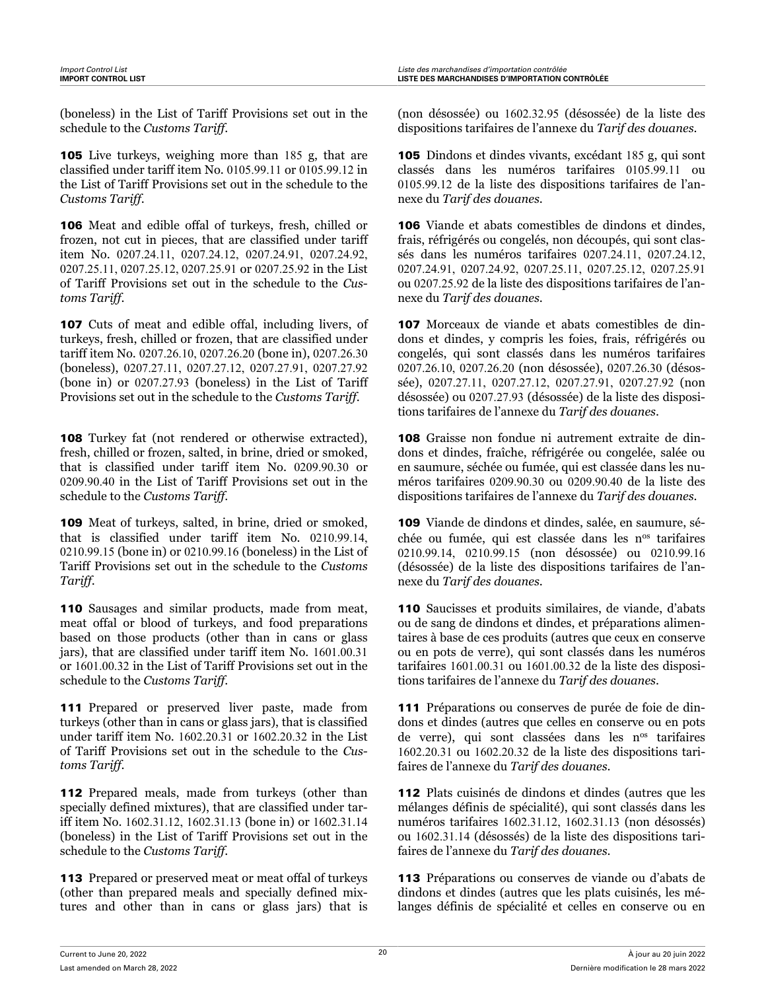(boneless) in the List of Tariff Provisions set out in the schedule to the *Customs Tariff*.

105 Live turkeys, weighing more than 185 g, that are classified under tariff item No. 0105.99.11 or 0105.99.12 in the List of Tariff Provisions set out in the schedule to the *Customs Tariff*.

106 Meat and edible offal of turkeys, fresh, chilled or frozen, not cut in pieces, that are classified under tariff item No. 0207.24.11, 0207.24.12, 0207.24.91, 0207.24.92, 0207.25.11, 0207.25.12, 0207.25.91 or 0207.25.92 in the List of Tariff Provisions set out in the schedule to the *Customs Tariff*.

107 Cuts of meat and edible offal, including livers, of turkeys, fresh, chilled or frozen, that are classified under tariff item No. 0207.26.10, 0207.26.20 (bone in), 0207.26.30 (boneless), 0207.27.11, 0207.27.12, 0207.27.91, 0207.27.92 (bone in) or 0207.27.93 (boneless) in the List of Tariff Provisions set out in the schedule to the *Customs Tariff*.

108 Turkey fat (not rendered or otherwise extracted), fresh, chilled or frozen, salted, in brine, dried or smoked, that is classified under tariff item No. 0209.90.30 or 0209.90.40 in the List of Tariff Provisions set out in the schedule to the *Customs Tariff*.

109 Meat of turkeys, salted, in brine, dried or smoked, that is classified under tariff item No. 0210.99.14, 0210.99.15 (bone in) or 0210.99.16 (boneless) in the List of Tariff Provisions set out in the schedule to the *Customs Tariff*.

110 Sausages and similar products, made from meat, meat offal or blood of turkeys, and food preparations based on those products (other than in cans or glass jars), that are classified under tariff item No. 1601.00.31 or 1601.00.32 in the List of Tariff Provisions set out in the schedule to the *Customs Tariff*.

111 Prepared or preserved liver paste, made from turkeys (other than in cans or glass jars), that is classified under tariff item No. 1602.20.31 or 1602.20.32 in the List of Tariff Provisions set out in the schedule to the *Customs Tariff*.

112 Prepared meals, made from turkeys (other than specially defined mixtures), that are classified under tariff item No. 1602.31.12, 1602.31.13 (bone in) or 1602.31.14 (boneless) in the List of Tariff Provisions set out in the schedule to the *Customs Tariff*.

113 Prepared or preserved meat or meat offal of turkeys (other than prepared meals and specially defined mixtures and other than in cans or glass jars) that is

(non désossée) ou 1602.32.95 (désossée) de la liste des dispositions tarifaires de l'annexe du *Tarif des douanes*.

105 Dindons et dindes vivants, excédant 185 g, qui sont classés dans les numéros tarifaires 0105.99.11 ou 0105.99.12 de la liste des dispositions tarifaires de l'annexe du *Tarif des douanes*.

106 Viande et abats comestibles de dindons et dindes, frais, réfrigérés ou congelés, non découpés, qui sont classés dans les numéros tarifaires 0207.24.11, 0207.24.12, 0207.24.91, 0207.24.92, 0207.25.11, 0207.25.12, 0207.25.91 ou 0207.25.92 de la liste des dispositions tarifaires de l'annexe du *Tarif des douanes*.

107 Morceaux de viande et abats comestibles de dindons et dindes, y compris les foies, frais, réfrigérés ou congelés, qui sont classés dans les numéros tarifaires 0207.26.10, 0207.26.20 (non désossée), 0207.26.30 (désossée), 0207.27.11, 0207.27.12, 0207.27.91, 0207.27.92 (non désossée) ou 0207.27.93 (désossée) de la liste des dispositions tarifaires de l'annexe du *Tarif des douanes*.

108 Graisse non fondue ni autrement extraite de dindons et dindes, fraîche, réfrigérée ou congelée, salée ou en saumure, séchée ou fumée, qui est classée dans les numéros tarifaires 0209.90.30 ou 0209.90.40 de la liste des dispositions tarifaires de l'annexe du *Tarif des douanes*.

109 Viande de dindons et dindes, salée, en saumure, séchée ou fumée, qui est classée dans les nos tarifaires 0210.99.14, 0210.99.15 (non désossée) ou 0210.99.16 (désossée) de la liste des dispositions tarifaires de l'annexe du *Tarif des douanes*.

110 Saucisses et produits similaires, de viande, d'abats ou de sang de dindons et dindes, et préparations alimentaires à base de ces produits (autres que ceux en conserve ou en pots de verre), qui sont classés dans les numéros tarifaires 1601.00.31 ou 1601.00.32 de la liste des dispositions tarifaires de l'annexe du *Tarif des douanes*.

111 Préparations ou conserves de purée de foie de dindons et dindes (autres que celles en conserve ou en pots de verre), qui sont classées dans les n<sup>os</sup> tarifaires 1602.20.31 ou 1602.20.32 de la liste des dispositions tarifaires de l'annexe du *Tarif des douanes*.

112 Plats cuisinés de dindons et dindes (autres que les mélanges définis de spécialité), qui sont classés dans les numéros tarifaires 1602.31.12, 1602.31.13 (non désossés) ou 1602.31.14 (désossés) de la liste des dispositions tarifaires de l'annexe du *Tarif des douanes*.

113 Préparations ou conserves de viande ou d'abats de dindons et dindes (autres que les plats cuisinés, les mélanges définis de spécialité et celles en conserve ou en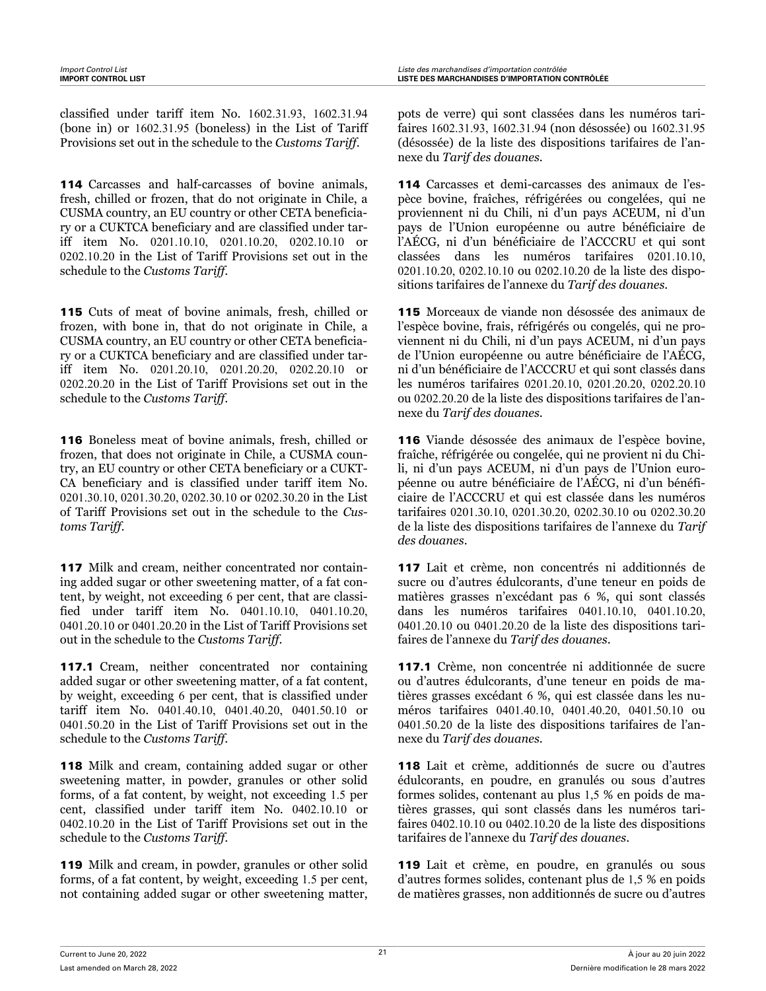classified under tariff item No. 1602.31.93, 1602.31.94 (bone in) or 1602.31.95 (boneless) in the List of Tariff Provisions set out in the schedule to the *Customs Tariff*.

114 Carcasses and half-carcasses of bovine animals, fresh, chilled or frozen, that do not originate in Chile, a CUSMA country, an EU country or other CETA beneficiary or a CUKTCA beneficiary and are classified under tariff item No. 0201.10.10, 0201.10.20, 0202.10.10 or 0202.10.20 in the List of Tariff Provisions set out in the schedule to the *Customs Tariff*.

115 Cuts of meat of bovine animals, fresh, chilled or frozen, with bone in, that do not originate in Chile, a CUSMA country, an EU country or other CETA beneficiary or a CUKTCA beneficiary and are classified under tariff item No. 0201.20.10, 0201.20.20, 0202.20.10 or 0202.20.20 in the List of Tariff Provisions set out in the schedule to the *Customs Tariff*.

116 Boneless meat of bovine animals, fresh, chilled or frozen, that does not originate in Chile, a CUSMA country, an EU country or other CETA beneficiary or a CUKT-CA beneficiary and is classified under tariff item No. 0201.30.10, 0201.30.20, 0202.30.10 or 0202.30.20 in the List of Tariff Provisions set out in the schedule to the *Customs Tariff*.

117 Milk and cream, neither concentrated nor containing added sugar or other sweetening matter, of a fat content, by weight, not exceeding 6 per cent, that are classified under tariff item No. 0401.10.10, 0401.10.20, 0401.20.10 or 0401.20.20 in the List of Tariff Provisions set out in the schedule to the *Customs Tariff*.

117.1 Cream, neither concentrated nor containing added sugar or other sweetening matter, of a fat content, by weight, exceeding 6 per cent, that is classified under tariff item No. 0401.40.10, 0401.40.20, 0401.50.10 or 0401.50.20 in the List of Tariff Provisions set out in the schedule to the *Customs Tariff*.

118 Milk and cream, containing added sugar or other sweetening matter, in powder, granules or other solid forms, of a fat content, by weight, not exceeding 1.5 per cent, classified under tariff item No. 0402.10.10 or 0402.10.20 in the List of Tariff Provisions set out in the schedule to the *Customs Tariff*.

119 Milk and cream, in powder, granules or other solid forms, of a fat content, by weight, exceeding 1.5 per cent, not containing added sugar or other sweetening matter, pots de verre) qui sont classées dans les numéros tarifaires 1602.31.93, 1602.31.94 (non désossée) ou 1602.31.95 (désossée) de la liste des dispositions tarifaires de l'annexe du *Tarif des douanes*.

114 Carcasses et demi-carcasses des animaux de l'espèce bovine, fraîches, réfrigérées ou congelées, qui ne proviennent ni du Chili, ni d'un pays ACEUM, ni d'un pays de l'Union européenne ou autre bénéficiaire de l'AÉCG, ni d'un bénéficiaire de l'ACCCRU et qui sont classées dans les numéros tarifaires 0201.10.10, 0201.10.20, 0202.10.10 ou 0202.10.20 de la liste des dispositions tarifaires de l'annexe du *Tarif des douanes*.

115 Morceaux de viande non désossée des animaux de l'espèce bovine, frais, réfrigérés ou congelés, qui ne proviennent ni du Chili, ni d'un pays ACEUM, ni d'un pays de l'Union européenne ou autre bénéficiaire de l'AÉCG, ni d'un bénéficiaire de l'ACCCRU et qui sont classés dans les numéros tarifaires 0201.20.10, 0201.20.20, 0202.20.10 ou 0202.20.20 de la liste des dispositions tarifaires de l'annexe du *Tarif des douanes*.

116 Viande désossée des animaux de l'espèce bovine, fraîche, réfrigérée ou congelée, qui ne provient ni du Chili, ni d'un pays ACEUM, ni d'un pays de l'Union européenne ou autre bénéficiaire de l'AÉCG, ni d'un bénéficiaire de l'ACCCRU et qui est classée dans les numéros tarifaires 0201.30.10, 0201.30.20, 0202.30.10 ou 0202.30.20 de la liste des dispositions tarifaires de l'annexe du *Tarif des douanes*.

117 Lait et crème, non concentrés ni additionnés de sucre ou d'autres édulcorants, d'une teneur en poids de matières grasses n'excédant pas 6 %, qui sont classés dans les numéros tarifaires 0401.10.10, 0401.10.20, 0401.20.10 ou 0401.20.20 de la liste des dispositions tarifaires de l'annexe du *Tarif des douanes*.

117.1 Crème, non concentrée ni additionnée de sucre ou d'autres édulcorants, d'une teneur en poids de matières grasses excédant 6 %, qui est classée dans les numéros tarifaires 0401.40.10, 0401.40.20, 0401.50.10 ou 0401.50.20 de la liste des dispositions tarifaires de l'annexe du *Tarif des douanes*.

118 Lait et crème, additionnés de sucre ou d'autres édulcorants, en poudre, en granulés ou sous d'autres formes solides, contenant au plus 1,5 % en poids de matières grasses, qui sont classés dans les numéros tarifaires 0402.10.10 ou 0402.10.20 de la liste des dispositions tarifaires de l'annexe du *Tarif des douanes*.

119 Lait et crème, en poudre, en granulés ou sous d'autres formes solides, contenant plus de 1,5 % en poids de matières grasses, non additionnés de sucre ou d'autres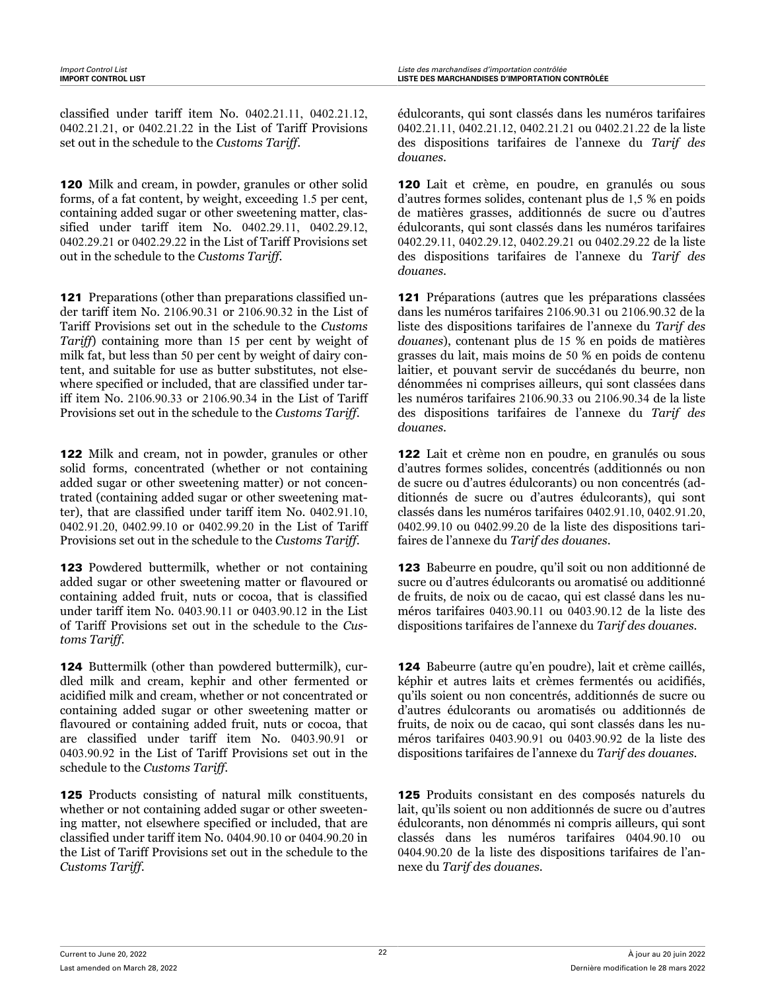classified under tariff item No. 0402.21.11, 0402.21.12, 0402.21.21, or 0402.21.22 in the List of Tariff Provisions set out in the schedule to the *Customs Tariff*.

120 Milk and cream, in powder, granules or other solid forms, of a fat content, by weight, exceeding 1.5 per cent, containing added sugar or other sweetening matter, classified under tariff item No. 0402.29.11, 0402.29.12, 0402.29.21 or 0402.29.22 in the List of Tariff Provisions set out in the schedule to the *Customs Tariff*.

121 Preparations (other than preparations classified under tariff item No. 2106.90.31 or 2106.90.32 in the List of Tariff Provisions set out in the schedule to the *Customs Tariff*) containing more than 15 per cent by weight of milk fat, but less than 50 per cent by weight of dairy content, and suitable for use as butter substitutes, not elsewhere specified or included, that are classified under tariff item No. 2106.90.33 or 2106.90.34 in the List of Tariff Provisions set out in the schedule to the *Customs Tariff*.

122 Milk and cream, not in powder, granules or other solid forms, concentrated (whether or not containing added sugar or other sweetening matter) or not concentrated (containing added sugar or other sweetening matter), that are classified under tariff item No. 0402.91.10, 0402.91.20, 0402.99.10 or 0402.99.20 in the List of Tariff Provisions set out in the schedule to the *Customs Tariff*.

123 Powdered buttermilk, whether or not containing added sugar or other sweetening matter or flavoured or containing added fruit, nuts or cocoa, that is classified under tariff item No. 0403.90.11 or 0403.90.12 in the List of Tariff Provisions set out in the schedule to the *Customs Tariff*.

124 Buttermilk (other than powdered buttermilk), curdled milk and cream, kephir and other fermented or acidified milk and cream, whether or not concentrated or containing added sugar or other sweetening matter or flavoured or containing added fruit, nuts or cocoa, that are classified under tariff item No. 0403.90.91 or 0403.90.92 in the List of Tariff Provisions set out in the schedule to the *Customs Tariff*.

125 Products consisting of natural milk constituents, whether or not containing added sugar or other sweetening matter, not elsewhere specified or included, that are classified under tariff item No. 0404.90.10 or 0404.90.20 in the List of Tariff Provisions set out in the schedule to the *Customs Tariff*.

édulcorants, qui sont classés dans les numéros tarifaires 0402.21.11, 0402.21.12, 0402.21.21 ou 0402.21.22 de la liste des dispositions tarifaires de l'annexe du *Tarif des douanes*.

120 Lait et crème, en poudre, en granulés ou sous d'autres formes solides, contenant plus de 1,5 % en poids de matières grasses, additionnés de sucre ou d'autres édulcorants, qui sont classés dans les numéros tarifaires 0402.29.11, 0402.29.12, 0402.29.21 ou 0402.29.22 de la liste des dispositions tarifaires de l'annexe du *Tarif des douanes*.

121 Préparations (autres que les préparations classées dans les numéros tarifaires 2106.90.31 ou 2106.90.32 de la liste des dispositions tarifaires de l'annexe du *Tarif des douanes*), contenant plus de 15 % en poids de matières grasses du lait, mais moins de 50 % en poids de contenu laitier, et pouvant servir de succédanés du beurre, non dénommées ni comprises ailleurs, qui sont classées dans les numéros tarifaires 2106.90.33 ou 2106.90.34 de la liste des dispositions tarifaires de l'annexe du *Tarif des douanes*.

122 Lait et crème non en poudre, en granulés ou sous d'autres formes solides, concentrés (additionnés ou non de sucre ou d'autres édulcorants) ou non concentrés (additionnés de sucre ou d'autres édulcorants), qui sont classés dans les numéros tarifaires 0402.91.10, 0402.91.20, 0402.99.10 ou 0402.99.20 de la liste des dispositions tarifaires de l'annexe du *Tarif des douanes*.

123 Babeurre en poudre, qu'il soit ou non additionné de sucre ou d'autres édulcorants ou aromatisé ou additionné de fruits, de noix ou de cacao, qui est classé dans les numéros tarifaires 0403.90.11 ou 0403.90.12 de la liste des dispositions tarifaires de l'annexe du *Tarif des douanes*.

124 Babeurre (autre qu'en poudre), lait et crème caillés, képhir et autres laits et crèmes fermentés ou acidifiés, qu'ils soient ou non concentrés, additionnés de sucre ou d'autres édulcorants ou aromatisés ou additionnés de fruits, de noix ou de cacao, qui sont classés dans les numéros tarifaires 0403.90.91 ou 0403.90.92 de la liste des dispositions tarifaires de l'annexe du *Tarif des douanes*.

125 Produits consistant en des composés naturels du lait, qu'ils soient ou non additionnés de sucre ou d'autres édulcorants, non dénommés ni compris ailleurs, qui sont classés dans les numéros tarifaires 0404.90.10 ou 0404.90.20 de la liste des dispositions tarifaires de l'annexe du *Tarif des douanes*.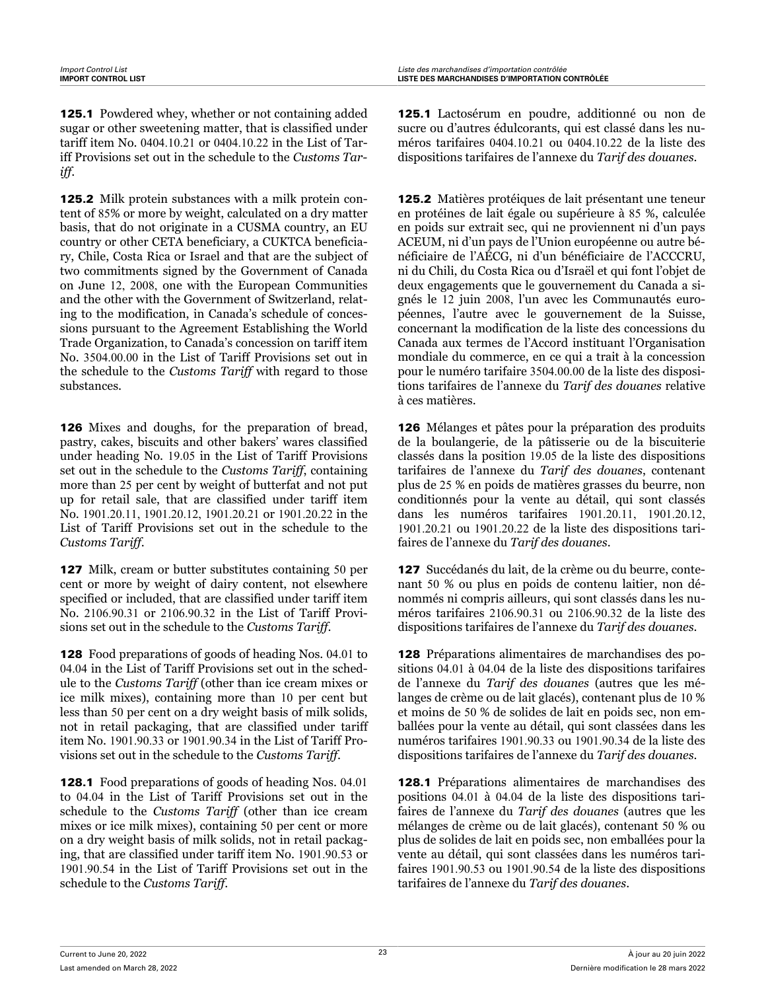125.1 Powdered whey, whether or not containing added sugar or other sweetening matter, that is classified under tariff item No. 0404.10.21 or 0404.10.22 in the List of Tariff Provisions set out in the schedule to the *Customs Tariff*.

125.2 Milk protein substances with a milk protein content of 85% or more by weight, calculated on a dry matter basis, that do not originate in a CUSMA country, an EU country or other CETA beneficiary, a CUKTCA beneficiary, Chile, Costa Rica or Israel and that are the subject of two commitments signed by the Government of Canada on June 12, 2008, one with the European Communities and the other with the Government of Switzerland, relating to the modification, in Canada's schedule of concessions pursuant to the Agreement Establishing the World Trade Organization, to Canada's concession on tariff item No. 3504.00.00 in the List of Tariff Provisions set out in the schedule to the *Customs Tariff* with regard to those substances.

126 Mixes and doughs, for the preparation of bread, pastry, cakes, biscuits and other bakers' wares classified under heading No. 19.05 in the List of Tariff Provisions set out in the schedule to the *Customs Tariff*, containing more than 25 per cent by weight of butterfat and not put up for retail sale, that are classified under tariff item No. 1901.20.11, 1901.20.12, 1901.20.21 or 1901.20.22 in the List of Tariff Provisions set out in the schedule to the *Customs Tariff*.

127 Milk, cream or butter substitutes containing 50 per cent or more by weight of dairy content, not elsewhere specified or included, that are classified under tariff item No. 2106.90.31 or 2106.90.32 in the List of Tariff Provisions set out in the schedule to the *Customs Tariff*.

128 Food preparations of goods of heading Nos. 04.01 to 04.04 in the List of Tariff Provisions set out in the schedule to the *Customs Tariff* (other than ice cream mixes or ice milk mixes), containing more than 10 per cent but less than 50 per cent on a dry weight basis of milk solids, not in retail packaging, that are classified under tariff item No. 1901.90.33 or 1901.90.34 in the List of Tariff Provisions set out in the schedule to the *Customs Tariff*.

128.1 Food preparations of goods of heading Nos. 04.01 to 04.04 in the List of Tariff Provisions set out in the schedule to the *Customs Tariff* (other than ice cream mixes or ice milk mixes), containing 50 per cent or more on a dry weight basis of milk solids, not in retail packaging, that are classified under tariff item No. 1901.90.53 or 1901.90.54 in the List of Tariff Provisions set out in the schedule to the *Customs Tariff*.

125.1 Lactosérum en poudre, additionné ou non de sucre ou d'autres édulcorants, qui est classé dans les numéros tarifaires 0404.10.21 ou 0404.10.22 de la liste des dispositions tarifaires de l'annexe du *Tarif des douanes*.

125.2 Matières protéiques de lait présentant une teneur en protéines de lait égale ou supérieure à 85 %, calculée en poids sur extrait sec, qui ne proviennent ni d'un pays ACEUM, ni d'un pays de l'Union européenne ou autre bénéficiaire de l'AÉCG, ni d'un bénéficiaire de l'ACCCRU, ni du Chili, du Costa Rica ou d'Israël et qui font l'objet de deux engagements que le gouvernement du Canada a signés le 12 juin 2008, l'un avec les Communautés européennes, l'autre avec le gouvernement de la Suisse, concernant la modification de la liste des concessions du Canada aux termes de l'Accord instituant l'Organisation mondiale du commerce, en ce qui a trait à la concession pour le numéro tarifaire 3504.00.00 de la liste des dispositions tarifaires de l'annexe du *Tarif des douanes* relative à ces matières.

126 Mélanges et pâtes pour la préparation des produits de la boulangerie, de la pâtisserie ou de la biscuiterie classés dans la position 19.05 de la liste des dispositions tarifaires de l'annexe du *Tarif des douanes*, contenant plus de 25 % en poids de matières grasses du beurre, non conditionnés pour la vente au détail, qui sont classés dans les numéros tarifaires 1901.20.11, 1901.20.12, 1901.20.21 ou 1901.20.22 de la liste des dispositions tarifaires de l'annexe du *Tarif des douanes*.

127 Succédanés du lait, de la crème ou du beurre, contenant 50 % ou plus en poids de contenu laitier, non dénommés ni compris ailleurs, qui sont classés dans les numéros tarifaires 2106.90.31 ou 2106.90.32 de la liste des dispositions tarifaires de l'annexe du *Tarif des douanes*.

128 Préparations alimentaires de marchandises des positions 04.01 à 04.04 de la liste des dispositions tarifaires de l'annexe du *Tarif des douanes* (autres que les mélanges de crème ou de lait glacés), contenant plus de 10 % et moins de 50 % de solides de lait en poids sec, non emballées pour la vente au détail, qui sont classées dans les numéros tarifaires 1901.90.33 ou 1901.90.34 de la liste des dispositions tarifaires de l'annexe du *Tarif des douanes*.

128.1 Préparations alimentaires de marchandises des positions 04.01 à 04.04 de la liste des dispositions tarifaires de l'annexe du *Tarif des douanes* (autres que les mélanges de crème ou de lait glacés), contenant 50 % ou plus de solides de lait en poids sec, non emballées pour la vente au détail, qui sont classées dans les numéros tarifaires 1901.90.53 ou 1901.90.54 de la liste des dispositions tarifaires de l'annexe du *Tarif des douanes*.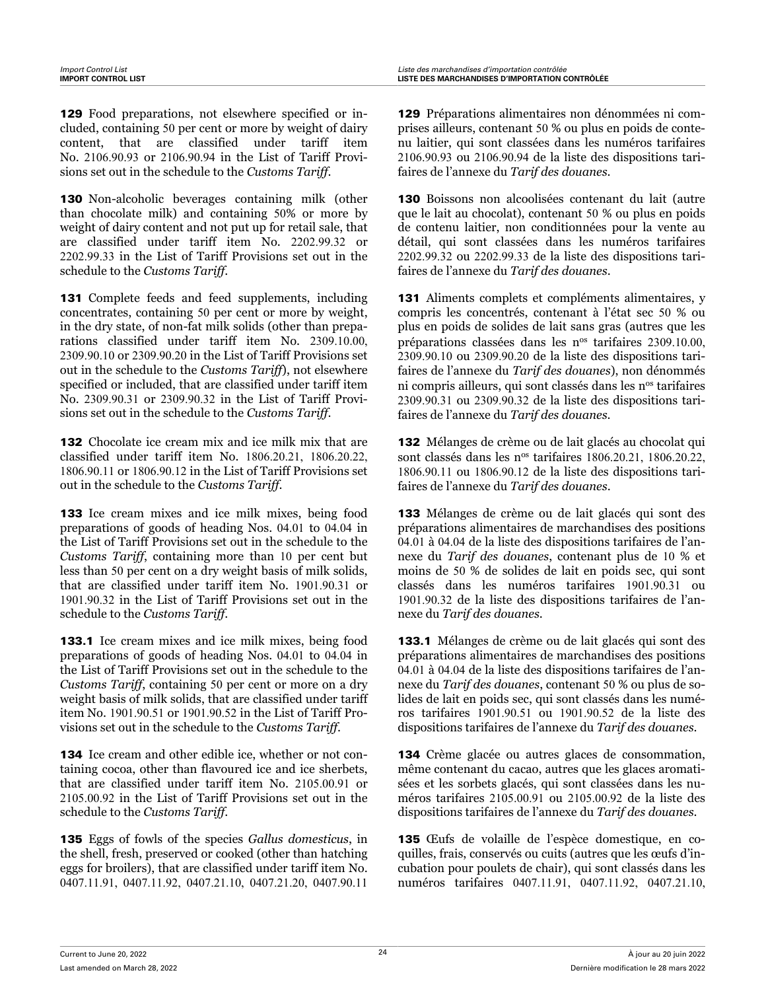129 Food preparations, not elsewhere specified or included, containing 50 per cent or more by weight of dairy content, that are classified under tariff item No. 2106.90.93 or 2106.90.94 in the List of Tariff Provisions set out in the schedule to the *Customs Tariff*.

130 Non-alcoholic beverages containing milk (other than chocolate milk) and containing 50% or more by weight of dairy content and not put up for retail sale, that are classified under tariff item No. 2202.99.32 or 2202.99.33 in the List of Tariff Provisions set out in the schedule to the *Customs Tariff*.

131 Complete feeds and feed supplements, including concentrates, containing 50 per cent or more by weight, in the dry state, of non-fat milk solids (other than preparations classified under tariff item No. 2309.10.00, 2309.90.10 or 2309.90.20 in the List of Tariff Provisions set out in the schedule to the *Customs Tariff*), not elsewhere specified or included, that are classified under tariff item No. 2309.90.31 or 2309.90.32 in the List of Tariff Provisions set out in the schedule to the *Customs Tariff*.

132 Chocolate ice cream mix and ice milk mix that are classified under tariff item No. 1806.20.21, 1806.20.22, 1806.90.11 or 1806.90.12 in the List of Tariff Provisions set out in the schedule to the *Customs Tariff*.

133 Ice cream mixes and ice milk mixes, being food preparations of goods of heading Nos. 04.01 to 04.04 in the List of Tariff Provisions set out in the schedule to the *Customs Tariff*, containing more than 10 per cent but less than 50 per cent on a dry weight basis of milk solids, that are classified under tariff item No. 1901.90.31 or 1901.90.32 in the List of Tariff Provisions set out in the schedule to the *Customs Tariff*.

133.1 Ice cream mixes and ice milk mixes, being food preparations of goods of heading Nos. 04.01 to 04.04 in the List of Tariff Provisions set out in the schedule to the *Customs Tariff*, containing 50 per cent or more on a dry weight basis of milk solids, that are classified under tariff item No. 1901.90.51 or 1901.90.52 in the List of Tariff Provisions set out in the schedule to the *Customs Tariff*.

134 Ice cream and other edible ice, whether or not containing cocoa, other than flavoured ice and ice sherbets, that are classified under tariff item No. 2105.00.91 or 2105.00.92 in the List of Tariff Provisions set out in the schedule to the *Customs Tariff*.

135 Eggs of fowls of the species *Gallus domesticus*, in the shell, fresh, preserved or cooked (other than hatching eggs for broilers), that are classified under tariff item No. 0407.11.91, 0407.11.92, 0407.21.10, 0407.21.20, 0407.90.11

129 Préparations alimentaires non dénommées ni comprises ailleurs, contenant 50 % ou plus en poids de contenu laitier, qui sont classées dans les numéros tarifaires 2106.90.93 ou 2106.90.94 de la liste des dispositions tarifaires de l'annexe du *Tarif des douanes*.

130 Boissons non alcoolisées contenant du lait (autre que le lait au chocolat), contenant 50 % ou plus en poids de contenu laitier, non conditionnées pour la vente au détail, qui sont classées dans les numéros tarifaires 2202.99.32 ou 2202.99.33 de la liste des dispositions tarifaires de l'annexe du *Tarif des douanes*.

131 Aliments complets et compléments alimentaires, y compris les concentrés, contenant à l'état sec 50 % ou plus en poids de solides de lait sans gras (autres que les préparations classées dans les nos tarifaires 2309.10.00, 2309.90.10 ou 2309.90.20 de la liste des dispositions tarifaires de l'annexe du *Tarif des douanes*), non dénommés ni compris ailleurs, qui sont classés dans les n<sup>os</sup> tarifaires 2309.90.31 ou 2309.90.32 de la liste des dispositions tarifaires de l'annexe du *Tarif des douanes*.

132 Mélanges de crème ou de lait glacés au chocolat qui sont classés dans les n<sup>os</sup> tarifaires 1806.20.21, 1806.20.22, 1806.90.11 ou 1806.90.12 de la liste des dispositions tarifaires de l'annexe du *Tarif des douanes*.

133 Mélanges de crème ou de lait glacés qui sont des préparations alimentaires de marchandises des positions 04.01 à 04.04 de la liste des dispositions tarifaires de l'annexe du *Tarif des douanes*, contenant plus de 10 % et moins de 50 % de solides de lait en poids sec, qui sont classés dans les numéros tarifaires 1901.90.31 ou 1901.90.32 de la liste des dispositions tarifaires de l'annexe du *Tarif des douanes*.

133.1 Mélanges de crème ou de lait glacés qui sont des préparations alimentaires de marchandises des positions 04.01 à 04.04 de la liste des dispositions tarifaires de l'annexe du *Tarif des douanes*, contenant 50 % ou plus de solides de lait en poids sec, qui sont classés dans les numéros tarifaires 1901.90.51 ou 1901.90.52 de la liste des dispositions tarifaires de l'annexe du *Tarif des douanes*.

134 Crème glacée ou autres glaces de consommation, même contenant du cacao, autres que les glaces aromatisées et les sorbets glacés, qui sont classées dans les numéros tarifaires 2105.00.91 ou 2105.00.92 de la liste des dispositions tarifaires de l'annexe du *Tarif des douanes*.

135 Œufs de volaille de l'espèce domestique, en coquilles, frais, conservés ou cuits (autres que les œufs d'incubation pour poulets de chair), qui sont classés dans les numéros tarifaires 0407.11.91, 0407.11.92, 0407.21.10,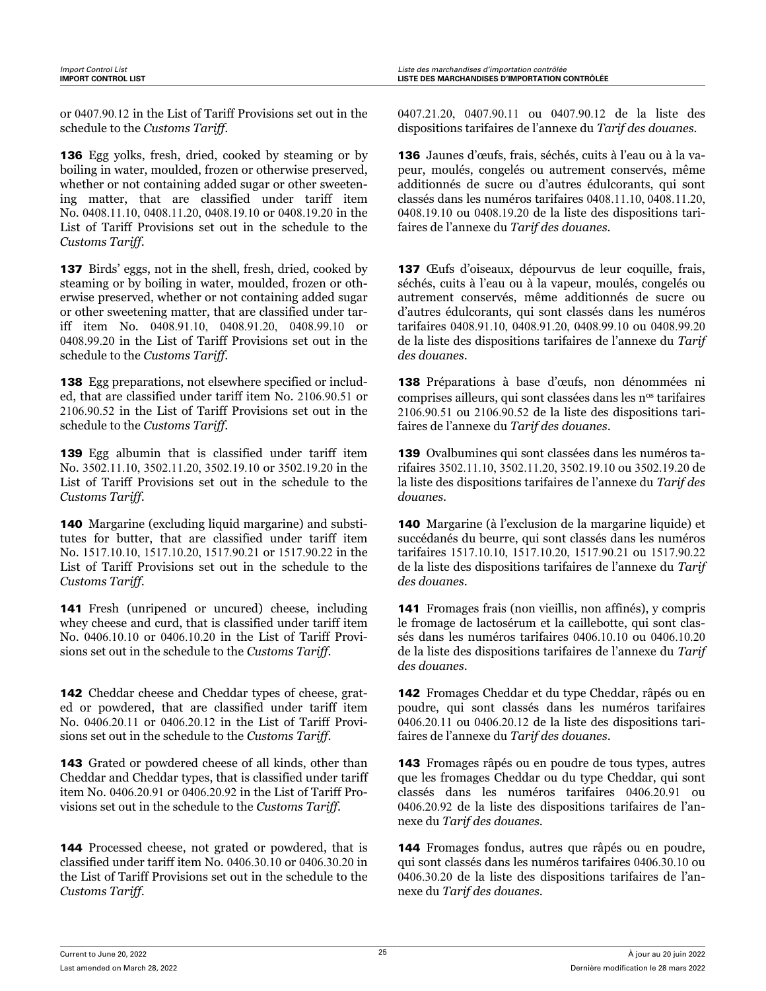or 0407.90.12 in the List of Tariff Provisions set out in the schedule to the *Customs Tariff*.

136 Egg yolks, fresh, dried, cooked by steaming or by boiling in water, moulded, frozen or otherwise preserved, whether or not containing added sugar or other sweetening matter, that are classified under tariff item No. 0408.11.10, 0408.11.20, 0408.19.10 or 0408.19.20 in the List of Tariff Provisions set out in the schedule to the *Customs Tariff*.

137 Birds' eggs, not in the shell, fresh, dried, cooked by steaming or by boiling in water, moulded, frozen or otherwise preserved, whether or not containing added sugar or other sweetening matter, that are classified under tariff item No. 0408.91.10, 0408.91.20, 0408.99.10 or 0408.99.20 in the List of Tariff Provisions set out in the schedule to the *Customs Tariff*.

138 Egg preparations, not elsewhere specified or included, that are classified under tariff item No. 2106.90.51 or 2106.90.52 in the List of Tariff Provisions set out in the schedule to the *Customs Tariff*.

139 Egg albumin that is classified under tariff item No. 3502.11.10, 3502.11.20, 3502.19.10 or 3502.19.20 in the List of Tariff Provisions set out in the schedule to the *Customs Tariff*.

140 Margarine (excluding liquid margarine) and substitutes for butter, that are classified under tariff item No. 1517.10.10, 1517.10.20, 1517.90.21 or 1517.90.22 in the List of Tariff Provisions set out in the schedule to the *Customs Tariff*.

141 Fresh (unripened or uncured) cheese, including whey cheese and curd, that is classified under tariff item No. 0406.10.10 or 0406.10.20 in the List of Tariff Provisions set out in the schedule to the *Customs Tariff*.

142 Cheddar cheese and Cheddar types of cheese, grated or powdered, that are classified under tariff item No. 0406.20.11 or 0406.20.12 in the List of Tariff Provisions set out in the schedule to the *Customs Tariff*.

143 Grated or powdered cheese of all kinds, other than Cheddar and Cheddar types, that is classified under tariff item No. 0406.20.91 or 0406.20.92 in the List of Tariff Provisions set out in the schedule to the *Customs Tariff*.

144 Processed cheese, not grated or powdered, that is classified under tariff item No. 0406.30.10 or 0406.30.20 in the List of Tariff Provisions set out in the schedule to the *Customs Tariff*.

0407.21.20, 0407.90.11 ou 0407.90.12 de la liste des dispositions tarifaires de l'annexe du *Tarif des douanes*.

136 Jaunes d'œufs, frais, séchés, cuits à l'eau ou à la vapeur, moulés, congelés ou autrement conservés, même additionnés de sucre ou d'autres édulcorants, qui sont classés dans les numéros tarifaires 0408.11.10, 0408.11.20, 0408.19.10 ou 0408.19.20 de la liste des dispositions tarifaires de l'annexe du *Tarif des douanes*.

137 Œufs d'oiseaux, dépourvus de leur coquille, frais, séchés, cuits à l'eau ou à la vapeur, moulés, congelés ou autrement conservés, même additionnés de sucre ou d'autres édulcorants, qui sont classés dans les numéros tarifaires 0408.91.10, 0408.91.20, 0408.99.10 ou 0408.99.20 de la liste des dispositions tarifaires de l'annexe du *Tarif des douanes*.

138 Préparations à base d'œufs, non dénommées ni comprises ailleurs, qui sont classées dans les n<sup>os</sup> tarifaires 2106.90.51 ou 2106.90.52 de la liste des dispositions tarifaires de l'annexe du *Tarif des douanes*.

139 Ovalbumines qui sont classées dans les numéros tarifaires 3502.11.10, 3502.11.20, 3502.19.10 ou 3502.19.20 de la liste des dispositions tarifaires de l'annexe du *Tarif des douanes*.

140 Margarine (à l'exclusion de la margarine liquide) et succédanés du beurre, qui sont classés dans les numéros tarifaires 1517.10.10, 1517.10.20, 1517.90.21 ou 1517.90.22 de la liste des dispositions tarifaires de l'annexe du *Tarif des douanes*.

141 Fromages frais (non vieillis, non affinés), y compris le fromage de lactosérum et la caillebotte, qui sont classés dans les numéros tarifaires 0406.10.10 ou 0406.10.20 de la liste des dispositions tarifaires de l'annexe du *Tarif des douanes*.

142 Fromages Cheddar et du type Cheddar, râpés ou en poudre, qui sont classés dans les numéros tarifaires 0406.20.11 ou 0406.20.12 de la liste des dispositions tarifaires de l'annexe du *Tarif des douanes*.

143 Fromages râpés ou en poudre de tous types, autres que les fromages Cheddar ou du type Cheddar, qui sont classés dans les numéros tarifaires 0406.20.91 ou 0406.20.92 de la liste des dispositions tarifaires de l'annexe du *Tarif des douanes*.

144 Fromages fondus, autres que râpés ou en poudre, qui sont classés dans les numéros tarifaires 0406.30.10 ou 0406.30.20 de la liste des dispositions tarifaires de l'annexe du *Tarif des douanes*.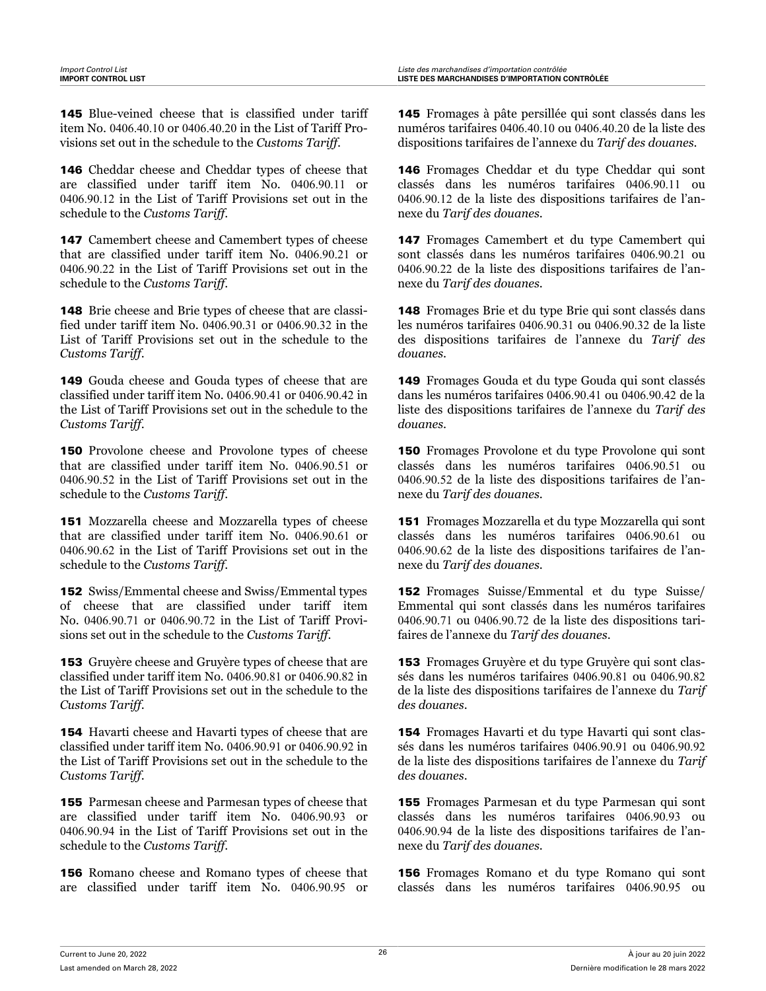145 Blue-veined cheese that is classified under tariff item No. 0406.40.10 or 0406.40.20 in the List of Tariff Provisions set out in the schedule to the *Customs Tariff*.

146 Cheddar cheese and Cheddar types of cheese that are classified under tariff item No. 0406.90.11 or 0406.90.12 in the List of Tariff Provisions set out in the schedule to the *Customs Tariff*.

147 Camembert cheese and Camembert types of cheese that are classified under tariff item No. 0406.90.21 or 0406.90.22 in the List of Tariff Provisions set out in the schedule to the *Customs Tariff*.

148 Brie cheese and Brie types of cheese that are classified under tariff item No. 0406.90.31 or 0406.90.32 in the List of Tariff Provisions set out in the schedule to the *Customs Tariff*.

149 Gouda cheese and Gouda types of cheese that are classified under tariff item No. 0406.90.41 or 0406.90.42 in the List of Tariff Provisions set out in the schedule to the *Customs Tariff*.

150 Provolone cheese and Provolone types of cheese that are classified under tariff item No. 0406.90.51 or 0406.90.52 in the List of Tariff Provisions set out in the schedule to the *Customs Tariff*.

151 Mozzarella cheese and Mozzarella types of cheese that are classified under tariff item No. 0406.90.61 or 0406.90.62 in the List of Tariff Provisions set out in the schedule to the *Customs Tariff*.

152 Swiss/Emmental cheese and Swiss/Emmental types of cheese that are classified under tariff item No. 0406.90.71 or 0406.90.72 in the List of Tariff Provisions set out in the schedule to the *Customs Tariff*.

**153** Gruyère cheese and Gruyère types of cheese that are classified under tariff item No. 0406.90.81 or 0406.90.82 in the List of Tariff Provisions set out in the schedule to the *Customs Tariff*.

154 Havarti cheese and Havarti types of cheese that are classified under tariff item No. 0406.90.91 or 0406.90.92 in the List of Tariff Provisions set out in the schedule to the *Customs Tariff*.

155 Parmesan cheese and Parmesan types of cheese that are classified under tariff item No. 0406.90.93 or 0406.90.94 in the List of Tariff Provisions set out in the schedule to the *Customs Tariff*.

156 Romano cheese and Romano types of cheese that are classified under tariff item No. 0406.90.95 or

145 Fromages à pâte persillée qui sont classés dans les numéros tarifaires 0406.40.10 ou 0406.40.20 de la liste des dispositions tarifaires de l'annexe du *Tarif des douanes*.

146 Fromages Cheddar et du type Cheddar qui sont classés dans les numéros tarifaires 0406.90.11 ou 0406.90.12 de la liste des dispositions tarifaires de l'annexe du *Tarif des douanes*.

147 Fromages Camembert et du type Camembert qui sont classés dans les numéros tarifaires 0406.90.21 ou 0406.90.22 de la liste des dispositions tarifaires de l'annexe du *Tarif des douanes*.

148 Fromages Brie et du type Brie qui sont classés dans les numéros tarifaires 0406.90.31 ou 0406.90.32 de la liste des dispositions tarifaires de l'annexe du *Tarif des douanes*.

149 Fromages Gouda et du type Gouda qui sont classés dans les numéros tarifaires 0406.90.41 ou 0406.90.42 de la liste des dispositions tarifaires de l'annexe du *Tarif des douanes*.

150 Fromages Provolone et du type Provolone qui sont classés dans les numéros tarifaires 0406.90.51 ou 0406.90.52 de la liste des dispositions tarifaires de l'annexe du *Tarif des douanes*.

151 Fromages Mozzarella et du type Mozzarella qui sont classés dans les numéros tarifaires 0406.90.61 ou 0406.90.62 de la liste des dispositions tarifaires de l'annexe du *Tarif des douanes*.

152 Fromages Suisse/Emmental et du type Suisse/ Emmental qui sont classés dans les numéros tarifaires 0406.90.71 ou 0406.90.72 de la liste des dispositions tarifaires de l'annexe du *Tarif des douanes*.

153 Fromages Gruyère et du type Gruyère qui sont classés dans les numéros tarifaires 0406.90.81 ou 0406.90.82 de la liste des dispositions tarifaires de l'annexe du *Tarif des douanes*.

154 Fromages Havarti et du type Havarti qui sont classés dans les numéros tarifaires 0406.90.91 ou 0406.90.92 de la liste des dispositions tarifaires de l'annexe du *Tarif des douanes*.

155 Fromages Parmesan et du type Parmesan qui sont classés dans les numéros tarifaires 0406.90.93 ou 0406.90.94 de la liste des dispositions tarifaires de l'annexe du *Tarif des douanes*.

156 Fromages Romano et du type Romano qui sont classés dans les numéros tarifaires 0406.90.95 ou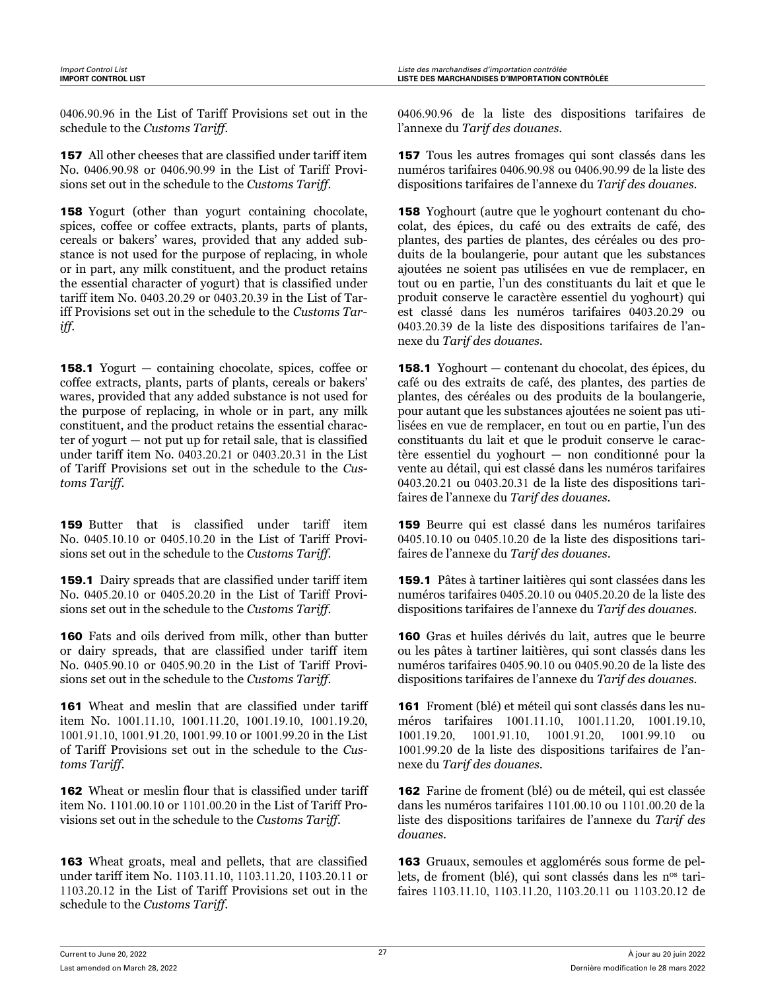0406.90.96 in the List of Tariff Provisions set out in the schedule to the *Customs Tariff*.

157 All other cheeses that are classified under tariff item No. 0406.90.98 or 0406.90.99 in the List of Tariff Provisions set out in the schedule to the *Customs Tariff*.

158 Yogurt (other than yogurt containing chocolate, spices, coffee or coffee extracts, plants, parts of plants, cereals or bakers' wares, provided that any added substance is not used for the purpose of replacing, in whole or in part, any milk constituent, and the product retains the essential character of yogurt) that is classified under tariff item No. 0403.20.29 or 0403.20.39 in the List of Tariff Provisions set out in the schedule to the *Customs Tariff*.

158.1 Yogurt — containing chocolate, spices, coffee or coffee extracts, plants, parts of plants, cereals or bakers' wares, provided that any added substance is not used for the purpose of replacing, in whole or in part, any milk constituent, and the product retains the essential character of yogurt — not put up for retail sale, that is classified under tariff item No. 0403.20.21 or 0403.20.31 in the List of Tariff Provisions set out in the schedule to the *Customs Tariff*.

159 Butter that is classified under tariff item No. 0405.10.10 or 0405.10.20 in the List of Tariff Provisions set out in the schedule to the *Customs Tariff*.

159.1 Dairy spreads that are classified under tariff item No. 0405.20.10 or 0405.20.20 in the List of Tariff Provisions set out in the schedule to the *Customs Tariff*.

160 Fats and oils derived from milk, other than butter or dairy spreads, that are classified under tariff item No. 0405.90.10 or 0405.90.20 in the List of Tariff Provisions set out in the schedule to the *Customs Tariff*.

161 Wheat and meslin that are classified under tariff item No. 1001.11.10, 1001.11.20, 1001.19.10, 1001.19.20, 1001.91.10, 1001.91.20, 1001.99.10 or 1001.99.20 in the List of Tariff Provisions set out in the schedule to the *Customs Tariff*.

162 Wheat or meslin flour that is classified under tariff item No. 1101.00.10 or 1101.00.20 in the List of Tariff Provisions set out in the schedule to the *Customs Tariff*.

163 Wheat groats, meal and pellets, that are classified under tariff item No. 1103.11.10, 1103.11.20, 1103.20.11 or 1103.20.12 in the List of Tariff Provisions set out in the schedule to the *Customs Tariff*.

0406.90.96 de la liste des dispositions tarifaires de l'annexe du *Tarif des douanes*.

157 Tous les autres fromages qui sont classés dans les numéros tarifaires 0406.90.98 ou 0406.90.99 de la liste des dispositions tarifaires de l'annexe du *Tarif des douanes*.

158 Yoghourt (autre que le yoghourt contenant du chocolat, des épices, du café ou des extraits de café, des plantes, des parties de plantes, des céréales ou des produits de la boulangerie, pour autant que les substances ajoutées ne soient pas utilisées en vue de remplacer, en tout ou en partie, l'un des constituants du lait et que le produit conserve le caractère essentiel du yoghourt) qui est classé dans les numéros tarifaires 0403.20.29 ou 0403.20.39 de la liste des dispositions tarifaires de l'annexe du *Tarif des douanes*.

158.1 Yoghourt — contenant du chocolat, des épices, du café ou des extraits de café, des plantes, des parties de plantes, des céréales ou des produits de la boulangerie, pour autant que les substances ajoutées ne soient pas utilisées en vue de remplacer, en tout ou en partie, l'un des constituants du lait et que le produit conserve le caractère essentiel du yoghourt — non conditionné pour la vente au détail, qui est classé dans les numéros tarifaires 0403.20.21 ou 0403.20.31 de la liste des dispositions tarifaires de l'annexe du *Tarif des douanes*.

159 Beurre qui est classé dans les numéros tarifaires 0405.10.10 ou 0405.10.20 de la liste des dispositions tarifaires de l'annexe du *Tarif des douanes*.

159.1 Pâtes à tartiner laitières qui sont classées dans les numéros tarifaires 0405.20.10 ou 0405.20.20 de la liste des dispositions tarifaires de l'annexe du *Tarif des douanes*.

160 Gras et huiles dérivés du lait, autres que le beurre ou les pâtes à tartiner laitières, qui sont classés dans les numéros tarifaires 0405.90.10 ou 0405.90.20 de la liste des dispositions tarifaires de l'annexe du *Tarif des douanes*.

161 Froment (blé) et méteil qui sont classés dans les numéros tarifaires 1001.11.10, 1001.11.20, 1001.19.10, 1001.19.20, 1001.91.10, 1001.91.20, 1001.99.10 ou 1001.99.20 de la liste des dispositions tarifaires de l'annexe du *Tarif des douanes*.

162 Farine de froment (blé) ou de méteil, qui est classée dans les numéros tarifaires 1101.00.10 ou 1101.00.20 de la liste des dispositions tarifaires de l'annexe du *Tarif des douanes*.

163 Gruaux, semoules et agglomérés sous forme de pellets, de froment (blé), qui sont classés dans les n<sup>os</sup> tarifaires 1103.11.10, 1103.11.20, 1103.20.11 ou 1103.20.12 de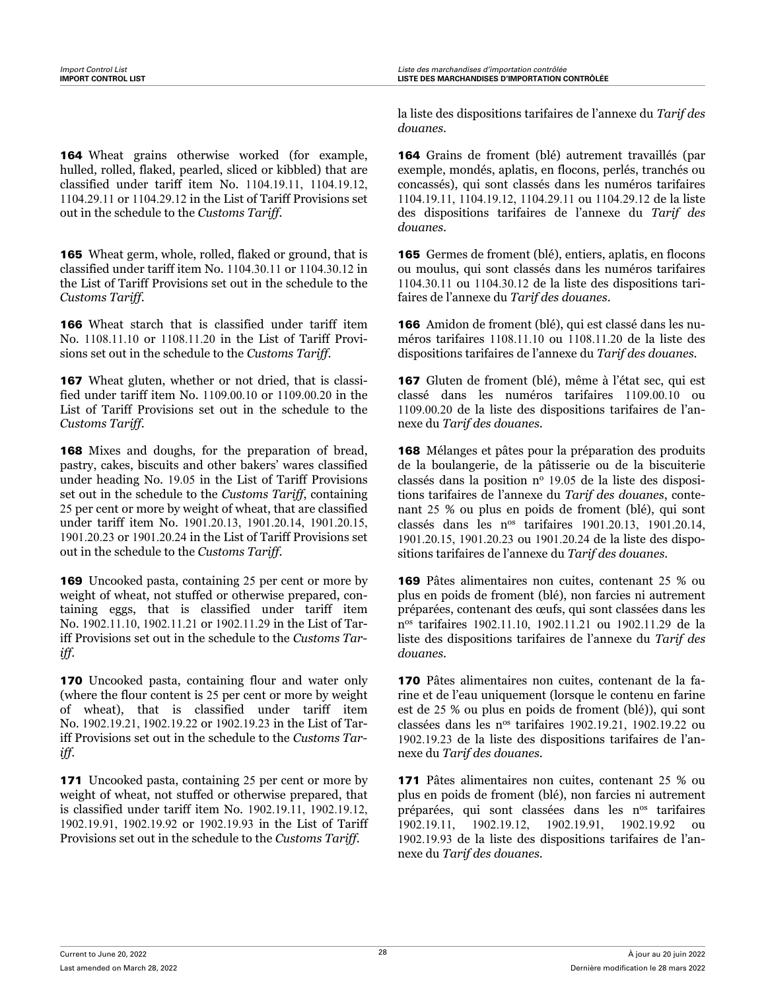164 Wheat grains otherwise worked (for example, hulled, rolled, flaked, pearled, sliced or kibbled) that are classified under tariff item No. 1104.19.11, 1104.19.12, 1104.29.11 or 1104.29.12 in the List of Tariff Provisions set out in the schedule to the *Customs Tariff*.

165 Wheat germ, whole, rolled, flaked or ground, that is classified under tariff item No. 1104.30.11 or 1104.30.12 in the List of Tariff Provisions set out in the schedule to the *Customs Tariff*.

166 Wheat starch that is classified under tariff item No. 1108.11.10 or 1108.11.20 in the List of Tariff Provisions set out in the schedule to the *Customs Tariff*.

167 Wheat gluten, whether or not dried, that is classified under tariff item No. 1109.00.10 or 1109.00.20 in the List of Tariff Provisions set out in the schedule to the *Customs Tariff*.

168 Mixes and doughs, for the preparation of bread, pastry, cakes, biscuits and other bakers' wares classified under heading No. 19.05 in the List of Tariff Provisions set out in the schedule to the *Customs Tariff*, containing 25 per cent or more by weight of wheat, that are classified under tariff item No. 1901.20.13, 1901.20.14, 1901.20.15, 1901.20.23 or 1901.20.24 in the List of Tariff Provisions set out in the schedule to the *Customs Tariff*.

169 Uncooked pasta, containing 25 per cent or more by weight of wheat, not stuffed or otherwise prepared, containing eggs, that is classified under tariff item No. 1902.11.10, 1902.11.21 or 1902.11.29 in the List of Tariff Provisions set out in the schedule to the *Customs Tariff*.

170 Uncooked pasta, containing flour and water only (where the flour content is 25 per cent or more by weight of wheat), that is classified under tariff item No. 1902.19.21, 1902.19.22 or 1902.19.23 in the List of Tariff Provisions set out in the schedule to the *Customs Tariff*.

171 Uncooked pasta, containing 25 per cent or more by weight of wheat, not stuffed or otherwise prepared, that is classified under tariff item No. 1902.19.11, 1902.19.12, 1902.19.91, 1902.19.92 or 1902.19.93 in the List of Tariff Provisions set out in the schedule to the *Customs Tariff*.

la liste des dispositions tarifaires de l'annexe du *Tarif des douanes*.

164 Grains de froment (blé) autrement travaillés (par exemple, mondés, aplatis, en flocons, perlés, tranchés ou concassés), qui sont classés dans les numéros tarifaires 1104.19.11, 1104.19.12, 1104.29.11 ou 1104.29.12 de la liste des dispositions tarifaires de l'annexe du *Tarif des douanes*.

165 Germes de froment (blé), entiers, aplatis, en flocons ou moulus, qui sont classés dans les numéros tarifaires 1104.30.11 ou 1104.30.12 de la liste des dispositions tarifaires de l'annexe du *Tarif des douanes*.

166 Amidon de froment (blé), qui est classé dans les numéros tarifaires 1108.11.10 ou 1108.11.20 de la liste des dispositions tarifaires de l'annexe du *Tarif des douanes*.

167 Gluten de froment (blé), même à l'état sec, qui est classé dans les numéros tarifaires 1109.00.10 ou 1109.00.20 de la liste des dispositions tarifaires de l'annexe du *Tarif des douanes*.

168 Mélanges et pâtes pour la préparation des produits de la boulangerie, de la pâtisserie ou de la biscuiterie classés dans la position  $n^{\circ}$  19.05 de la liste des dispositions tarifaires de l'annexe du *Tarif des douanes*, contenant 25 % ou plus en poids de froment (blé), qui sont classés dans les nos tarifaires 1901.20.13, 1901.20.14, 1901.20.15, 1901.20.23 ou 1901.20.24 de la liste des dispositions tarifaires de l'annexe du *Tarif des douanes*.

169 Pâtes alimentaires non cuites, contenant 25 % ou plus en poids de froment (blé), non farcies ni autrement préparées, contenant des œufs, qui sont classées dans les n os tarifaires 1902.11.10, 1902.11.21 ou 1902.11.29 de la liste des dispositions tarifaires de l'annexe du *Tarif des douanes*.

170 Pâtes alimentaires non cuites, contenant de la farine et de l'eau uniquement (lorsque le contenu en farine est de 25 % ou plus en poids de froment (blé)), qui sont classées dans les nos tarifaires 1902.19.21, 1902.19.22 ou 1902.19.23 de la liste des dispositions tarifaires de l'annexe du *Tarif des douanes*.

171 Pâtes alimentaires non cuites, contenant 25 % ou plus en poids de froment (blé), non farcies ni autrement préparées, qui sont classées dans les nos tarifaires 1902.19.11, 1902.19.12, 1902.19.91, 1902.19.92 ou 1902.19.93 de la liste des dispositions tarifaires de l'annexe du *Tarif des douanes*.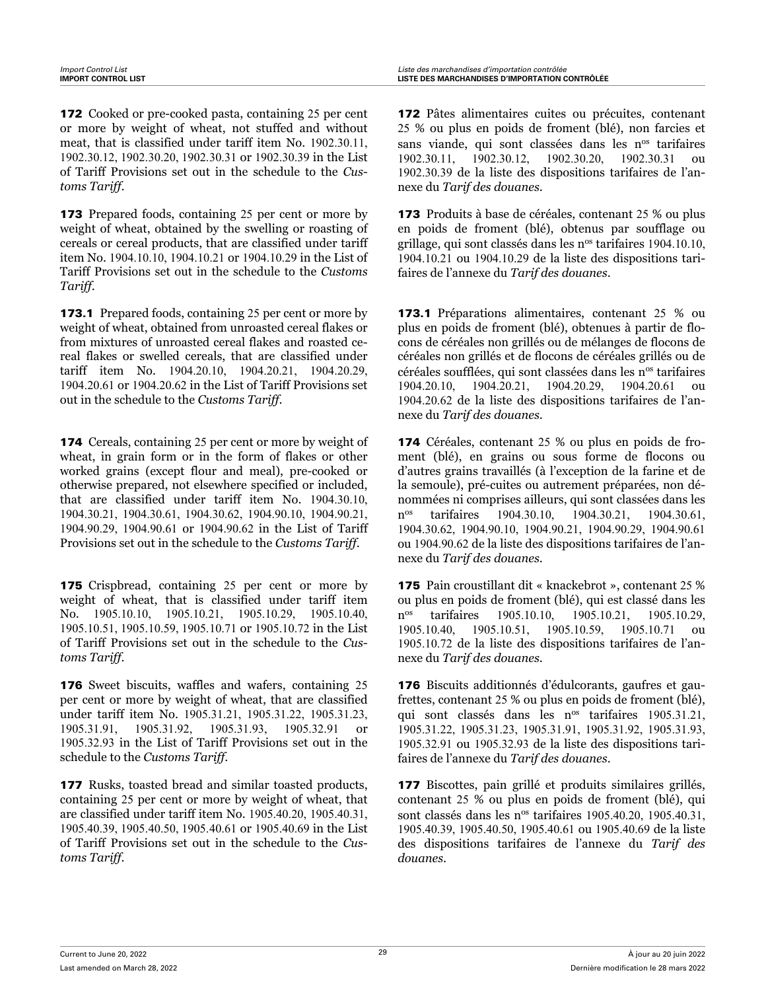172 Cooked or pre-cooked pasta, containing 25 per cent or more by weight of wheat, not stuffed and without meat, that is classified under tariff item No. 1902.30.11, 1902.30.12, 1902.30.20, 1902.30.31 or 1902.30.39 in the List of Tariff Provisions set out in the schedule to the *Customs Tariff*.

173 Prepared foods, containing 25 per cent or more by weight of wheat, obtained by the swelling or roasting of cereals or cereal products, that are classified under tariff item No. 1904.10.10, 1904.10.21 or 1904.10.29 in the List of Tariff Provisions set out in the schedule to the *Customs Tariff*.

**173.1** Prepared foods, containing 25 per cent or more by weight of wheat, obtained from unroasted cereal flakes or from mixtures of unroasted cereal flakes and roasted cereal flakes or swelled cereals, that are classified under tariff item No. 1904.20.10, 1904.20.21, 1904.20.29, 1904.20.61 or 1904.20.62 in the List of Tariff Provisions set out in the schedule to the *Customs Tariff*.

174 Cereals, containing 25 per cent or more by weight of wheat, in grain form or in the form of flakes or other worked grains (except flour and meal), pre-cooked or otherwise prepared, not elsewhere specified or included, that are classified under tariff item No. 1904.30.10, 1904.30.21, 1904.30.61, 1904.30.62, 1904.90.10, 1904.90.21, 1904.90.29, 1904.90.61 or 1904.90.62 in the List of Tariff Provisions set out in the schedule to the *Customs Tariff*.

175 Crispbread, containing 25 per cent or more by weight of wheat, that is classified under tariff item No. 1905.10.10, 1905.10.21, 1905.10.29, 1905.10.40, 1905.10.51, 1905.10.59, 1905.10.71 or 1905.10.72 in the List of Tariff Provisions set out in the schedule to the *Customs Tariff*.

176 Sweet biscuits, waffles and wafers, containing 25 per cent or more by weight of wheat, that are classified under tariff item No. 1905.31.21, 1905.31.22, 1905.31.23, 1905.31.91, 1905.31.92, 1905.31.93, 1905.32.91 or 1905.32.93 in the List of Tariff Provisions set out in the schedule to the *Customs Tariff*.

177 Rusks, toasted bread and similar toasted products, containing 25 per cent or more by weight of wheat, that are classified under tariff item No. 1905.40.20, 1905.40.31, 1905.40.39, 1905.40.50, 1905.40.61 or 1905.40.69 in the List of Tariff Provisions set out in the schedule to the *Customs Tariff*.

172 Pâtes alimentaires cuites ou précuites, contenant 25 % ou plus en poids de froment (blé), non farcies et sans viande, qui sont classées dans les n<sup>os</sup> tarifaires 1902.30.11, 1902.30.12, 1902.30.20, 1902.30.31 ou 1902.30.39 de la liste des dispositions tarifaires de l'annexe du *Tarif des douanes*.

173 Produits à base de céréales, contenant 25 % ou plus en poids de froment (blé), obtenus par soufflage ou grillage, qui sont classés dans les n<sup>os</sup> tarifaires 1904.10.10, 1904.10.21 ou 1904.10.29 de la liste des dispositions tarifaires de l'annexe du *Tarif des douanes*.

173.1 Préparations alimentaires, contenant 25 % ou plus en poids de froment (blé), obtenues à partir de flocons de céréales non grillés ou de mélanges de flocons de céréales non grillés et de flocons de céréales grillés ou de céréales soufflées, qui sont classées dans les n<sup>os</sup> tarifaires 1904.20.10, 1904.20.21, 1904.20.29, 1904.20.61 ou 1904.20.62 de la liste des dispositions tarifaires de l'annexe du *Tarif des douanes*.

174 Céréales, contenant 25 % ou plus en poids de froment (blé), en grains ou sous forme de flocons ou d'autres grains travaillés (à l'exception de la farine et de la semoule), pré-cuites ou autrement préparées, non dénommées ni comprises ailleurs, qui sont classées dans les n<sup>os</sup> tarifaires 1904.30.10, 1904.30.21, 1904.30.61, 1904.30.62, 1904.90.10, 1904.90.21, 1904.90.29, 1904.90.61 ou 1904.90.62 de la liste des dispositions tarifaires de l'annexe du *Tarif des douanes*.

175 Pain croustillant dit « knackebrot », contenant 25 % ou plus en poids de froment (blé), qui est classé dans les n<sup>os</sup> tarifaires 1905.10.10, 1905.10.21, 1905.10.29, 1905.10.40, 1905.10.51, 1905.10.59, 1905.10.71 ou 1905.10.72 de la liste des dispositions tarifaires de l'annexe du *Tarif des douanes*.

176 Biscuits additionnés d'édulcorants, gaufres et gaufrettes, contenant 25 % ou plus en poids de froment (blé), qui sont classés dans les n<sup>os</sup> tarifaires 1905.31.21, 1905.31.22, 1905.31.23, 1905.31.91, 1905.31.92, 1905.31.93, 1905.32.91 ou 1905.32.93 de la liste des dispositions tarifaires de l'annexe du *Tarif des douanes*.

177 Biscottes, pain grillé et produits similaires grillés, contenant 25 % ou plus en poids de froment (blé), qui sont classés dans les n<sup>os</sup> tarifaires 1905.40.20, 1905.40.31, 1905.40.39, 1905.40.50, 1905.40.61 ou 1905.40.69 de la liste des dispositions tarifaires de l'annexe du *Tarif des douanes*.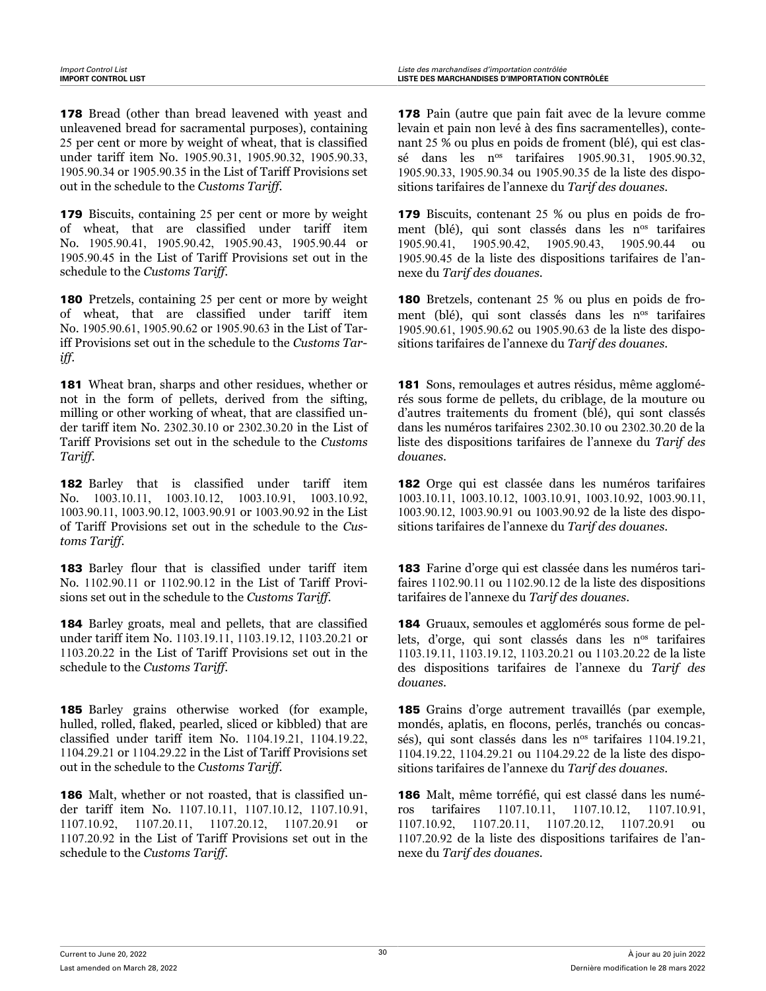178 Bread (other than bread leavened with yeast and unleavened bread for sacramental purposes), containing 25 per cent or more by weight of wheat, that is classified under tariff item No. 1905.90.31, 1905.90.32, 1905.90.33, 1905.90.34 or 1905.90.35 in the List of Tariff Provisions set out in the schedule to the *Customs Tariff*.

179 Biscuits, containing 25 per cent or more by weight of wheat, that are classified under tariff item No. 1905.90.41, 1905.90.42, 1905.90.43, 1905.90.44 or 1905.90.45 in the List of Tariff Provisions set out in the schedule to the *Customs Tariff*.

180 Pretzels, containing 25 per cent or more by weight of wheat, that are classified under tariff item No. 1905.90.61, 1905.90.62 or 1905.90.63 in the List of Tariff Provisions set out in the schedule to the *Customs Tariff*.

181 Wheat bran, sharps and other residues, whether or not in the form of pellets, derived from the sifting, milling or other working of wheat, that are classified under tariff item No. 2302.30.10 or 2302.30.20 in the List of Tariff Provisions set out in the schedule to the *Customs Tariff*.

182 Barley that is classified under tariff item No. 1003.10.11, 1003.10.12, 1003.10.91, 1003.10.92, 1003.90.11, 1003.90.12, 1003.90.91 or 1003.90.92 in the List of Tariff Provisions set out in the schedule to the *Customs Tariff*.

183 Barley flour that is classified under tariff item No. 1102.90.11 or 1102.90.12 in the List of Tariff Provisions set out in the schedule to the *Customs Tariff*.

184 Barley groats, meal and pellets, that are classified under tariff item No. 1103.19.11, 1103.19.12, 1103.20.21 or 1103.20.22 in the List of Tariff Provisions set out in the schedule to the *Customs Tariff*.

185 Barley grains otherwise worked (for example, hulled, rolled, flaked, pearled, sliced or kibbled) that are classified under tariff item No. 1104.19.21, 1104.19.22, 1104.29.21 or 1104.29.22 in the List of Tariff Provisions set out in the schedule to the *Customs Tariff*.

186 Malt, whether or not roasted, that is classified under tariff item No. 1107.10.11, 1107.10.12, 1107.10.91, 1107.10.92, 1107.20.11, 1107.20.12, 1107.20.91 or 1107.20.92 in the List of Tariff Provisions set out in the schedule to the *Customs Tariff*.

178 Pain (autre que pain fait avec de la levure comme levain et pain non levé à des fins sacramentelles), contenant 25 % ou plus en poids de froment (blé), qui est classé dans les nos tarifaires 1905.90.31, 1905.90.32, 1905.90.33, 1905.90.34 ou 1905.90.35 de la liste des dispositions tarifaires de l'annexe du *Tarif des douanes*.

179 Biscuits, contenant 25 % ou plus en poids de froment (blé), qui sont classés dans les n<sup>os</sup> tarifaires 1905.90.41, 1905.90.42, 1905.90.43, 1905.90.44 ou 1905.90.45 de la liste des dispositions tarifaires de l'annexe du *Tarif des douanes*.

180 Bretzels, contenant 25 % ou plus en poids de froment (blé), qui sont classés dans les n<sup>os</sup> tarifaires 1905.90.61, 1905.90.62 ou 1905.90.63 de la liste des dispositions tarifaires de l'annexe du *Tarif des douanes*.

181 Sons, remoulages et autres résidus, même agglomérés sous forme de pellets, du criblage, de la mouture ou d'autres traitements du froment (blé), qui sont classés dans les numéros tarifaires 2302.30.10 ou 2302.30.20 de la liste des dispositions tarifaires de l'annexe du *Tarif des douanes*.

182 Orge qui est classée dans les numéros tarifaires 1003.10.11, 1003.10.12, 1003.10.91, 1003.10.92, 1003.90.11, 1003.90.12, 1003.90.91 ou 1003.90.92 de la liste des dispositions tarifaires de l'annexe du *Tarif des douanes*.

183 Farine d'orge qui est classée dans les numéros tarifaires 1102.90.11 ou 1102.90.12 de la liste des dispositions tarifaires de l'annexe du *Tarif des douanes*.

184 Gruaux, semoules et agglomérés sous forme de pellets, d'orge, qui sont classés dans les  $n^{\text{os}}$  tarifaires 1103.19.11, 1103.19.12, 1103.20.21 ou 1103.20.22 de la liste des dispositions tarifaires de l'annexe du *Tarif des douanes*.

185 Grains d'orge autrement travaillés (par exemple, mondés, aplatis, en flocons, perlés, tranchés ou concassés), qui sont classés dans les n<sup>os</sup> tarifaires 1104.19.21, 1104.19.22, 1104.29.21 ou 1104.29.22 de la liste des dispositions tarifaires de l'annexe du *Tarif des douanes*.

186 Malt, même torréfié, qui est classé dans les numéros tarifaires 1107.10.11, 1107.10.12, 1107.10.91, 1107.10.92, 1107.20.11, 1107.20.12, 1107.20.91 ou 1107.20.92 de la liste des dispositions tarifaires de l'annexe du *Tarif des douanes*.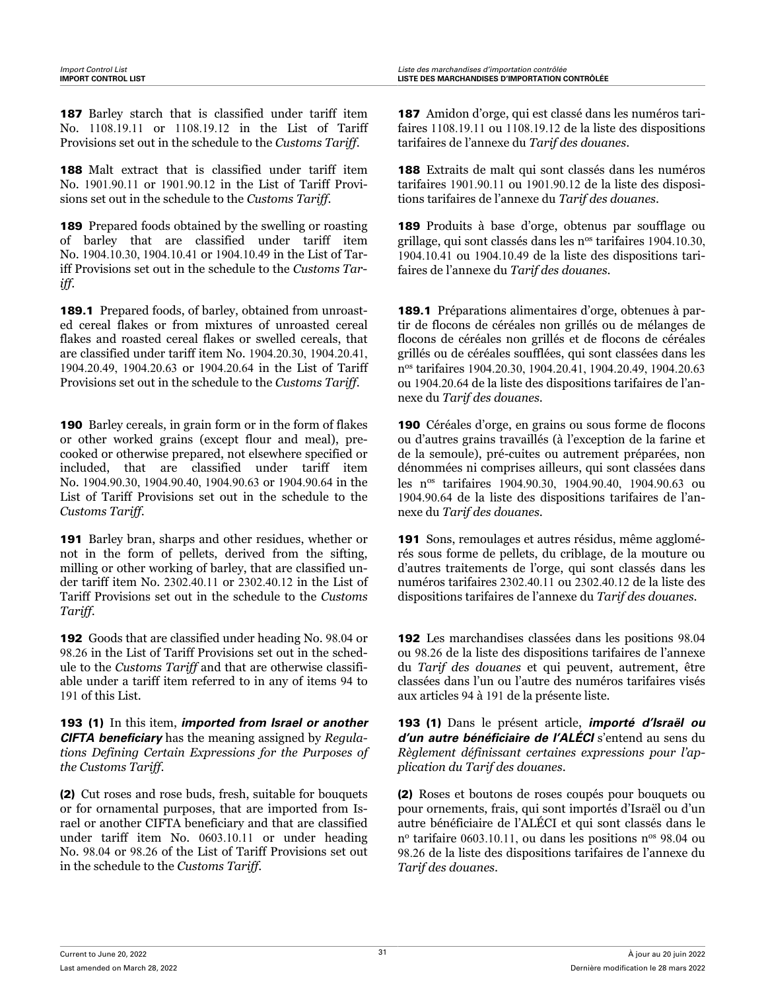187 Barley starch that is classified under tariff item No. 1108.19.11 or 1108.19.12 in the List of Tariff Provisions set out in the schedule to the *Customs Tariff*.

188 Malt extract that is classified under tariff item No. 1901.90.11 or 1901.90.12 in the List of Tariff Provisions set out in the schedule to the *Customs Tariff*.

189 Prepared foods obtained by the swelling or roasting of barley that are classified under tariff item No. 1904.10.30, 1904.10.41 or 1904.10.49 in the List of Tariff Provisions set out in the schedule to the *Customs Tariff*.

189.1 Prepared foods, of barley, obtained from unroasted cereal flakes or from mixtures of unroasted cereal flakes and roasted cereal flakes or swelled cereals, that are classified under tariff item No. 1904.20.30, 1904.20.41, 1904.20.49, 1904.20.63 or 1904.20.64 in the List of Tariff Provisions set out in the schedule to the *Customs Tariff*.

190 Barley cereals, in grain form or in the form of flakes or other worked grains (except flour and meal), precooked or otherwise prepared, not elsewhere specified or included, that are classified under tariff item No. 1904.90.30, 1904.90.40, 1904.90.63 or 1904.90.64 in the List of Tariff Provisions set out in the schedule to the *Customs Tariff*.

191 Barley bran, sharps and other residues, whether or not in the form of pellets, derived from the sifting, milling or other working of barley, that are classified under tariff item No. 2302.40.11 or 2302.40.12 in the List of Tariff Provisions set out in the schedule to the *Customs Tariff*.

192 Goods that are classified under heading No. 98.04 or 98.26 in the List of Tariff Provisions set out in the schedule to the *Customs Tariff* and that are otherwise classifiable under a tariff item referred to in any of items 94 to 191 of this List.

193 (1) In this item, *imported from Israel or another CIFTA beneficiary* has the meaning assigned by *Regulations Defining Certain Expressions for the Purposes of the Customs Tariff*.

(2) Cut roses and rose buds, fresh, suitable for bouquets or for ornamental purposes, that are imported from Israel or another CIFTA beneficiary and that are classified under tariff item No. 0603.10.11 or under heading No. 98.04 or 98.26 of the List of Tariff Provisions set out in the schedule to the *Customs Tariff*.

187 Amidon d'orge, qui est classé dans les numéros tarifaires 1108.19.11 ou 1108.19.12 de la liste des dispositions tarifaires de l'annexe du *Tarif des douanes*.

188 Extraits de malt qui sont classés dans les numéros tarifaires 1901.90.11 ou 1901.90.12 de la liste des dispositions tarifaires de l'annexe du *Tarif des douanes*.

189 Produits à base d'orge, obtenus par soufflage ou grillage, qui sont classés dans les n<sup>os</sup> tarifaires 1904.10.30, 1904.10.41 ou 1904.10.49 de la liste des dispositions tarifaires de l'annexe du *Tarif des douanes*.

189.1 Préparations alimentaires d'orge, obtenues à partir de flocons de céréales non grillés ou de mélanges de flocons de céréales non grillés et de flocons de céréales grillés ou de céréales soufflées, qui sont classées dans les n os tarifaires 1904.20.30, 1904.20.41, 1904.20.49, 1904.20.63 ou 1904.20.64 de la liste des dispositions tarifaires de l'annexe du *Tarif des douanes*.

190 Céréales d'orge, en grains ou sous forme de flocons ou d'autres grains travaillés (à l'exception de la farine et de la semoule), pré-cuites ou autrement préparées, non dénommées ni comprises ailleurs, qui sont classées dans les nos tarifaires 1904.90.30, 1904.90.40, 1904.90.63 ou 1904.90.64 de la liste des dispositions tarifaires de l'annexe du *Tarif des douanes*.

191 Sons, remoulages et autres résidus, même agglomérés sous forme de pellets, du criblage, de la mouture ou d'autres traitements de l'orge, qui sont classés dans les numéros tarifaires 2302.40.11 ou 2302.40.12 de la liste des dispositions tarifaires de l'annexe du *Tarif des douanes*.

192 Les marchandises classées dans les positions 98.04 ou 98.26 de la liste des dispositions tarifaires de l'annexe du *Tarif des douanes* et qui peuvent, autrement, être classées dans l'un ou l'autre des numéros tarifaires visés aux articles 94 à 191 de la présente liste.

193 (1) Dans le présent article, *importé d'Israël ou d'un autre bénéficiaire de l'ALÉCI* s'entend au sens du *Règlement définissant certaines expressions pour l'application du Tarif des douanes*.

(2) Roses et boutons de roses coupés pour bouquets ou pour ornements, frais, qui sont importés d'Israël ou d'un autre bénéficiaire de l'ALÉCI et qui sont classés dans le n<sup>o</sup> tarifaire 0603.10.11, ou dans les positions n<sup>os</sup> 98.04 ou 98.26 de la liste des dispositions tarifaires de l'annexe du *Tarif des douanes*.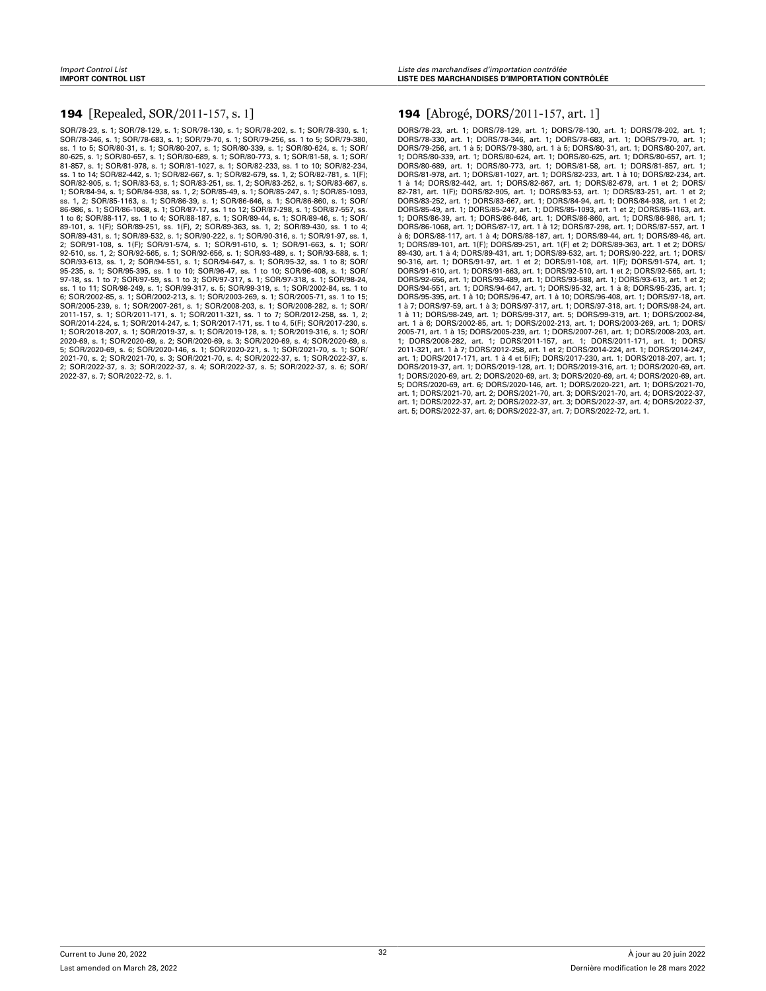#### **194** [Repealed, SOR/2011-157, s. 1]

SOR/78-23, s. 1; SOR/78-129, s. 1; SOR/78-130, s. 1; SOR/78-202, s. 1; SOR/78-330, s. 1; SOR/78-346, s. 1; SOR/78-683, s. 1; SOR/79-70, s. 1; SOR/79-256, ss. 1 to 5; SOR/79-380, ss. 1 to 5; SOR/80-31, s. 1; SOR/80-207, s. 1; SOR/80-339, s. 1; SOR/80-624, s. 1; SOR/ 80-625, s. 1; SOR/80-657, s. 1; SOR/80-689, s. 1; SOR/80-773, s. 1; SOR/81-58, s. 1; SOR/ 81-857, s. 1; SOR/81-978, s. 1; SOR/81-1027, s. 1; SOR/82-233, ss. 1 to 10; SOR/82-234, ss. 1 to 14; SOR/82-442, s. 1; SOR/82-667, s. 1; SOR/82-679, ss. 1, 2; SOR/82-781, s. 1(F); SOR/82-905, s. 1; SOR/83-53, s. 1; SOR/83-251, ss. 1, 2; SOR/83-252, s. 1; SOR/83-667, s. 1; SOR/84-94, s. 1; SOR/84-938, ss. 1, 2; SOR/85-49, s. 1; SOR/85-247, s. 1; SOR/85-1093, ss. 1, 2; SOR/85-1163, s. 1; SOR/86-39, s. 1; SOR/86-646, s. 1; SOR/86-860, s. 1; SOR/ 86-986, s. 1; SOR/86-1068, s. 1; SOR/87-17, ss. 1 to 12; SOR/87-298, s. 1; SOR/87-557, ss. 1 to 6; SOR/88-117, ss. 1 to 4; SOR/88-187, s. 1; SOR/89-44, s. 1; SOR/89-46, s. 1; SOR/ 89-101, s. 1(F); SOR/89-251, ss. 1(F), 2; SOR/89-363, ss. 1, 2; SOR/89-430, ss. 1 to 4; SOR/89-431, s. 1; SOR/89-532, s. 1; SOR/90-222, s. 1; SOR/90-316, s. 1; SOR/91-97, ss. 1, 2; SOR/91-108, s. 1(F); SOR/91-574, s. 1; SOR/91-610, s. 1; SOR/91-663, s. 1; SOR/ 92-510, ss. 1, 2; SOR/92-565, s. 1; SOR/92-656, s. 1; SOR/93-489, s. 1; SOR/93-588, s. 1; SOR/93-613, ss. 1, 2; SOR/94-551, s. 1; SOR/94-647, s. 1; SOR/95-32, ss. 1 to 8; SOR/ 95-235, s. 1; SOR/95-395, ss. 1 to 10; SOR/96-47, ss. 1 to 10; SOR/96-408, s. 1; SOR/ 97-18, ss. 1 to 7; SOR/97-59, ss. 1 to 3; SOR/97-317, s. 1; SOR/97-318, s. 1; SOR/98-24, ss. 1 to 11; SOR/98-249, s. 1; SOR/99-317, s. 5; SOR/99-319, s. 1; SOR/2002-84, ss. 1 to 6; SOR/2002-85, s. 1; SOR/2002-213, s. 1; SOR/2003-269, s. 1; SOR/2005-71, ss. 1 to 15; SOR/2005-239, s. 1; SOR/2007-261, s. 1; SOR/2008-203, s. 1; SOR/2008-282, s. 1; SOR/ 2011-157, s. 1; SOR/2011-171, s. 1; SOR/2011-321, ss. 1 to 7; SOR/2012-258, ss. 1, 2; SOR/2014-224, s. 1; SOR/2014-247, s. 1; SOR/2017-171, ss. 1 to 4, 5(F); SOR/2017-230, s. 1; SOR/2018-207, s. 1; SOR/2019-37, s. 1; SOR/2019-128, s. 1; SOR/2019-316, s. 1; SOR/ 2020-69, s. 1; SOR/2020-69, s. 2; SOR/2020-69, s. 3; SOR/2020-69, s. 4; SOR/2020-69, s. 5; SOR/2020-69, s. 6; SOR/2020-146, s. 1; SOR/2020-221, s. 1; SOR/2021-70, s. 1; SOR/ 2021-70, s. 2; SOR/2021-70, s. 3; SOR/2021-70, s. 4; SOR/2022-37, s. 1; SOR/2022-37, s. 2; SOR/2022-37, s. 3; SOR/2022-37, s. 4; SOR/2022-37, s. 5; SOR/2022-37, s. 6; SOR/ 2022-37, s. 7; SOR/2022-72, s. 1.

#### 194 [Abrogé, DORS/2011-157, art. 1]

DORS/78-23, art. 1; DORS/78-129, art. 1; DORS/78-130, art. 1; DORS/78-202, art. 1; DORS/78-330, art. 1; DORS/78-346, art. 1; DORS/78-683, art. 1; DORS/79-70, art. 1; DORS/79-256, art. 1 à 5; DORS/79-380, art. 1 à 5; DORS/80-31, art. 1; DORS/80-207, art. 1; DORS/80-339, art. 1; DORS/80-624, art. 1; DORS/80-625, art. 1; DORS/80-657, art. 1; DORS/80-689, art. 1; DORS/80-773, art. 1; DORS/81-58, art. 1; DORS/81-857, art. 1; DORS/81-978, art. 1; DORS/81-1027, art. 1; DORS/82-233, art. 1 à 10; DORS/82-234, art. 1 à 14; DORS/82-442, art. 1; DORS/82-667, art. 1; DORS/82-679, art. 1 et 2; DORS/ 82-781, art. 1(F); DORS/82-905, art. 1; DORS/83-53, art. 1; DORS/83-251, art. 1 et 2; DORS/83-252, art. 1; DORS/83-667, art. 1; DORS/84-94, art. 1; DORS/84-938, art. 1 et 2; DORS/85-49, art. 1; DORS/85-247, art. 1; DORS/85-1093, art. 1 et 2; DORS/85-1163, art. 1; DORS/86-39, art. 1; DORS/86-646, art. 1; DORS/86-860, art. 1; DORS/86-986, art. 1; DORS/86-1068, art. 1; DORS/87-17, art. 1 à 12; DORS/87-298, art. 1; DORS/87-557, art. 1 à 6; DORS/88-117, art. 1 à 4; DORS/88-187, art. 1; DORS/89-44, art. 1; DORS/89-46, art. 1; DORS/89-101, art. 1(F); DORS/89-251, art. 1(F) et 2; DORS/89-363, art. 1 et 2; DORS/ 89-430, art. 1 à 4; DORS/89-431, art. 1; DORS/89-532, art. 1; DORS/90-222, art. 1; DORS/ 90-316, art. 1; DORS/91-97, art. 1 et 2; DORS/91-108, art. 1(F); DORS/91-574, art. 1; DORS/91-610, art. 1; DORS/91-663, art. 1; DORS/92-510, art. 1 et 2; DORS/92-565, art. 1; DORS/92-656, art. 1; DORS/93-489, art. 1; DORS/93-588, art. 1; DORS/93-613, art. 1 et 2; DORS/94-551, art. 1; DORS/94-647, art. 1; DORS/95-32, art. 1 à 8; DORS/95-235, art. 1; DORS/95-395, art. 1 à 10; DORS/96-47, art. 1 à 10; DORS/96-408, art. 1; DORS/97-18, art. 1 à 7; DORS/97-59, art. 1 à 3; DORS/97-317, art. 1; DORS/97-318, art. 1; DORS/98-24, art. 1 à 11; DORS/98-249, art. 1; DORS/99-317, art. 5; DORS/99-319, art. 1; DORS/2002-84, art. 1 à 6; DORS/2002-85, art. 1; DORS/2002-213, art. 1; DORS/2003-269, art. 1; DORS/ 2005-71, art. 1 à 15; DORS/2005-239, art. 1; DORS/2007-261, art. 1; DORS/2008-203, art. 1; DORS/2008-282, art. 1; DORS/2011-157, art. 1; DORS/2011-171, art. 1; DORS/ 2011-321, art. 1 à 7; DORS/2012-258, art. 1 et 2; DORS/2014-224, art. 1; DORS/2014-247, art. 1; DORS/2017-171, art. 1 à 4 et 5(F); DORS/2017-230, art. 1; DORS/2018-207, art. 1; DORS/2019-37, art. 1; DORS/2019-128, art. 1; DORS/2019-316, art. 1; DORS/2020-69, art. 1; DORS/2020-69, art. 2; DORS/2020-69, art. 3; DORS/2020-69, art. 4; DORS/2020-69, art. 5; DORS/2020-69, art. 6; DORS/2020-146, art. 1; DORS/2020-221, art. 1; DORS/2021-70, art. 1; DORS/2021-70, art. 2; DORS/2021-70, art. 3; DORS/2021-70, art. 4; DORS/2022-37, art. 1; DORS/2022-37, art. 2; DORS/2022-37, art. 3; DORS/2022-37, art. 4; DORS/2022-37, art. 5; DORS/2022-37, art. 6; DORS/2022-37, art. 7; DORS/2022-72, art. 1.